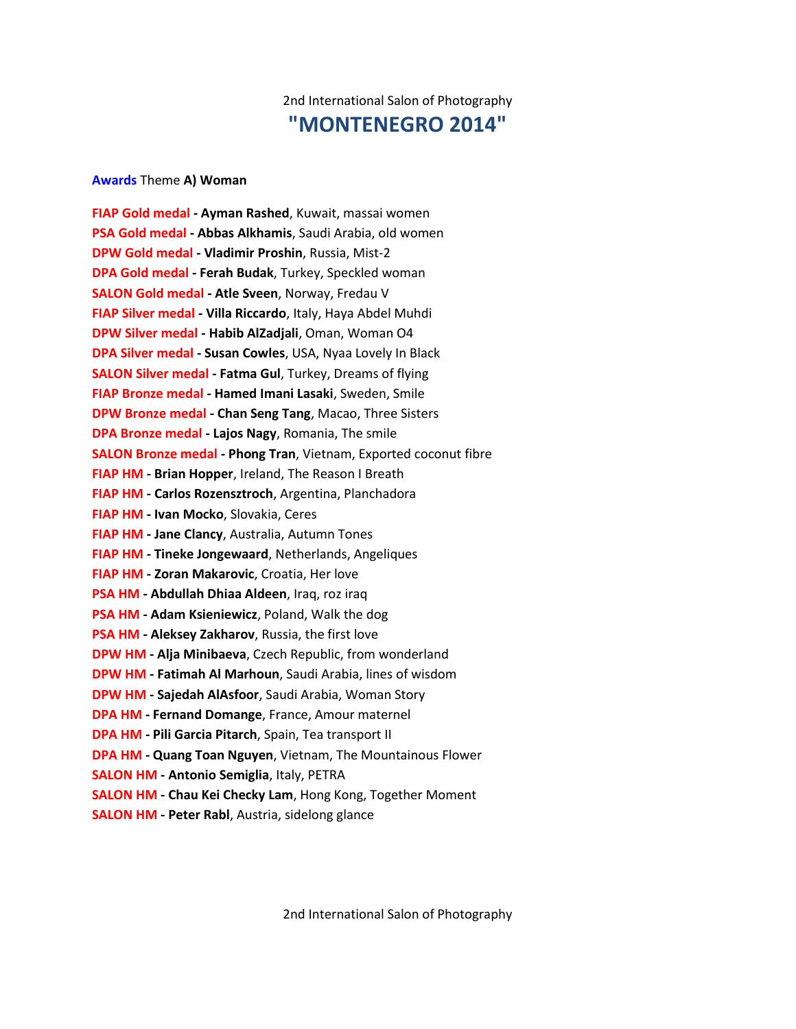# 2nd International Salon of Photography **"MONTENEGRO 2014"**

#### **Awards** Theme **A) Woman**

**FIAP Gold medal - Ayman Rashed**, Kuwait, massai women **PSA Gold medal - Abbas Alkhamis**, Saudi Arabia, old women **DPW Gold medal - Vladimir Proshin**, Russia, Mist-2 **DPA Gold medal - Ferah Budak**, Turkey, Speckled woman **SALON Gold medal - Atle Sveen**, Norway, Fredau V **FIAP Silver medal - Villa Riccardo**, Italy, Haya Abdel Muhdi **DPW Silver medal - Habib AlZadjali**, Oman, Woman O4 **DPA Silver medal - Susan Cowles**, USA, Nyaa Lovely In Black **SALON Silver medal - Fatma Gul**, Turkey, Dreams of flying **FIAP Bronze medal - Hamed Imani Lasaki**, Sweden, Smile **DPW Bronze medal - Chan Seng Tang**, Macao, Three Sisters **DPA Bronze medal - Lajos Nagy**, Romania, The smile **SALON Bronze medal - Phong Tran**, Vietnam, Exported coconut fibre **FIAP HM - Brian Hopper**, Ireland, The Reason I Breath **FIAP HM - Carlos Rozensztroch**, Argentina, Planchadora **FIAP HM - Ivan Mocko**, Slovakia, Ceres **FIAP HM - Jane Clancy**, Australia, Autumn Tones **FIAP HM - Tineke Jongewaard**, Netherlands, Angeliques **FIAP HM - Zoran Makarovic**, Croatia, Her love **PSA HM - Abdullah Dhiaa Aldeen**, Iraq, roz iraq **PSA HM - Adam Ksieniewicz**, Poland, Walk the dog **PSA HM - Aleksey Zakharov**, Russia, the first love **DPW HM - Alja Minibaeva**, Czech Republic, from wonderland **DPW HM - Fatimah Al Marhoun**, Saudi Arabia, lines of wisdom **DPW HM - Sajedah AlAsfoor**, Saudi Arabia, Woman Story **DPA HM - Fernand Domange**, France, Amour maternel **DPA HM - Pili Garcia Pitarch**, Spain, Tea transport II **DPA HM - Quang Toan Nguyen**, Vietnam, The Mountainous Flower **SALON HM - Antonio Semiglia**, Italy, PETRA **SALON HM - Chau Kei Checky Lam**, Hong Kong, Together Moment **SALON HM - Peter Rabl**, Austria, sidelong glance

2nd International Salon of Photography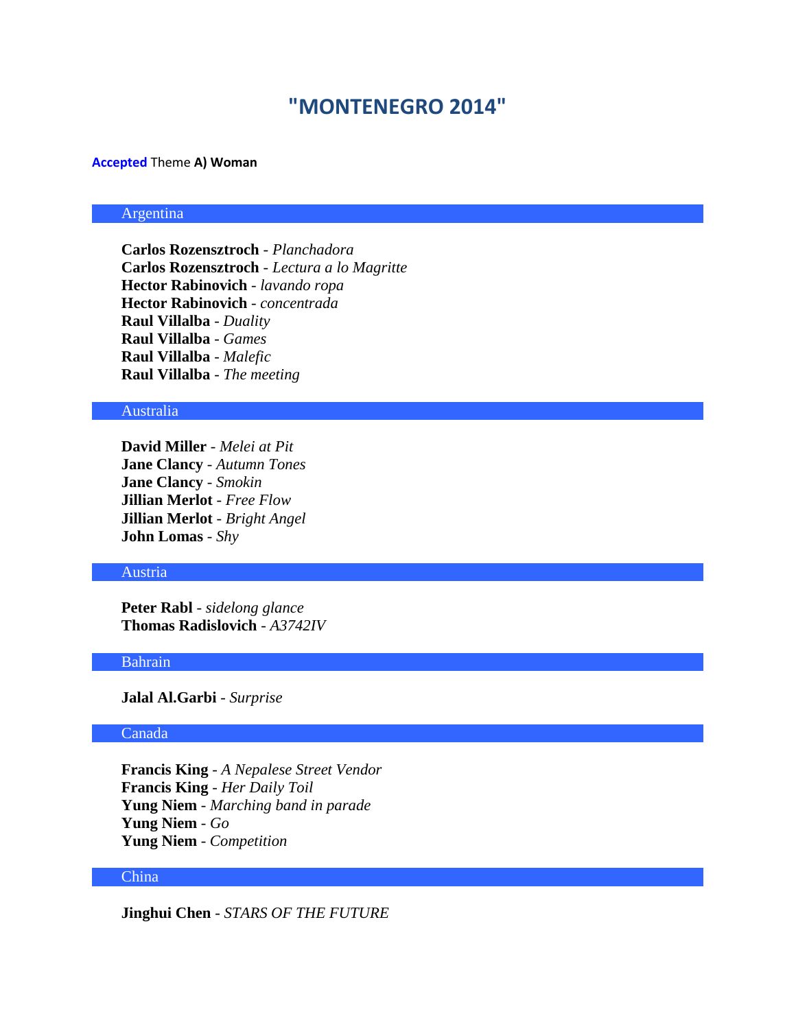# **"MONTENEGRO 2014"**

#### **Accepted** Theme **A) Woman**

# Argentina

**Carlos Rozensztroch** - *Planchadora* **Carlos Rozensztroch** - *Lectura a lo Magritte* **Hector Rabinovich** - *lavando ropa* **Hector Rabinovich** - *concentrada* **Raul Villalba** - *Duality* **Raul Villalba** - *Games* **Raul Villalba** - *Malefic* **Raul Villalba** - *The meeting*

#### Australia

**David Miller** - *Melei at Pit* **Jane Clancy** - *Autumn Tones* **Jane Clancy** - *Smokin* **Jillian Merlot** - *Free Flow* **Jillian Merlot** - *Bright Angel* **John Lomas** - *Shy*

### Austria

**Peter Rabl** - *sidelong glance* **Thomas Radislovich** - *A3742IV*

#### Bahrain

**Jalal Al.Garbi** - *Surprise*

#### Canada

**Francis King** - *A Nepalese Street Vendor* **Francis King** - *Her Daily Toil* **Yung Niem** - *Marching band in parade* **Yung Niem** - *Go* **Yung Niem** - *Competition*

#### China

**Jinghui Chen** - *STARS OF THE FUTURE*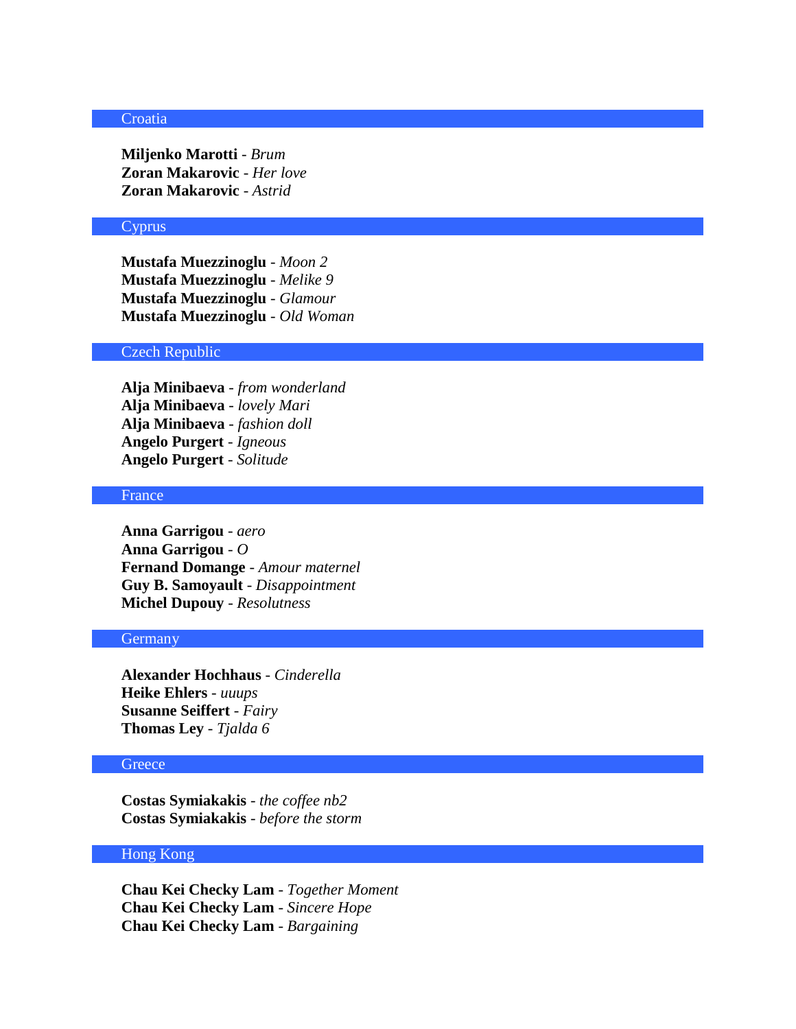#### **Croatia**

**Miljenko Marotti** - *Brum* **Zoran Makarovic** - *Her love* **Zoran Makarovic** - *Astrid*

### Cyprus

**Mustafa Muezzinoglu** - *Moon 2* **Mustafa Muezzinoglu** - *Melike 9* **Mustafa Muezzinoglu** - *Glamour* **Mustafa Muezzinoglu** - *Old Woman*

# Czech Republic

**Alja Minibaeva** - *from wonderland* **Alja Minibaeva** - *lovely Mari* **Alja Minibaeva** - *fashion doll* **Angelo Purgert** - *Igneous* **Angelo Purgert** - *Solitude*

### France

**Anna Garrigou** - *aero* **Anna Garrigou** - *O* **Fernand Domange** - *Amour maternel* **Guy B. Samoyault** - *Disappointment* **Michel Dupouy** - *Resolutness*

#### **Germany**

**Alexander Hochhaus** - *Cinderella* **Heike Ehlers** - *uuups* **Susanne Seiffert** - *Fairy* **Thomas Ley** - *Tjalda 6*

# **Greece**

**Costas Symiakakis** - *the coffee nb2* **Costas Symiakakis** - *before the storm*

#### Hong Kong

**Chau Kei Checky Lam** - *Together Moment* **Chau Kei Checky Lam** - *Sincere Hope* **Chau Kei Checky Lam** - *Bargaining*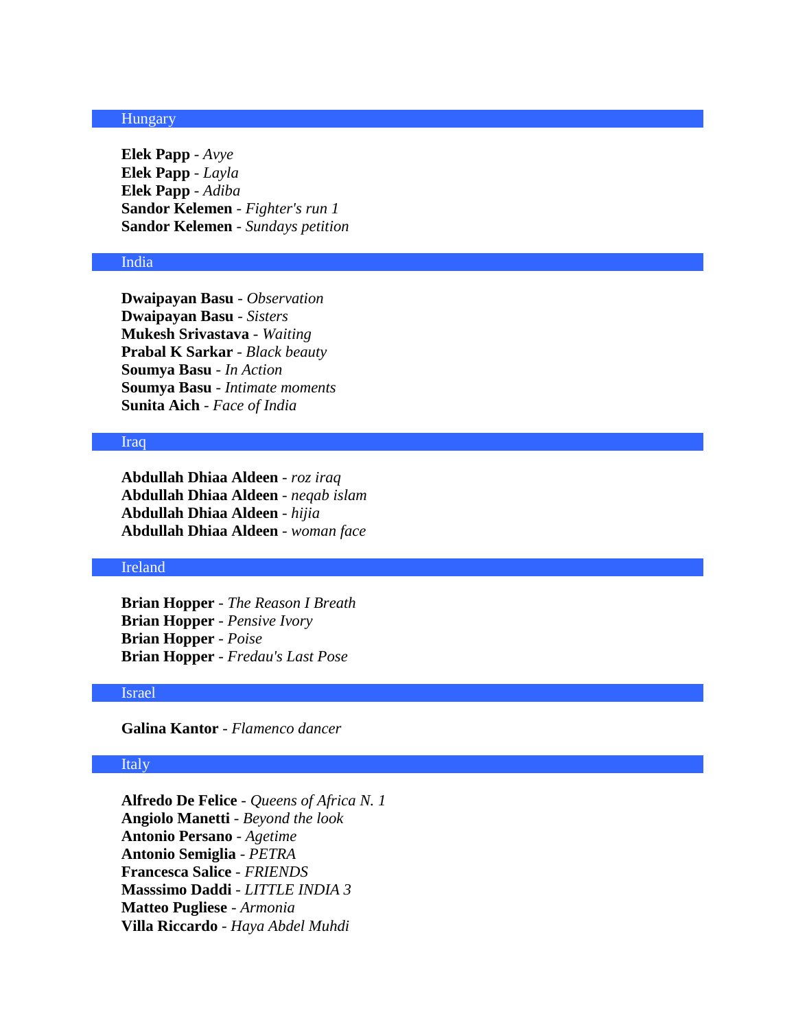# Hungary

**Elek Papp** - *Avye* **Elek Papp** - *Layla* **Elek Papp** - *Adiba* **Sandor Kelemen** - *Fighter's run 1* **Sandor Kelemen** - *Sundays petition*

# India

**Dwaipayan Basu** - *Observation* **Dwaipayan Basu** - *Sisters* **Mukesh Srivastava** - *Waiting* **Prabal K Sarkar** - *Black beauty* **Soumya Basu** - *In Action* **Soumya Basu** - *Intimate moments* **Sunita Aich** - *Face of India*

### Iraq

**Abdullah Dhiaa Aldeen** - *roz iraq* **Abdullah Dhiaa Aldeen** - *neqab islam* **Abdullah Dhiaa Aldeen** - *hijia* **Abdullah Dhiaa Aldeen** - *woman face*

## Ireland

**Brian Hopper** - *The Reason I Breath* **Brian Hopper** - *Pensive Ivory* **Brian Hopper** - *Poise* **Brian Hopper** - *Fredau's Last Pose*

### Israel

**Galina Kantor** - *Flamenco dancer*

# Italy

**Alfredo De Felice** - *Queens of Africa N. 1* **Angiolo Manetti** - *Beyond the look* **Antonio Persano** - *Agetime* **Antonio Semiglia** - *PETRA* **Francesca Salice** - *FRIENDS* **Masssimo Daddi** - *LITTLE INDIA 3* **Matteo Pugliese** - *Armonia* **Villa Riccardo** - *Haya Abdel Muhdi*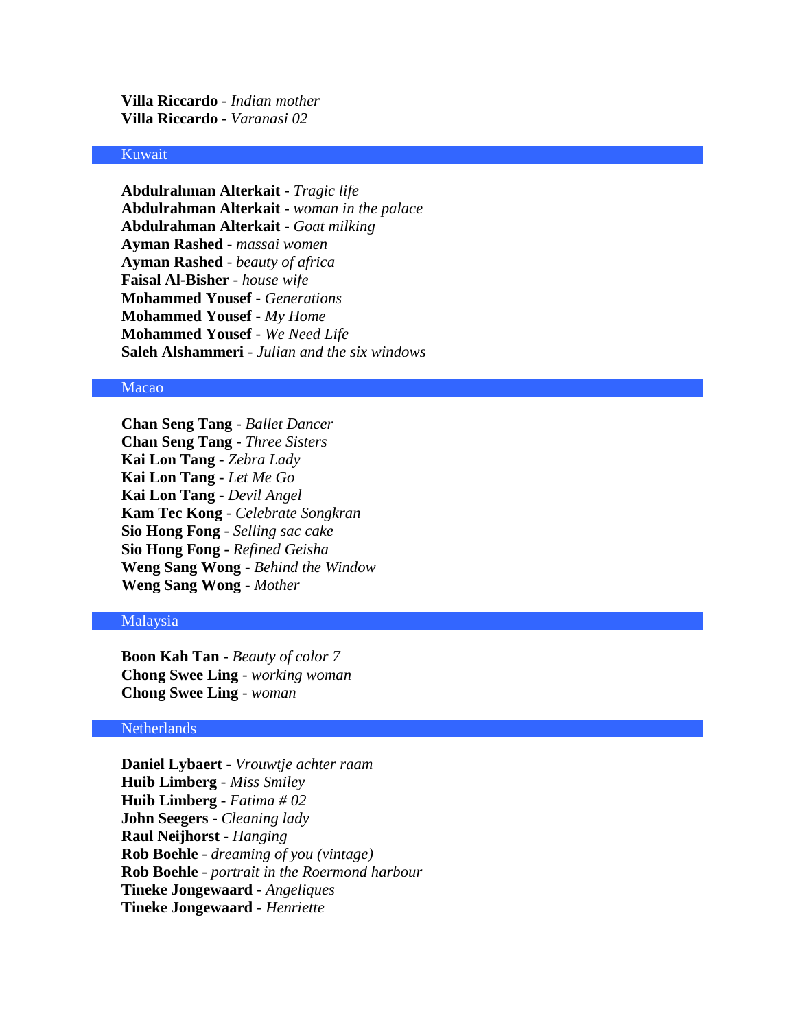**Villa Riccardo** - *Indian mother* **Villa Riccardo** - *Varanasi 02*

#### Kuwait

**Abdulrahman Alterkait** - *Tragic life* **Abdulrahman Alterkait** - *woman in the palace* **Abdulrahman Alterkait** - *Goat milking* **Ayman Rashed** - *massai women* **Ayman Rashed** - *beauty of africa* **Faisal Al-Bisher** - *house wife* **Mohammed Yousef** - *Generations* **Mohammed Yousef** - *My Home* **Mohammed Yousef** - *We Need Life* **Saleh Alshammeri** - *Julian and the six windows*

### Macao

**Chan Seng Tang** - *Ballet Dancer* **Chan Seng Tang** - *Three Sisters* **Kai Lon Tang** - *Zebra Lady* **Kai Lon Tang** - *Let Me Go* **Kai Lon Tang** - *Devil Angel* **Kam Tec Kong** - *Celebrate Songkran* **Sio Hong Fong** - *Selling sac cake* **Sio Hong Fong** - *Refined Geisha* **Weng Sang Wong** - *Behind the Window* **Weng Sang Wong** - *Mother*

### Malaysia

**Boon Kah Tan** - *Beauty of color 7* **Chong Swee Ling** - *working woman* **Chong Swee Ling** - *woman*

## Netherlands

**Daniel Lybaert** - *Vrouwtje achter raam* **Huib Limberg** - *Miss Smiley* **Huib Limberg** - *Fatima # 02* **John Seegers** - *Cleaning lady* **Raul Neijhorst** - *Hanging* **Rob Boehle** - *dreaming of you (vintage)* **Rob Boehle** - *portrait in the Roermond harbour* **Tineke Jongewaard** - *Angeliques* **Tineke Jongewaard** - *Henriette*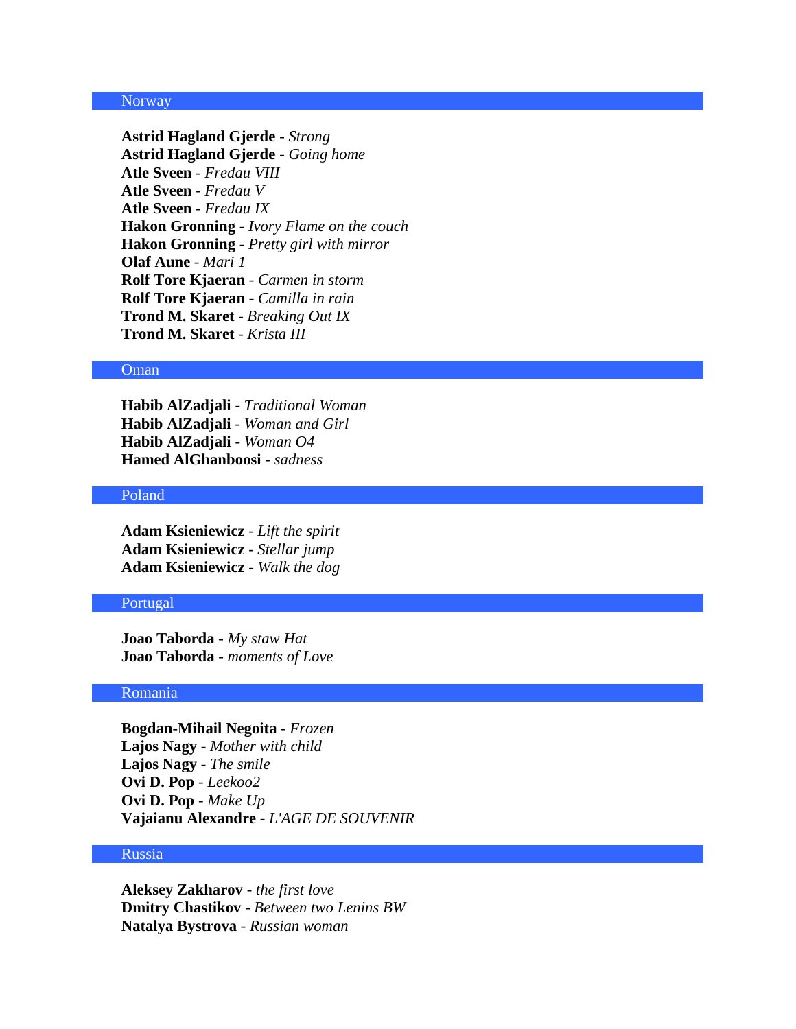### Norway

**Astrid Hagland Gjerde** - *Strong* **Astrid Hagland Gjerde** - *Going home* **Atle Sveen** - *Fredau VIII* **Atle Sveen** - *Fredau V* **Atle Sveen** - *Fredau IX* **Hakon Gronning** - *Ivory Flame on the couch* **Hakon Gronning** - *Pretty girl with mirror* **Olaf Aune** - *Mari 1* **Rolf Tore Kjaeran** - *Carmen in storm* **Rolf Tore Kjaeran** - *Camilla in rain* **Trond M. Skaret** - *Breaking Out IX* **Trond M. Skaret** - *Krista III*

#### Oman

**Habib AlZadjali** - *Traditional Woman* **Habib AlZadjali** - *Woman and Girl* **Habib AlZadjali** - *Woman O4* **Hamed AlGhanboosi** - *sadness*

# Poland

**Adam Ksieniewicz** - *Lift the spirit* **Adam Ksieniewicz** - *Stellar jump* **Adam Ksieniewicz** - *Walk the dog*

# Portugal

**Joao Taborda** - *My staw Hat* **Joao Taborda** - *moments of Love*

### Romania

**Bogdan-Mihail Negoita** - *Frozen* **Lajos Nagy** - *Mother with child* **Lajos Nagy** - *The smile* **Ovi D. Pop** - *Leekoo2* **Ovi D. Pop** - *Make Up* **Vajaianu Alexandre** - *L'AGE DE SOUVENIR*

#### Russia

**Aleksey Zakharov** - *the first love* **Dmitry Chastikov** - *Between two Lenins BW* **Natalya Bystrova** - *Russian woman*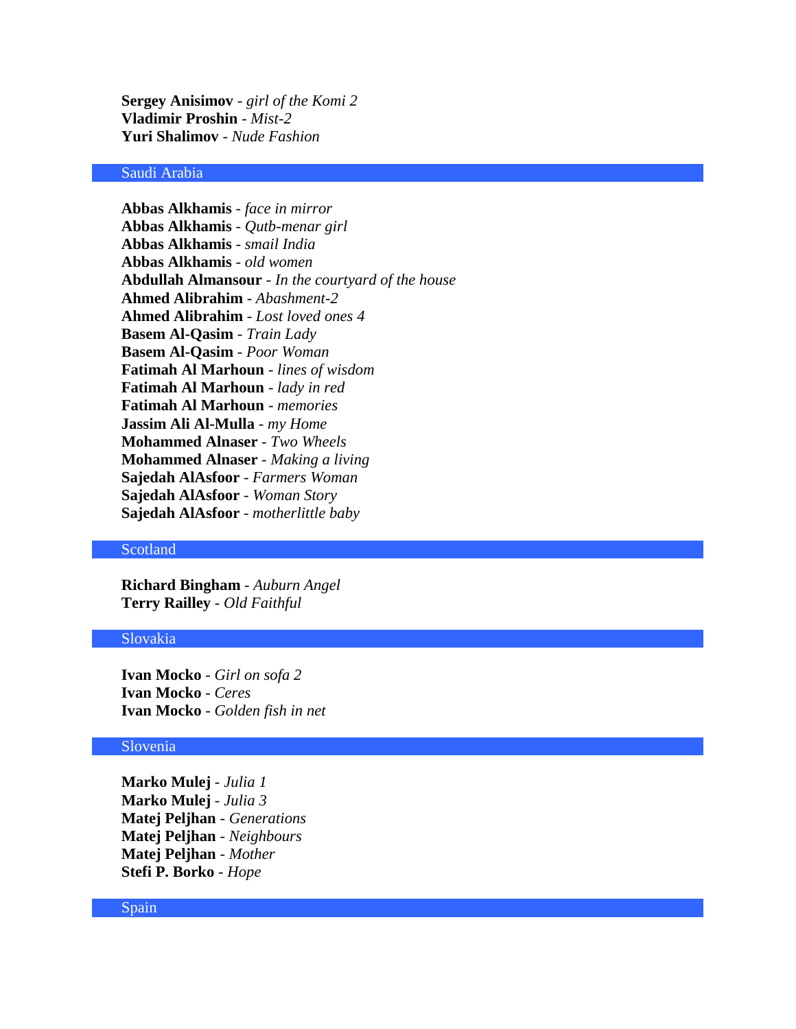**Sergey Anisimov** - *girl of the Komi 2* **Vladimir Proshin** - *Mist-2* **Yuri Shalimov** - *Nude Fashion*

# Saudi Arabia

**Abbas Alkhamis** - *face in mirror* **Abbas Alkhamis** - *Qutb-menar girl* **Abbas Alkhamis** - *smail India* **Abbas Alkhamis** - *old women* **Abdullah Almansour** - *In the courtyard of the house* **Ahmed Alibrahim** - *Abashment-2* **Ahmed Alibrahim** - *Lost loved ones 4* **Basem Al-Qasim** - *Train Lady* **Basem Al-Qasim** - *Poor Woman* **Fatimah Al Marhoun** - *lines of wisdom* **Fatimah Al Marhoun** - *lady in red* **Fatimah Al Marhoun** - *memories* **Jassim Ali Al-Mulla** - *my Home* **Mohammed Alnaser** - *Two Wheels* **Mohammed Alnaser** - *Making a living* **Sajedah AlAsfoor** - *Farmers Woman* **Sajedah AlAsfoor** - *Woman Story* **Sajedah AlAsfoor** - *motherlittle baby*

### Scotland

**Richard Bingham** - *Auburn Angel* **Terry Railley** - *Old Faithful*

#### Slovakia

**Ivan Mocko** - *Girl on sofa 2* **Ivan Mocko** - *Ceres* **Ivan Mocko** - *Golden fish in net*

### Slovenia

**Marko Mulej** - *Julia 1* **Marko Mulej** - *Julia 3* **Matej Peljhan** - *Generations* **Matej Peljhan** - *Neighbours* **Matej Peljhan** - *Mother* **Stefi P. Borko** - *Hope*

#### Spain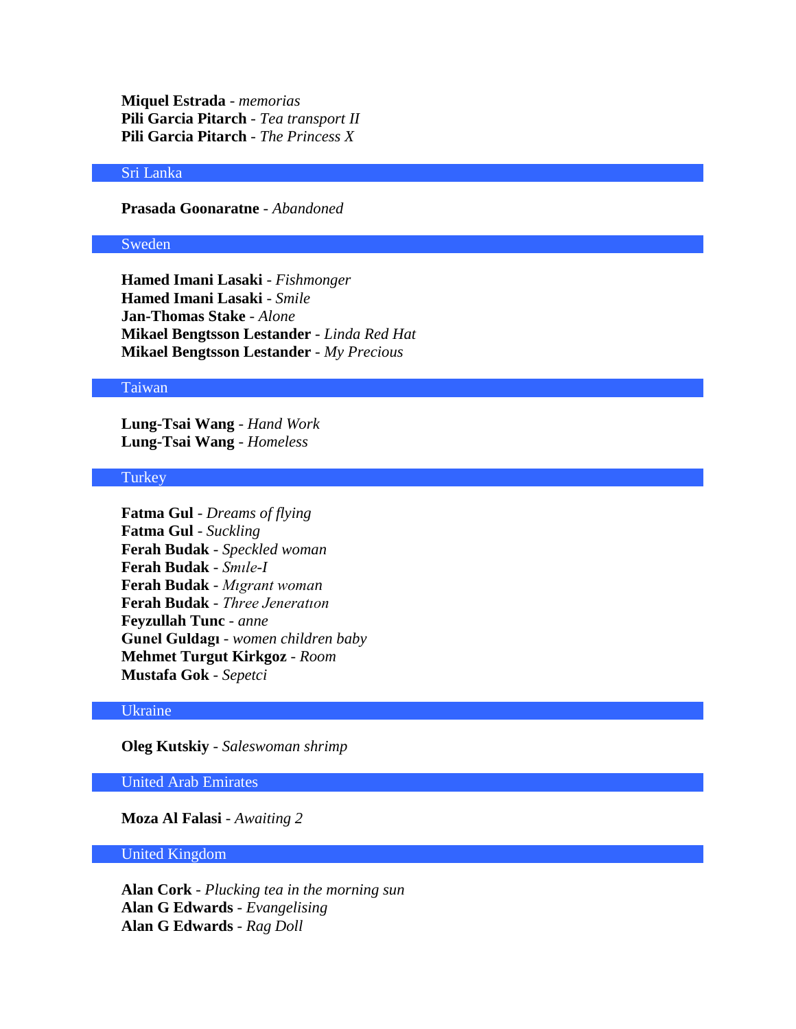**Miquel Estrada** - *memorias* **Pili Garcia Pitarch** - *Tea transport II* **Pili Garcia Pitarch** - *The Princess X*

# Sri Lanka

**Prasada Goonaratne** - *Abandoned*

#### Sweden

**Hamed Imani Lasaki** - *Fishmonger* **Hamed Imani Lasaki** - *Smile* **Jan-Thomas Stake** - *Alone* **Mikael Bengtsson Lestander** - *Linda Red Hat* **Mikael Bengtsson Lestander** - *My Precious*

### Taiwan

**Lung-Tsai Wang** - *Hand Work* **Lung-Tsai Wang** - *Homeless*

#### Turkey

**Fatma Gul** - *Dreams of flying* **Fatma Gul** - *Suckling* **Ferah Budak** - *Speckled woman* **Ferah Budak** - *Smıle-I* **Ferah Budak** - *Mıgrant woman* **Ferah Budak** - *Three Jeneratıon* **Feyzullah Tunc** - *anne* **Gunel Guldagı** - *women children baby* **Mehmet Turgut Kirkgoz** - *Room* **Mustafa Gok** - *Sepetci*

#### Ukraine

**Oleg Kutskiy** - *Saleswoman shrimp*

### United Arab Emirates

**Moza Al Falasi** - *Awaiting 2*

#### United Kingdom

**Alan Cork** - *Plucking tea in the morning sun* **Alan G Edwards** - *Evangelising* **Alan G Edwards** - *Rag Doll*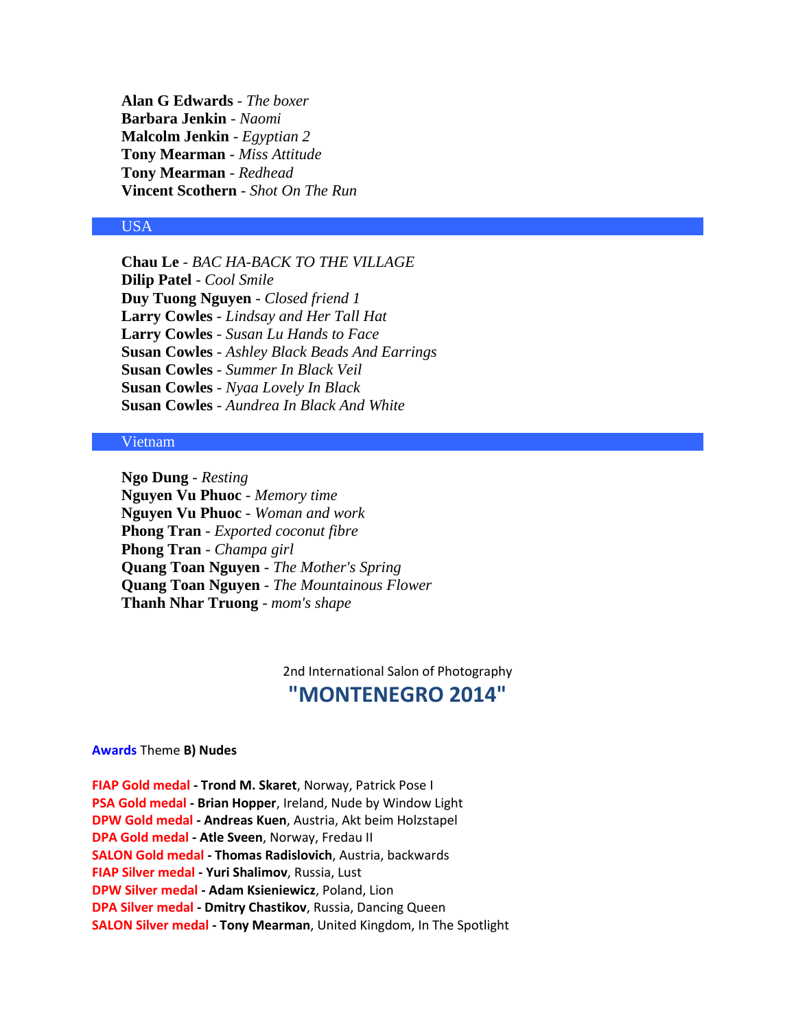**Alan G Edwards** - *The boxer* **Barbara Jenkin** - *Naomi* **Malcolm Jenkin** - *Egyptian 2* **Tony Mearman** - *Miss Attitude* **Tony Mearman** - *Redhead* **Vincent Scothern** - *Shot On The Run*

# USA

**Chau Le** - *BAC HA-BACK TO THE VILLAGE* **Dilip Patel** - *Cool Smile* **Duy Tuong Nguyen** - *Closed friend 1* **Larry Cowles** - *Lindsay and Her Tall Hat* **Larry Cowles** - *Susan Lu Hands to Face* **Susan Cowles** - *Ashley Black Beads And Earrings* **Susan Cowles** - *Summer In Black Veil* **Susan Cowles** - *Nyaa Lovely In Black* **Susan Cowles** - *Aundrea In Black And White*

### Vietnam

**Ngo Dung** - *Resting* **Nguyen Vu Phuoc** - *Memory time* **Nguyen Vu Phuoc** - *Woman and work* **Phong Tran** - *Exported coconut fibre* **Phong Tran** - *Champa girl* **Quang Toan Nguyen** - *The Mother's Spring* **Quang Toan Nguyen** - *The Mountainous Flower* **Thanh Nhar Truong** - *mom's shape*

> 2nd International Salon of Photography **"MONTENEGRO 2014"**

#### **Awards** Theme **B) Nudes**

**FIAP Gold medal - Trond M. Skaret**, Norway, Patrick Pose I **PSA Gold medal - Brian Hopper**, Ireland, Nude by Window Light **DPW Gold medal - Andreas Kuen**, Austria, Akt beim Holzstapel **DPA Gold medal - Atle Sveen**, Norway, Fredau II **SALON Gold medal - Thomas Radislovich**, Austria, backwards **FIAP Silver medal - Yuri Shalimov**, Russia, Lust **DPW Silver medal - Adam Ksieniewicz**, Poland, Lion **DPA Silver medal - Dmitry Chastikov**, Russia, Dancing Queen **SALON Silver medal - Tony Mearman**, United Kingdom, In The Spotlight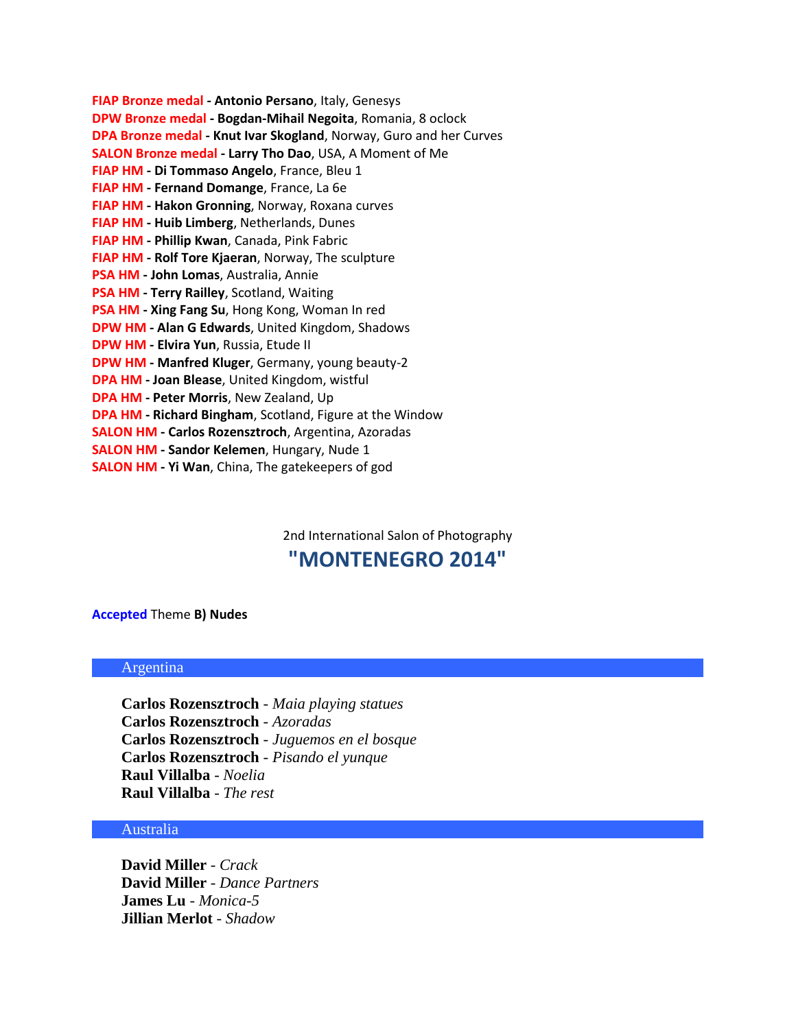| FIAP Bronze medal - Antonio Persano, Italy, Genesys                       |
|---------------------------------------------------------------------------|
| DPW Bronze medal - Bogdan-Mihail Negoita, Romania, 8 oclock               |
| <b>DPA Bronze medal - Knut Ivar Skogland, Norway, Guro and her Curves</b> |
| SALON Bronze medal - Larry Tho Dao, USA, A Moment of Me                   |
| FIAP HM - Di Tommaso Angelo, France, Bleu 1                               |
| FIAP HM - Fernand Domange, France, La 6e                                  |
| FIAP HM - Hakon Gronning, Norway, Roxana curves                           |
| FIAP HM - Huib Limberg, Netherlands, Dunes                                |
| FIAP HM - Phillip Kwan, Canada, Pink Fabric                               |
| FIAP HM - Rolf Tore Kjaeran, Norway, The sculpture                        |
| PSA HM - John Lomas, Australia, Annie                                     |
| PSA HM - Terry Railley, Scotland, Waiting                                 |
| <b>PSA HM - Xing Fang Su, Hong Kong, Woman In red</b>                     |
| <b>DPW HM - Alan G Edwards, United Kingdom, Shadows</b>                   |
| DPW HM - Elvira Yun, Russia, Etude II                                     |
| DPW HM - Manfred Kluger, Germany, young beauty-2                          |
| <b>DPA HM - Joan Blease, United Kingdom, wistful</b>                      |
| <b>DPA HM - Peter Morris, New Zealand, Up</b>                             |
| <b>DPA HM - Richard Bingham, Scotland, Figure at the Window</b>           |
| <b>SALON HM - Carlos Rozensztroch</b> , Argentina, Azoradas               |
| <b>SALON HM - Sandor Kelemen, Hungary, Nude 1</b>                         |
| <b>SALON HM - Yi Wan, China, The gatekeepers of god</b>                   |

2nd International Salon of Photography

# **"MONTENEGRO 2014"**

# **Accepted** Theme **B) Nudes**

# Argentina

**Carlos Rozensztroch** - *Maia playing statues* **Carlos Rozensztroch** - *Azoradas* **Carlos Rozensztroch** - *Juguemos en el bosque* **Carlos Rozensztroch** - *Pisando el yunque* **Raul Villalba** - *Noelia* **Raul Villalba** - *The rest*

# Australia

**David Miller** - *Crack* **David Miller** - *Dance Partners* **James Lu** - *Monica-5* **Jillian Merlot** - *Shadow*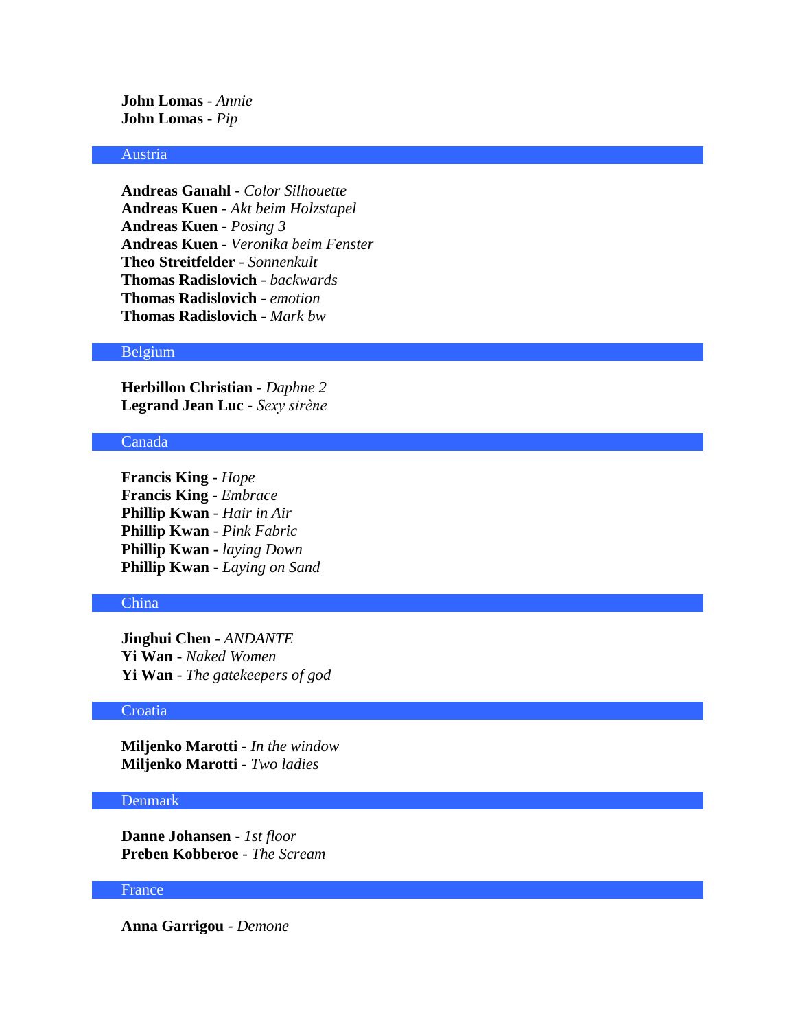**John Lomas** - *Annie* **John Lomas** - *Pip*

# Austria

**Andreas Ganahl** - *Color Silhouette* **Andreas Kuen** - *Akt beim Holzstapel* **Andreas Kuen** - *Posing 3* **Andreas Kuen** - *Veronika beim Fenster* **Theo Streitfelder** - *Sonnenkult* **Thomas Radislovich** - *backwards* **Thomas Radislovich** - *emotion* **Thomas Radislovich** - *Mark bw*

### Belgium

**Herbillon Christian** - *Daphne 2* **Legrand Jean Luc** - *Sexy sirène*

# Canada

**Francis King** - *Hope* **Francis King** - *Embrace* **Phillip Kwan** - *Hair in Air* **Phillip Kwan** - *Pink Fabric* **Phillip Kwan** - *laying Down* **Phillip Kwan** - *Laying on Sand*

### China

**Jinghui Chen** - *ANDANTE* **Yi Wan** - *Naked Women* **Yi Wan** - *The gatekeepers of god*

#### **Croatia**

**Miljenko Marotti** - *In the window* **Miljenko Marotti** - *Two ladies*

### Denmark

**Danne Johansen** - *1st floor* **Preben Kobberoe** - *The Scream*

### France

**Anna Garrigou** - *Demone*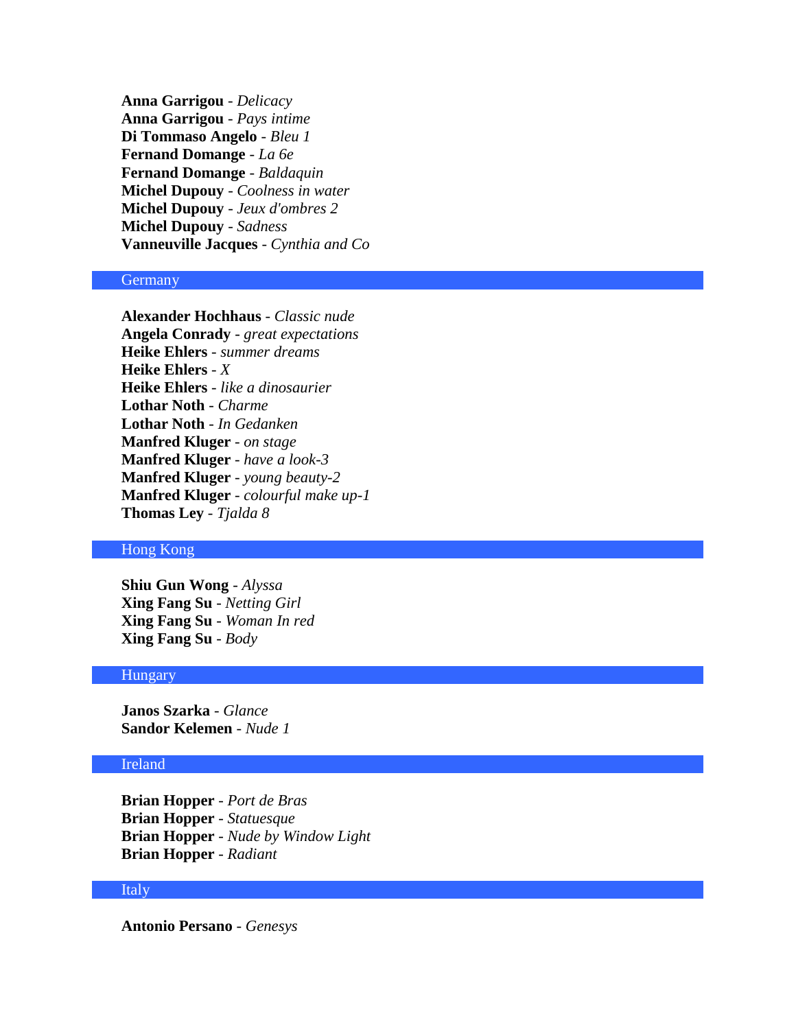**Anna Garrigou** - *Delicacy* **Anna Garrigou** - *Pays intime* **Di Tommaso Angelo** - *Bleu 1* **Fernand Domange** - *La 6e* **Fernand Domange** - *Baldaquin* **Michel Dupouy** - *Coolness in water* **Michel Dupouy** - *Jeux d'ombres 2* **Michel Dupouy** - *Sadness* **Vanneuville Jacques** - *Cynthia and Co*

### **Germany**

**Alexander Hochhaus** - *Classic nude* **Angela Conrady** - *great expectations* **Heike Ehlers** - *summer dreams* **Heike Ehlers** - *X* **Heike Ehlers** - *like a dinosaurier* **Lothar Noth** - *Charme* **Lothar Noth** - *In Gedanken* **Manfred Kluger** - *on stage* **Manfred Kluger** - *have a look-3* **Manfred Kluger** - *young beauty-2* **Manfred Kluger** - *colourful make up-1* **Thomas Ley** - *Tjalda 8*

### Hong Kong

**Shiu Gun Wong** - *Alyssa* **Xing Fang Su** - *Netting Girl* **Xing Fang Su** - *Woman In red* **Xing Fang Su** - *Body*

#### **Hungary**

**Janos Szarka** - *Glance* **Sandor Kelemen** - *Nude 1*

# Ireland

**Brian Hopper** - *Port de Bras* **Brian Hopper** - *Statuesque* **Brian Hopper** - *Nude by Window Light* **Brian Hopper** - *Radiant*

### Italy

**Antonio Persano** - *Genesys*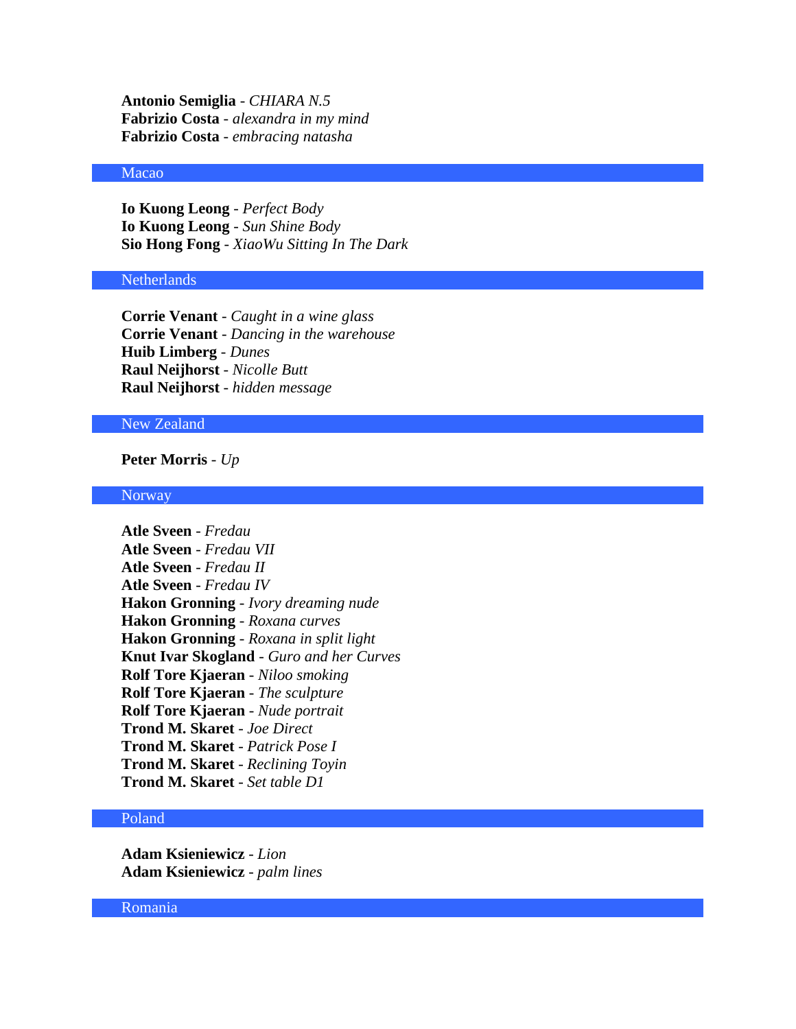**Antonio Semiglia** - *CHIARA N.5* **Fabrizio Costa** - *alexandra in my mind* **Fabrizio Costa** - *embracing natasha*

# Macao

**Io Kuong Leong** - *Perfect Body* **Io Kuong Leong** - *Sun Shine Body* **Sio Hong Fong** - *XiaoWu Sitting In The Dark*

#### Netherlands

**Corrie Venant** - *Caught in a wine glass* **Corrie Venant** - *Dancing in the warehouse* **Huib Limberg** - *Dunes* **Raul Neijhorst** - *Nicolle Butt* **Raul Neijhorst** - *hidden message*

# New Zealand

### **Peter Morris** - *Up*

#### Norway

**Atle Sveen** - *Fredau* **Atle Sveen** - *Fredau VII* **Atle Sveen** - *Fredau II* **Atle Sveen** - *Fredau IV* **Hakon Gronning** - *Ivory dreaming nude* **Hakon Gronning** - *Roxana curves* **Hakon Gronning** - *Roxana in split light* **Knut Ivar Skogland** - *Guro and her Curves* **Rolf Tore Kjaeran** - *Niloo smoking* **Rolf Tore Kjaeran** - *The sculpture* **Rolf Tore Kjaeran** - *Nude portrait* **Trond M. Skaret** - *Joe Direct* **Trond M. Skaret** - *Patrick Pose I* **Trond M. Skaret** - *Reclining Toyin* **Trond M. Skaret** - *Set table D1*

### Poland

**Adam Ksieniewicz** - *Lion* **Adam Ksieniewicz** - *palm lines*

### Romania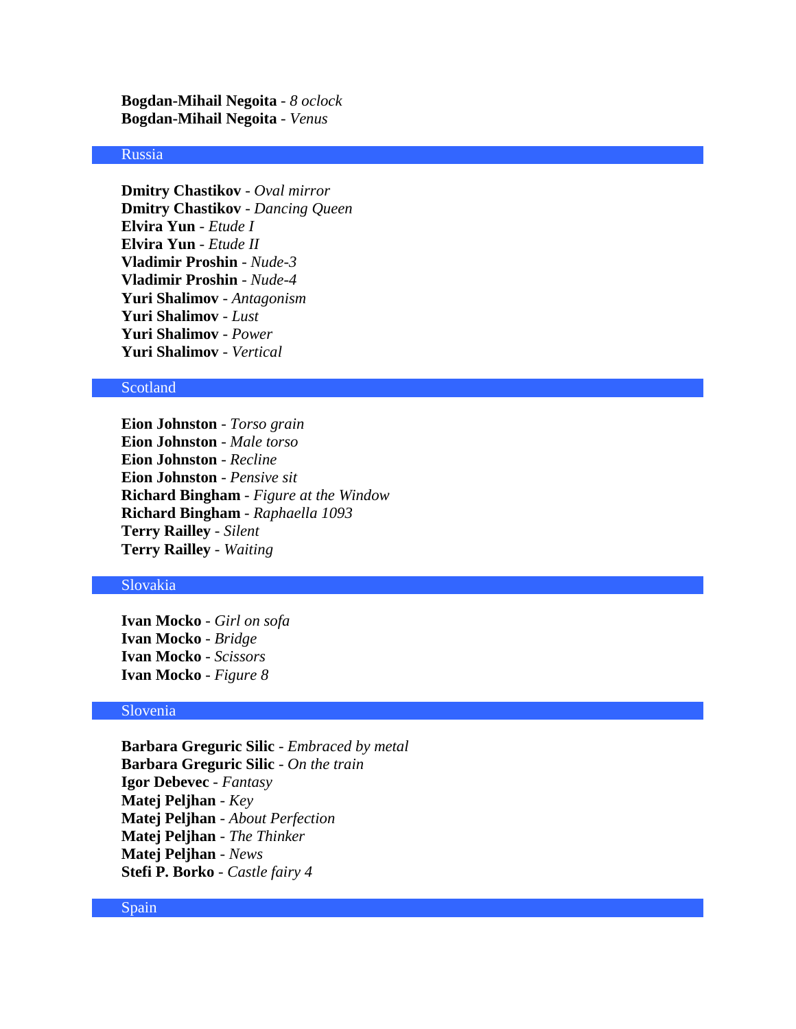**Bogdan-Mihail Negoita** - *8 oclock* **Bogdan-Mihail Negoita** - *Venus*

### Russia

**Dmitry Chastikov** - *Oval mirror* **Dmitry Chastikov** - *Dancing Queen* **Elvira Yun** - *Etude I* **Elvira Yun** - *Etude II* **Vladimir Proshin** - *Nude-3* **Vladimir Proshin** - *Nude-4* **Yuri Shalimov** - *Antagonism* **Yuri Shalimov** - *Lust* **Yuri Shalimov** - *Power* **Yuri Shalimov** - *Vertical*

#### **Scotland**

**Eion Johnston** - *Torso grain* **Eion Johnston** - *Male torso* **Eion Johnston** - *Recline* **Eion Johnston** - *Pensive sit* **Richard Bingham** - *Figure at the Window* **Richard Bingham** - *Raphaella 1093* **Terry Railley** - *Silent* **Terry Railley** - *Waiting*

#### Slovakia

**Ivan Mocko** - *Girl on sofa* **Ivan Mocko** - *Bridge* **Ivan Mocko** - *Scissors* **Ivan Mocko** - *Figure 8*

### Slovenia

**Barbara Greguric Silic** - *Embraced by metal* **Barbara Greguric Silic** - *On the train* **Igor Debevec** - *Fantasy* **Matej Peljhan** - *Key* **Matej Peljhan** - *About Perfection* **Matej Peljhan** - *The Thinker* **Matej Peljhan** - *News* **Stefi P. Borko** - *Castle fairy 4*

#### Spain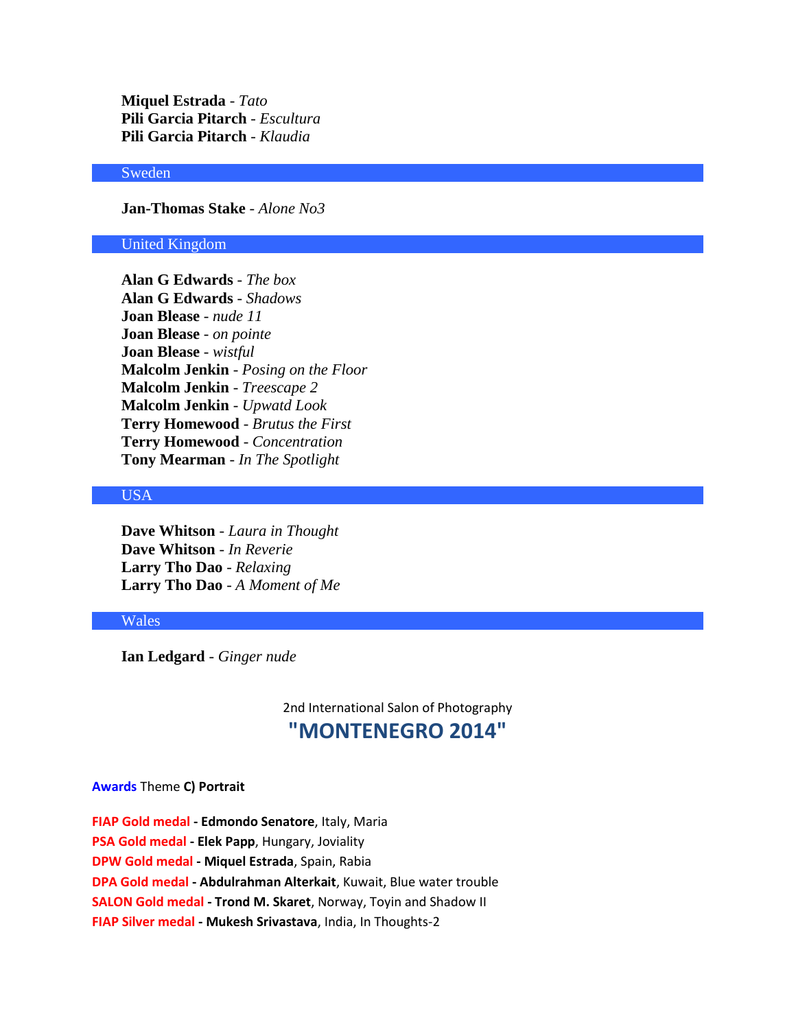**Miquel Estrada** - *Tato* **Pili Garcia Pitarch** - *Escultura* **Pili Garcia Pitarch** - *Klaudia*

# Sweden

**Jan-Thomas Stake** - *Alone No3*

#### United Kingdom

**Alan G Edwards** - *The box* **Alan G Edwards** - *Shadows* **Joan Blease** - *nude 11* **Joan Blease** - *on pointe* **Joan Blease** - *wistful* **Malcolm Jenkin** - *Posing on the Floor* **Malcolm Jenkin** - *Treescape 2* **Malcolm Jenkin** - *Upwatd Look* **Terry Homewood** - *Brutus the First* **Terry Homewood** - *Concentration* **Tony Mearman** - *In The Spotlight*

# USA

**Dave Whitson** - *Laura in Thought* **Dave Whitson** - *In Reverie* **Larry Tho Dao** - *Relaxing* **Larry Tho Dao** - *A Moment of Me*

#### Wales

**Ian Ledgard** - *Ginger nude*

2nd International Salon of Photography **"MONTENEGRO 2014"**

#### **Awards** Theme **C) Portrait**

**FIAP Gold medal - Edmondo Senatore**, Italy, Maria **PSA Gold medal - Elek Papp**, Hungary, Joviality **DPW Gold medal - Miquel Estrada**, Spain, Rabia **DPA Gold medal - Abdulrahman Alterkait**, Kuwait, Blue water trouble **SALON Gold medal - Trond M. Skaret**, Norway, Toyin and Shadow II **FIAP Silver medal - Mukesh Srivastava**, India, In Thoughts-2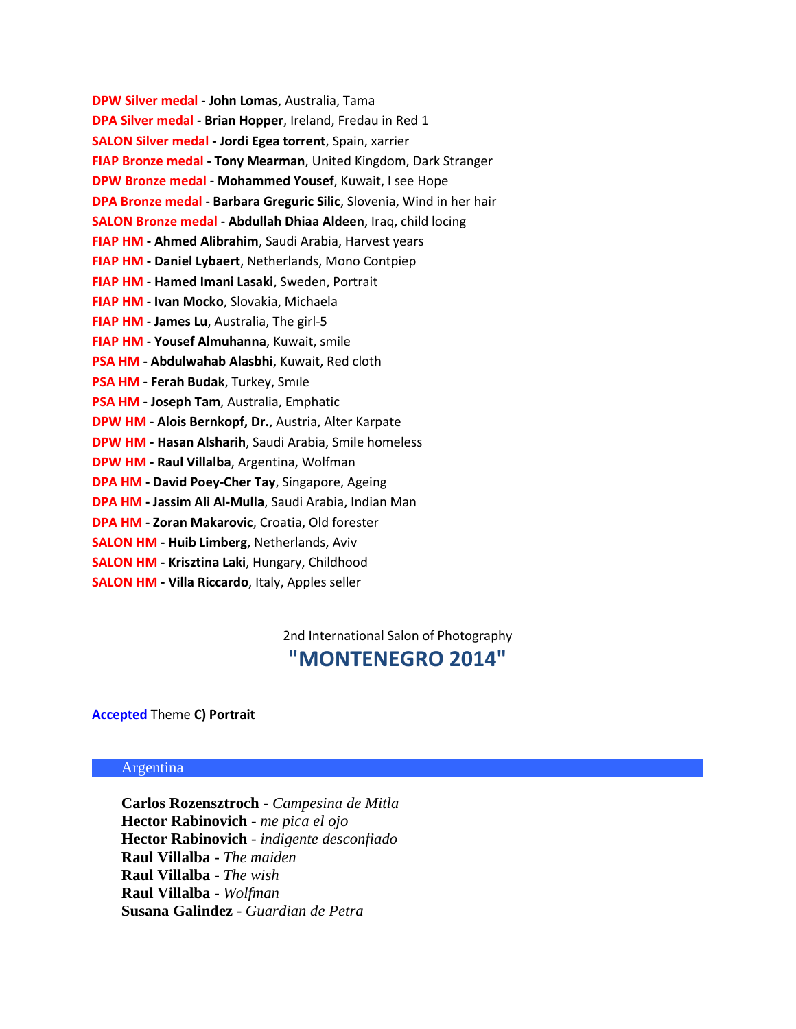**DPW Silver medal - John Lomas**, Australia, Tama **DPA Silver medal - Brian Hopper**, Ireland, Fredau in Red 1 **SALON Silver medal - Jordi Egea torrent**, Spain, xarrier **FIAP Bronze medal - Tony Mearman**, United Kingdom, Dark Stranger **DPW Bronze medal - Mohammed Yousef**, Kuwait, I see Hope **DPA Bronze medal - Barbara Greguric Silic**, Slovenia, Wind in her hair **SALON Bronze medal - Abdullah Dhiaa Aldeen**, Iraq, child locing **FIAP HM - Ahmed Alibrahim**, Saudi Arabia, Harvest years **FIAP HM - Daniel Lybaert**, Netherlands, Mono Contpiep **FIAP HM - Hamed Imani Lasaki**, Sweden, Portrait **FIAP HM - Ivan Mocko**, Slovakia, Michaela **FIAP HM - James Lu**, Australia, The girl-5 **FIAP HM - Yousef Almuhanna**, Kuwait, smile **PSA HM - Abdulwahab Alasbhi**, Kuwait, Red cloth **PSA HM - Ferah Budak**, Turkey, Smıle **PSA HM - Joseph Tam**, Australia, Emphatic **DPW HM - Alois Bernkopf, Dr.**, Austria, Alter Karpate **DPW HM - Hasan Alsharih**, Saudi Arabia, Smile homeless **DPW HM - Raul Villalba**, Argentina, Wolfman **DPA HM - David Poey-Cher Tay**, Singapore, Ageing **DPA HM - Jassim Ali Al-Mulla**, Saudi Arabia, Indian Man **DPA HM - Zoran Makarovic**, Croatia, Old forester **SALON HM - Huib Limberg**, Netherlands, Aviv **SALON HM - Krisztina Laki**, Hungary, Childhood **SALON HM - Villa Riccardo**, Italy, Apples seller

> 2nd International Salon of Photography **"MONTENEGRO 2014"**

#### **Accepted** Theme **C) Portrait**

#### Argentina

**Carlos Rozensztroch** - *Campesina de Mitla* **Hector Rabinovich** - *me pica el ojo* **Hector Rabinovich** - *indigente desconfiado* **Raul Villalba** - *The maiden* **Raul Villalba** - *The wish* **Raul Villalba** - *Wolfman* **Susana Galindez** - *Guardian de Petra*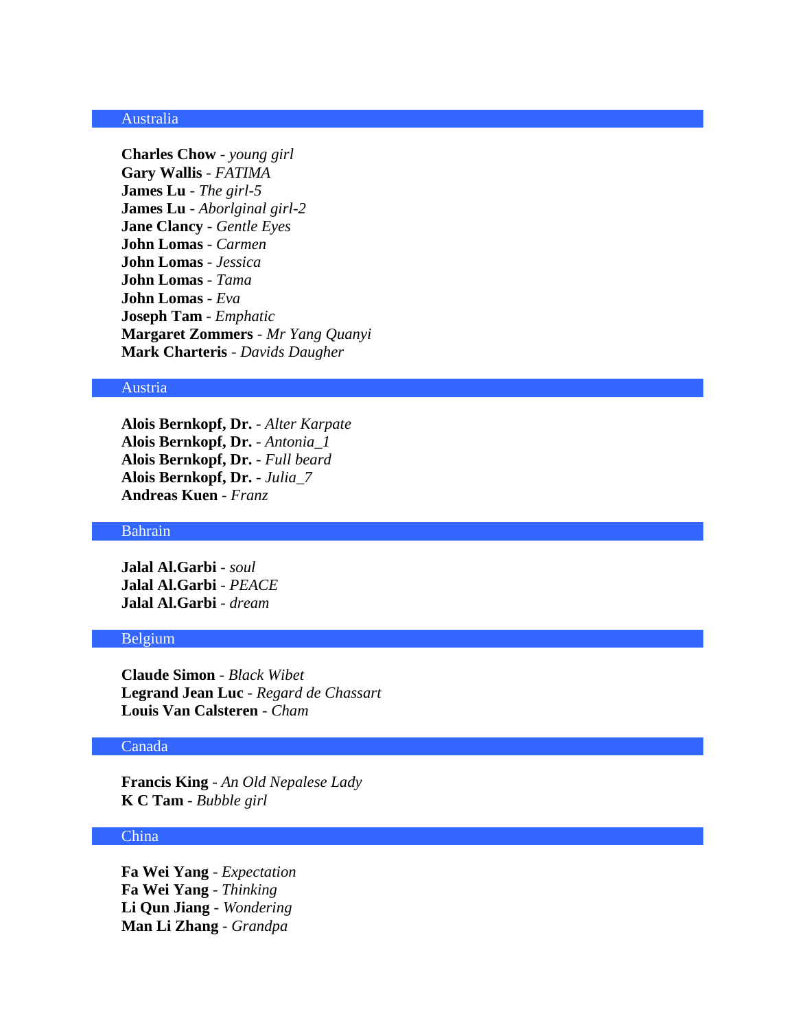### Australia

**Charles Chow** - *young girl* **Gary Wallis** - *FATIMA* **James Lu** - *The girl-5* **James Lu** - *Aborlginal girl-2* **Jane Clancy** - *Gentle Eyes* **John Lomas** - *Carmen* **John Lomas** - *Jessica* **John Lomas** - *Tama* **John Lomas** - *Eva* **Joseph Tam** - *Emphatic* **Margaret Zommers** - *Mr Yang Quanyi* **Mark Charteris** - *Davids Daugher*

### Austria

**Alois Bernkopf, Dr.** - *Alter Karpate* **Alois Bernkopf, Dr.** - *Antonia\_1* **Alois Bernkopf, Dr.** - *Full beard* **Alois Bernkopf, Dr.** - *Julia\_7* **Andreas Kuen** - *Franz*

#### Bahrain

**Jalal Al.Garbi** - *soul* **Jalal Al.Garbi** - *PEACE* **Jalal Al.Garbi** - *dream*

#### Belgium

**Claude Simon** - *Black Wibet* **Legrand Jean Luc** - *Regard de Chassart* **Louis Van Calsteren** - *Cham*

# Canada

**Francis King** - *An Old Nepalese Lady* **K C Tam** - *Bubble girl*

# China

**Fa Wei Yang** - *Expectation* **Fa Wei Yang** - *Thinking* **Li Qun Jiang** - *Wondering* **Man Li Zhang** - *Grandpa*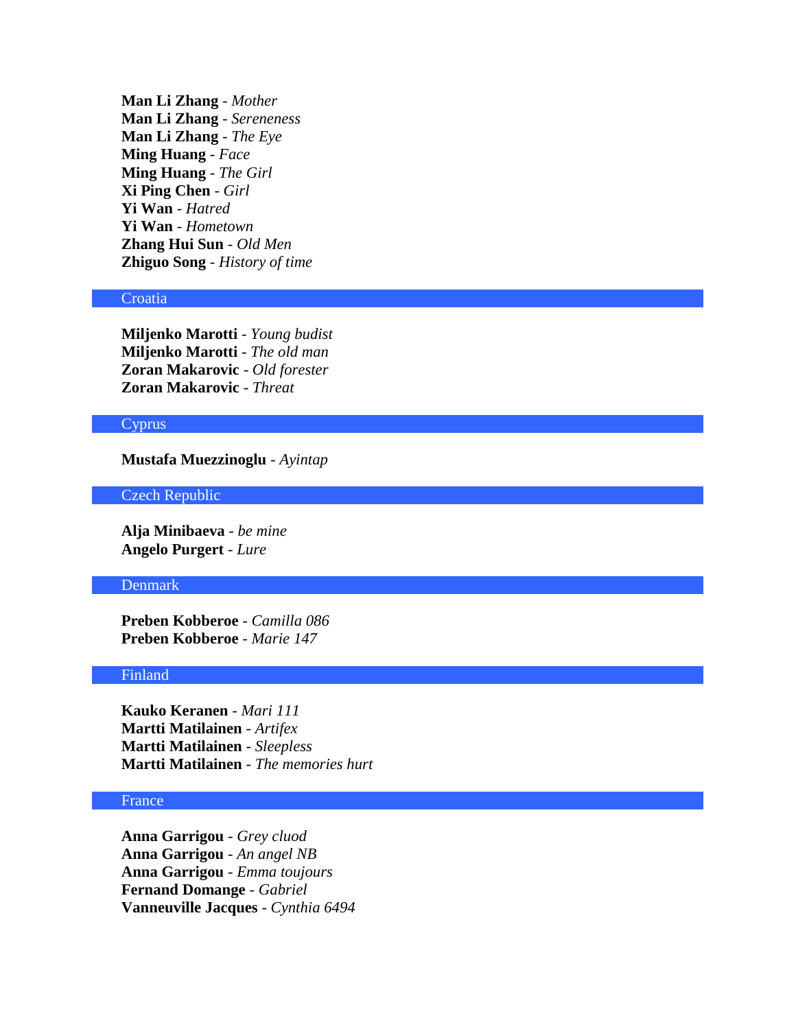**Man Li Zhang** - *Mother* **Man Li Zhang** - *Sereneness* **Man Li Zhang** - *The Eye* **Ming Huang** - *Face* **Ming Huang** - *The Girl* **Xi Ping Chen** - *Girl* **Yi Wan** - *Hatred* **Yi Wan** - *Hometown* **Zhang Hui Sun** - *Old Men* **Zhiguo Song** - *History of time*

#### **Croatia**

**Miljenko Marotti** - *Young budist* **Miljenko Marotti** - *The old man* **Zoran Makarovic** - *Old forester* **Zoran Makarovic** - *Threat*

### Cyprus

**Mustafa Muezzinoglu** - *Ayintap*

# Czech Republic

**Alja Minibaeva** - *be mine* **Angelo Purgert** - *Lure*

#### Denmark

**Preben Kobberoe** - *Camilla 086* **Preben Kobberoe** - *Marie 147*

### Finland

**Kauko Keranen** - *Mari 111* **Martti Matilainen** - *Artifex* **Martti Matilainen** - *Sleepless* **Martti Matilainen** - *The memories hurt*

# France

**Anna Garrigou** - *Grey cluod* **Anna Garrigou** - *An angel NB* **Anna Garrigou** - *Emma toujours* **Fernand Domange** - *Gabriel* **Vanneuville Jacques** - *Cynthia 6494*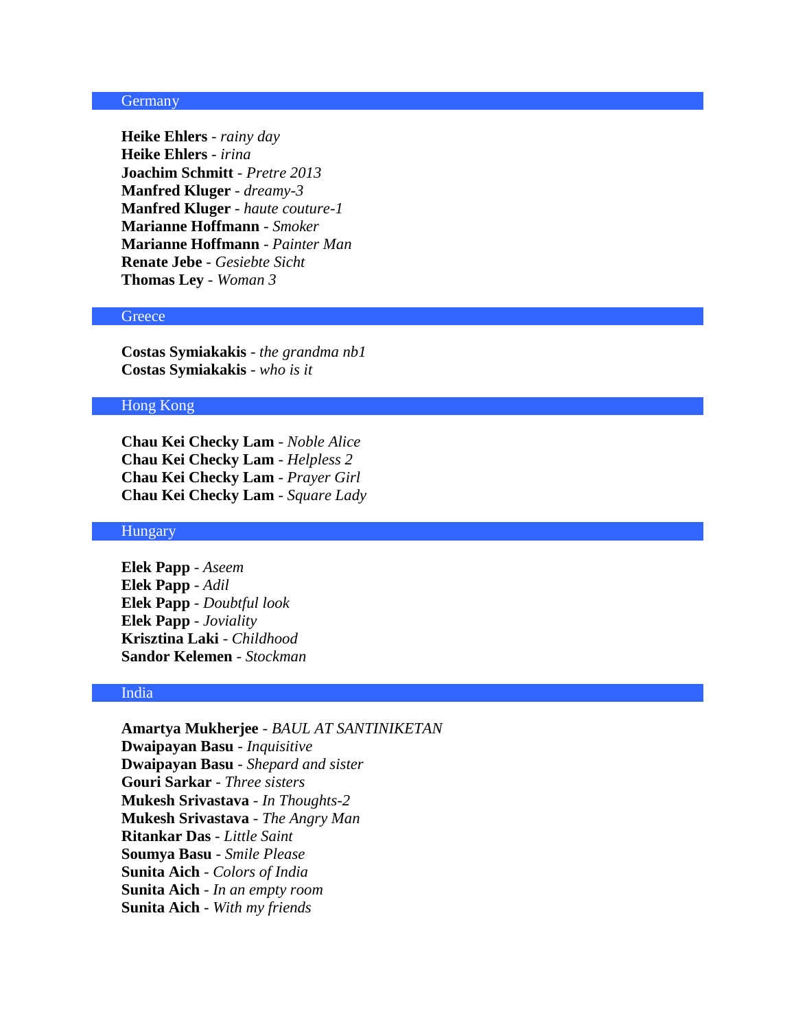### **Germany**

**Heike Ehlers** - *rainy day* **Heike Ehlers** - *irina* **Joachim Schmitt** - *Pretre 2013* **Manfred Kluger** - *dreamy-3* **Manfred Kluger** - *haute couture-1* **Marianne Hoffmann** - *Smoker* **Marianne Hoffmann** - *Painter Man* **Renate Jebe** - *Gesiebte Sicht* **Thomas Ley** - *Woman 3*

### **Greece**

**Costas Symiakakis** - *the grandma nb1* **Costas Symiakakis** - *who is it*

### Hong Kong

**Chau Kei Checky Lam** - *Noble Alice* **Chau Kei Checky Lam** - *Helpless 2* **Chau Kei Checky Lam** - *Prayer Girl* **Chau Kei Checky Lam** - *Square Lady*

#### **Hungary**

**Elek Papp** - *Aseem* **Elek Papp** - *Adil* **Elek Papp** - *Doubtful look* **Elek Papp** - *Joviality* **Krisztina Laki** - *Childhood* **Sandor Kelemen** - *Stockman*

### India

**Amartya Mukherjee** - *BAUL AT SANTINIKETAN* **Dwaipayan Basu** - *Inquisitive* **Dwaipayan Basu** - *Shepard and sister* **Gouri Sarkar** - *Three sisters* **Mukesh Srivastava** - *In Thoughts-2* **Mukesh Srivastava** - *The Angry Man* **Ritankar Das** - *Little Saint* **Soumya Basu** - *Smile Please* **Sunita Aich** - *Colors of India* **Sunita Aich** - *In an empty room* **Sunita Aich** - *With my friends*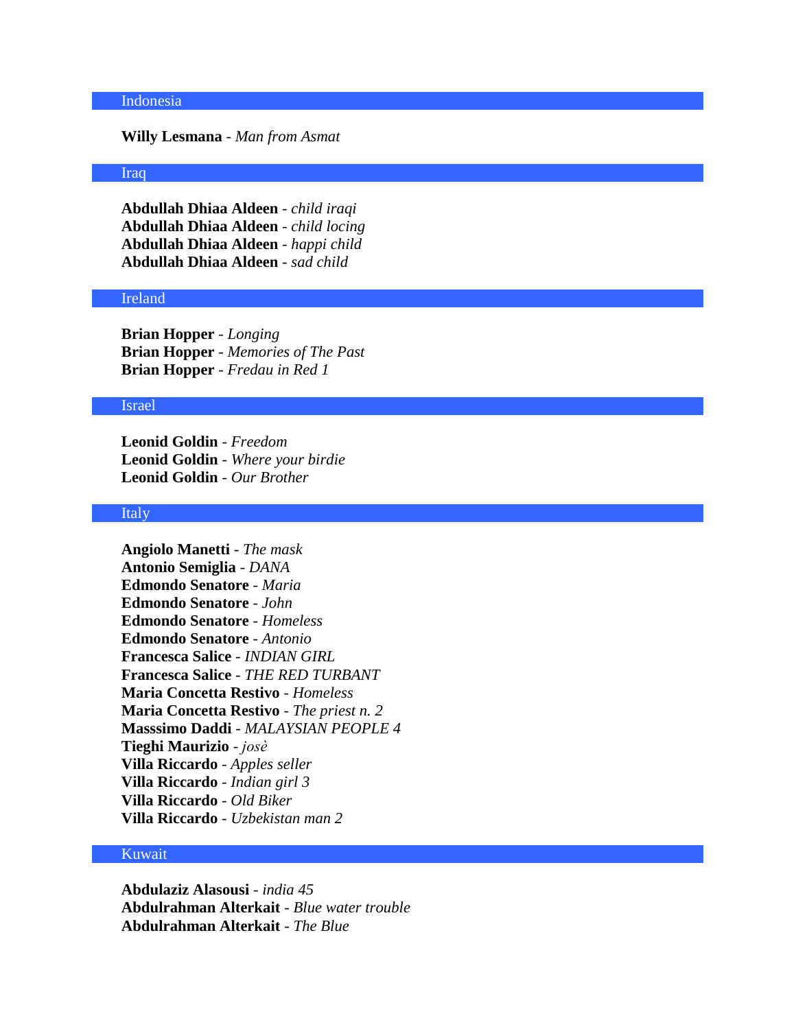#### Indonesia

### **Willy Lesmana** - *Man from Asmat*

### Iraq

**Abdullah Dhiaa Aldeen** - *child iraqi* **Abdullah Dhiaa Aldeen** - *child locing* **Abdullah Dhiaa Aldeen** - *happi child* **Abdullah Dhiaa Aldeen** - *sad child*

#### Ireland

**Brian Hopper** - *Longing* **Brian Hopper** - *Memories of The Past* **Brian Hopper** - *Fredau in Red 1*

#### Israel

**Leonid Goldin** - *Freedom* **Leonid Goldin** - *Where your birdie* **Leonid Goldin** - *Our Brother*

# Italy

**Angiolo Manetti** - *The mask* **Antonio Semiglia** - *DANA* **Edmondo Senatore** - *Maria* **Edmondo Senatore** - *John* **Edmondo Senatore** - *Homeless* **Edmondo Senatore** - *Antonio* **Francesca Salice** - *INDIAN GIRL* **Francesca Salice** - *THE RED TURBANT* **Maria Concetta Restivo** - *Homeless* **Maria Concetta Restivo** - *The priest n. 2* **Masssimo Daddi** - *MALAYSIAN PEOPLE 4* **Tieghi Maurizio** - *josè* **Villa Riccardo** - *Apples seller* **Villa Riccardo** - *Indian girl 3* **Villa Riccardo** - *Old Biker* **Villa Riccardo** - *Uzbekistan man 2*

### Kuwait

**Abdulaziz Alasousi** - *india 45* **Abdulrahman Alterkait** - *Blue water trouble* **Abdulrahman Alterkait** - *The Blue*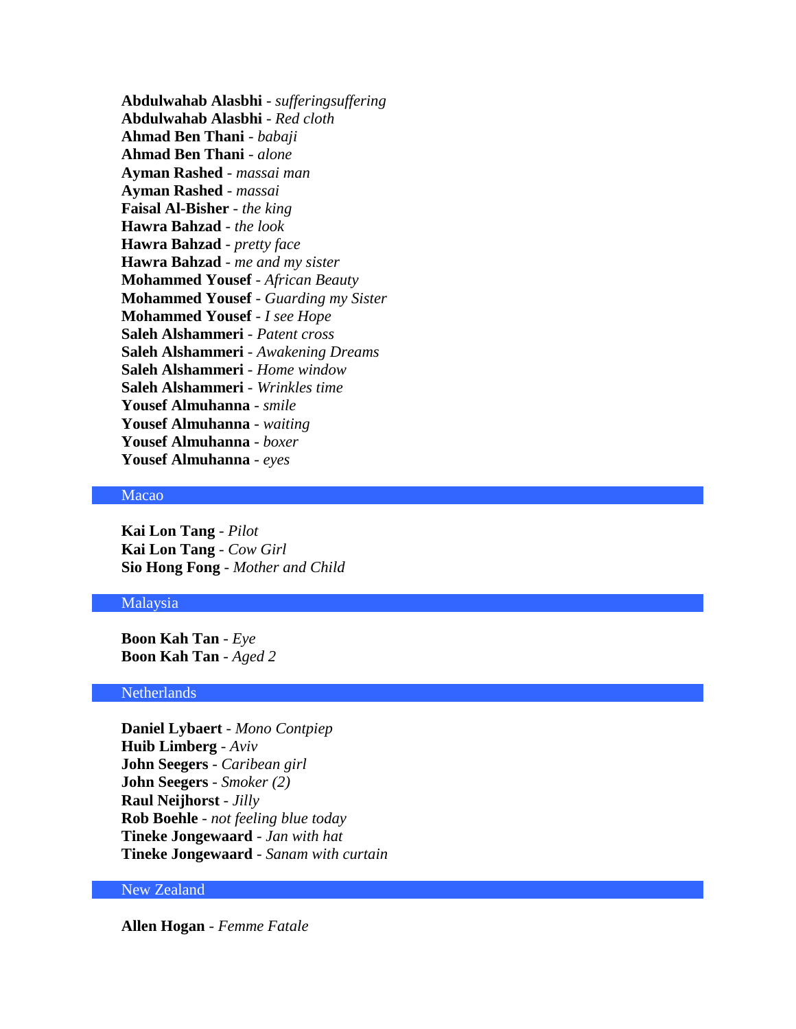**Abdulwahab Alasbhi** - *sufferingsuffering* **Abdulwahab Alasbhi** - *Red cloth* **Ahmad Ben Thani** - *babaji* **Ahmad Ben Thani** - *alone* **Ayman Rashed** - *massai man* **Ayman Rashed** - *massai* **Faisal Al-Bisher** - *the king* **Hawra Bahzad** - *the look* **Hawra Bahzad** - *pretty face* **Hawra Bahzad** - *me and my sister* **Mohammed Yousef** - *African Beauty* **Mohammed Yousef** - *Guarding my Sister* **Mohammed Yousef** - *I see Hope* **Saleh Alshammeri** - *Patent cross* **Saleh Alshammeri** - *Awakening Dreams* **Saleh Alshammeri** - *Home window* **Saleh Alshammeri** - *Wrinkles time* **Yousef Almuhanna** - *smile* **Yousef Almuhanna** - *waiting* **Yousef Almuhanna** - *boxer* **Yousef Almuhanna** - *eyes*

# Macao

**Kai Lon Tang** - *Pilot* **Kai Lon Tang** - *Cow Girl* **Sio Hong Fong** - *Mother and Child*

#### Malaysia

**Boon Kah Tan** - *Eye* **Boon Kah Tan** - *Aged 2*

### **Netherlands**

**Daniel Lybaert** - *Mono Contpiep* **Huib Limberg** - *Aviv* **John Seegers** - *Caribean girl* **John Seegers** - *Smoker (2)* **Raul Neijhorst** - *Jilly* **Rob Boehle** - *not feeling blue today* **Tineke Jongewaard** - *Jan with hat* **Tineke Jongewaard** - *Sanam with curtain*

# New Zealand

**Allen Hogan** - *Femme Fatale*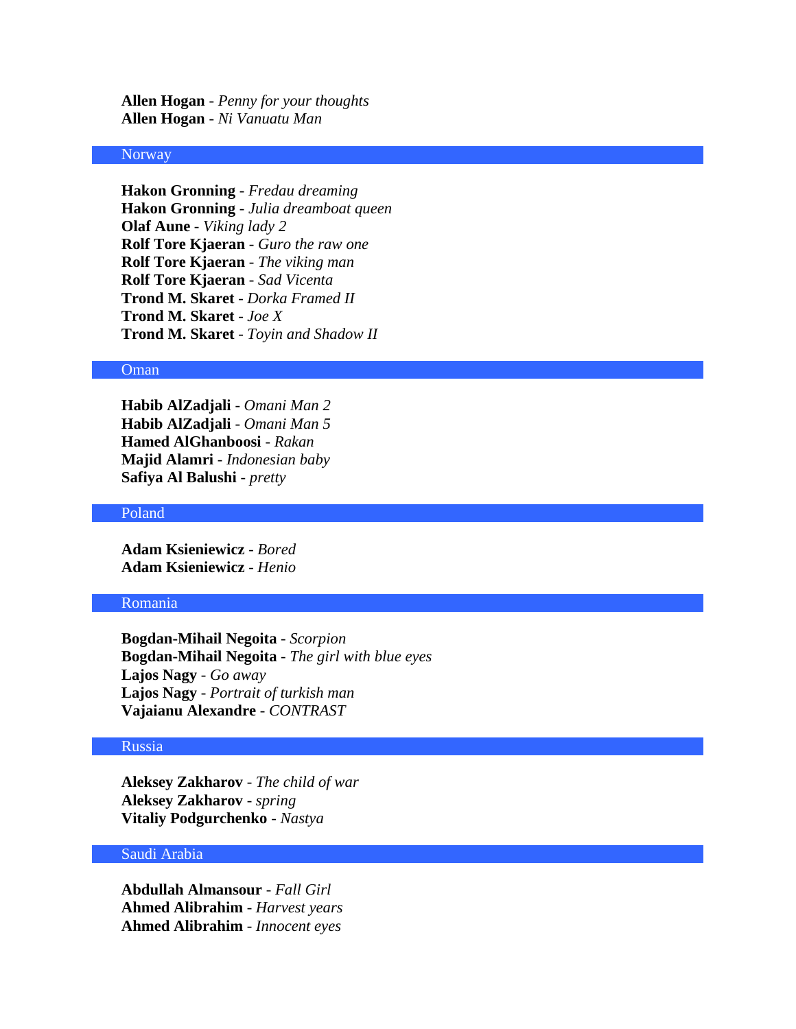**Allen Hogan** - *Penny for your thoughts* **Allen Hogan** - *Ni Vanuatu Man*

### Norway

**Hakon Gronning** - *Fredau dreaming* **Hakon Gronning** - *Julia dreamboat queen* **Olaf Aune** - *Viking lady 2* **Rolf Tore Kjaeran** - *Guro the raw one* **Rolf Tore Kjaeran** - *The viking man* **Rolf Tore Kjaeran** - *Sad Vicenta* **Trond M. Skaret** - *Dorka Framed II* **Trond M. Skaret** - *Joe X* **Trond M. Skaret** - *Toyin and Shadow II*

#### Oman

**Habib AlZadjali** - *Omani Man 2* **Habib AlZadjali** - *Omani Man 5* **Hamed AlGhanboosi** - *Rakan* **Majid Alamri** - *Indonesian baby* **Safiya Al Balushi** - *pretty*

#### Poland

**Adam Ksieniewicz** - *Bored* **Adam Ksieniewicz** - *Henio*

### Romania

**Bogdan-Mihail Negoita** - *Scorpion* **Bogdan-Mihail Negoita** - *The girl with blue eyes* **Lajos Nagy** - *Go away* **Lajos Nagy** - *Portrait of turkish man* **Vajaianu Alexandre** - *CONTRAST*

# Russia

**Aleksey Zakharov** - *The child of war* **Aleksey Zakharov** - *spring* **Vitaliy Podgurchenko** - *Nastya*

### Saudi Arabia

**Abdullah Almansour** - *Fall Girl* **Ahmed Alibrahim** - *Harvest years* **Ahmed Alibrahim** - *Innocent eyes*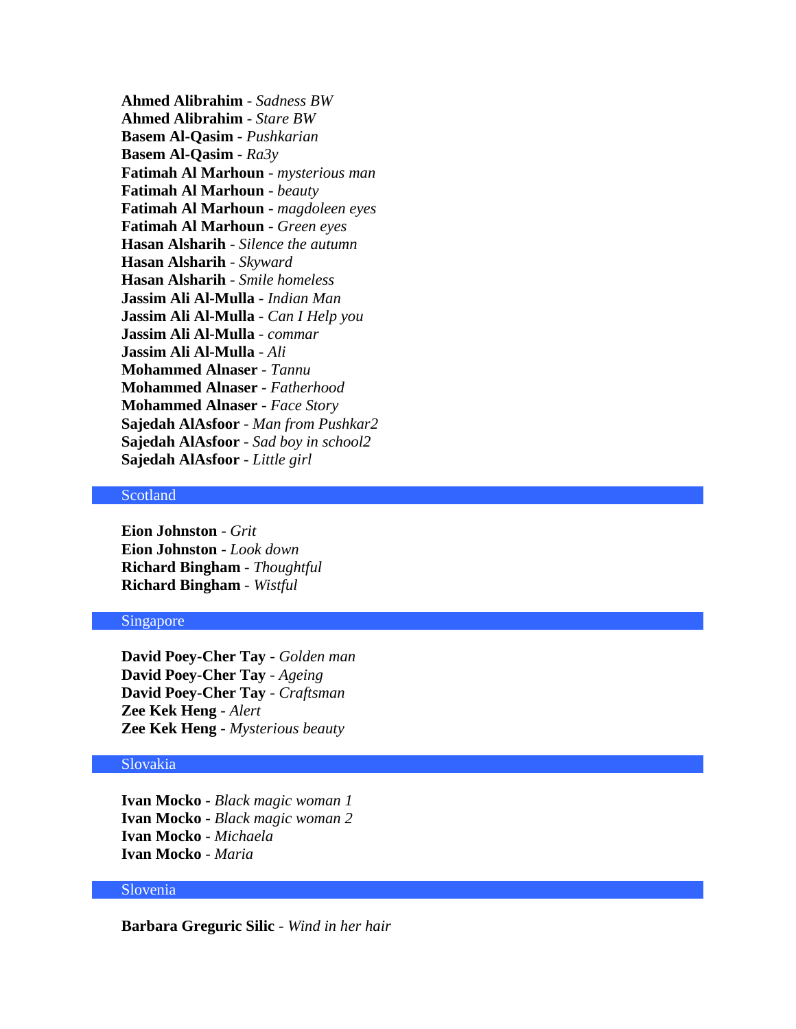**Ahmed Alibrahim** - *Sadness BW* **Ahmed Alibrahim** - *Stare BW* **Basem Al-Qasim** - *Pushkarian* **Basem Al-Qasim** - *Ra3y* **Fatimah Al Marhoun** - *mysterious man* **Fatimah Al Marhoun** - *beauty* **Fatimah Al Marhoun** - *magdoleen eyes* **Fatimah Al Marhoun** - *Green eyes* **Hasan Alsharih** - *Silence the autumn* **Hasan Alsharih** - *Skyward* **Hasan Alsharih** - *Smile homeless* **Jassim Ali Al-Mulla** - *Indian Man* **Jassim Ali Al-Mulla** - *Can I Help you* **Jassim Ali Al-Mulla** - *commar* **Jassim Ali Al-Mulla** - *Ali* **Mohammed Alnaser** - *Tannu* **Mohammed Alnaser** - *Fatherhood* **Mohammed Alnaser** - *Face Story* **Sajedah AlAsfoor** - *Man from Pushkar2* **Sajedah AlAsfoor** - *Sad boy in school2* **Sajedah AlAsfoor** - *Little girl*

# Scotland

**Eion Johnston** - *Grit* **Eion Johnston** - *Look down* **Richard Bingham** - *Thoughtful* **Richard Bingham** - *Wistful*

#### Singapore

**David Poey-Cher Tay** - *Golden man* **David Poey-Cher Tay** - *Ageing* **David Poey-Cher Tay** - *Craftsman* **Zee Kek Heng** - *Alert* **Zee Kek Heng** - *Mysterious beauty*

### Slovakia

**Ivan Mocko** - *Black magic woman 1* **Ivan Mocko** - *Black magic woman 2* **Ivan Mocko** - *Michaela* **Ivan Mocko** - *Maria*

### Slovenia

**Barbara Greguric Silic** - *Wind in her hair*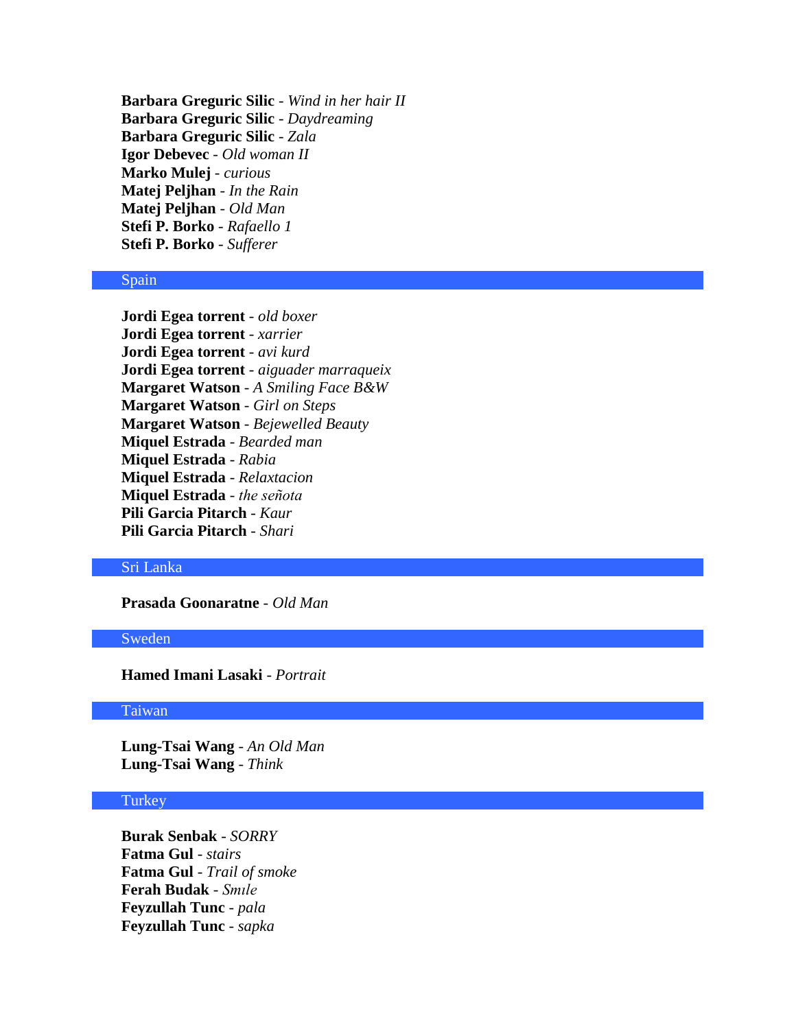**Barbara Greguric Silic** - *Wind in her hair II* **Barbara Greguric Silic** - *Daydreaming* **Barbara Greguric Silic** - *Zala* **Igor Debevec** - *Old woman II* **Marko Mulej** - *curious* **Matej Peljhan** - *In the Rain* **Matej Peljhan** - *Old Man* **Stefi P. Borko** - *Rafaello 1* **Stefi P. Borko** - *Sufferer*

#### Spain

**Jordi Egea torrent** - *old boxer* **Jordi Egea torrent** - *xarrier* **Jordi Egea torrent** - *avi kurd* **Jordi Egea torrent** - *aiguader marraqueix* **Margaret Watson** - *A Smiling Face B&W* **Margaret Watson** - *Girl on Steps* **Margaret Watson** - *Bejewelled Beauty* **Miquel Estrada** - *Bearded man* **Miquel Estrada** - *Rabia* **Miquel Estrada** - *Relaxtacion* **Miquel Estrada** - *the señota* **Pili Garcia Pitarch** - *Kaur* **Pili Garcia Pitarch** - *Shari*

### Sri Lanka

**Prasada Goonaratne** - *Old Man*

### Sweden

**Hamed Imani Lasaki** - *Portrait*

#### Taiwan

**Lung-Tsai Wang** - *An Old Man* **Lung-Tsai Wang** - *Think*

#### **Turkey**

**Burak Senbak** - *SORRY* **Fatma Gul** - *stairs* **Fatma Gul** - *Trail of smoke* **Ferah Budak** - *Smıle* **Feyzullah Tunc** - *pala* **Feyzullah Tunc** - *sapka*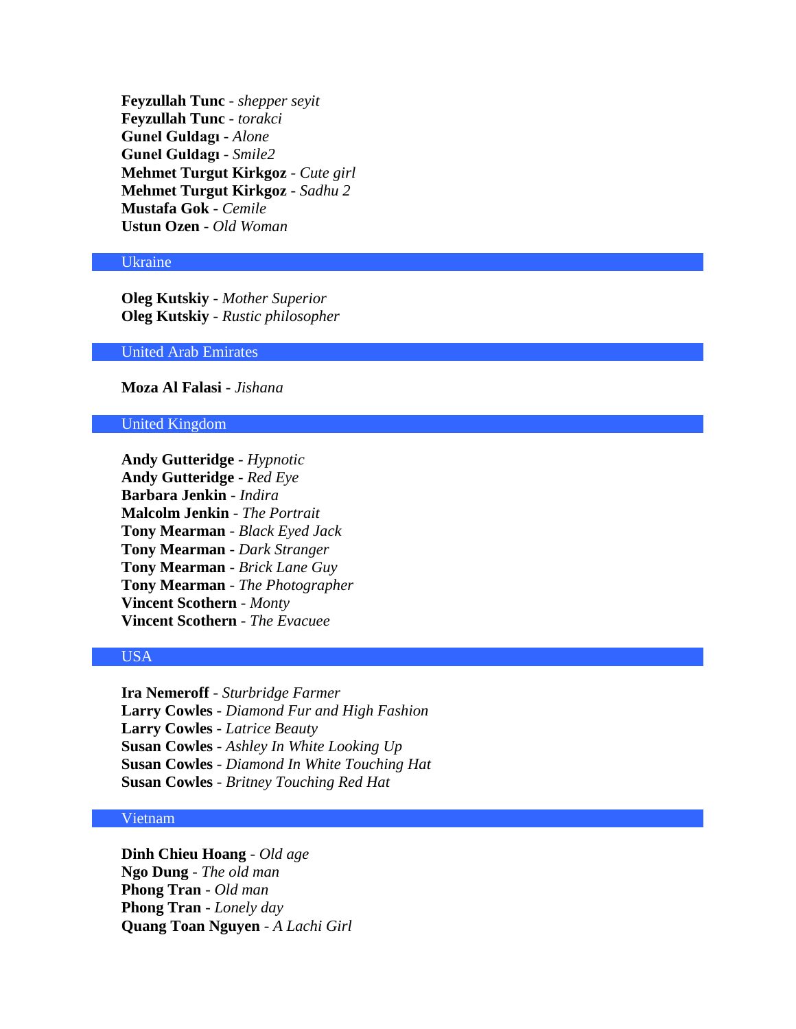**Feyzullah Tunc** - *shepper seyit* **Feyzullah Tunc** - *torakci* **Gunel Guldagı** - *Alone* **Gunel Guldagı** - *Smile2* **Mehmet Turgut Kirkgoz** - *Cute girl* **Mehmet Turgut Kirkgoz** - *Sadhu 2* **Mustafa Gok** - *Cemile* **Ustun Ozen** - *Old Woman*

### Ukraine

**Oleg Kutskiy** - *Mother Superior* **Oleg Kutskiy** - *Rustic philosopher*

United Arab Emirates

**Moza Al Falasi** - *Jishana*

# United Kingdom

**Andy Gutteridge** - *Hypnotic* **Andy Gutteridge** - *Red Eye* **Barbara Jenkin** - *Indira* **Malcolm Jenkin** - *The Portrait* **Tony Mearman** - *Black Eyed Jack* **Tony Mearman** - *Dark Stranger* **Tony Mearman** - *Brick Lane Guy* **Tony Mearman** - *The Photographer* **Vincent Scothern** - *Monty* **Vincent Scothern** - *The Evacuee*

# USA

**Ira Nemeroff** - *Sturbridge Farmer* **Larry Cowles** - *Diamond Fur and High Fashion* **Larry Cowles** - *Latrice Beauty* **Susan Cowles** - *Ashley In White Looking Up* **Susan Cowles** - *Diamond In White Touching Hat* **Susan Cowles** - *Britney Touching Red Hat*

# Vietnam

**Dinh Chieu Hoang** - *Old age* **Ngo Dung** - *The old man* **Phong Tran** - *Old man* **Phong Tran** - *Lonely day* **Quang Toan Nguyen** - *A Lachi Girl*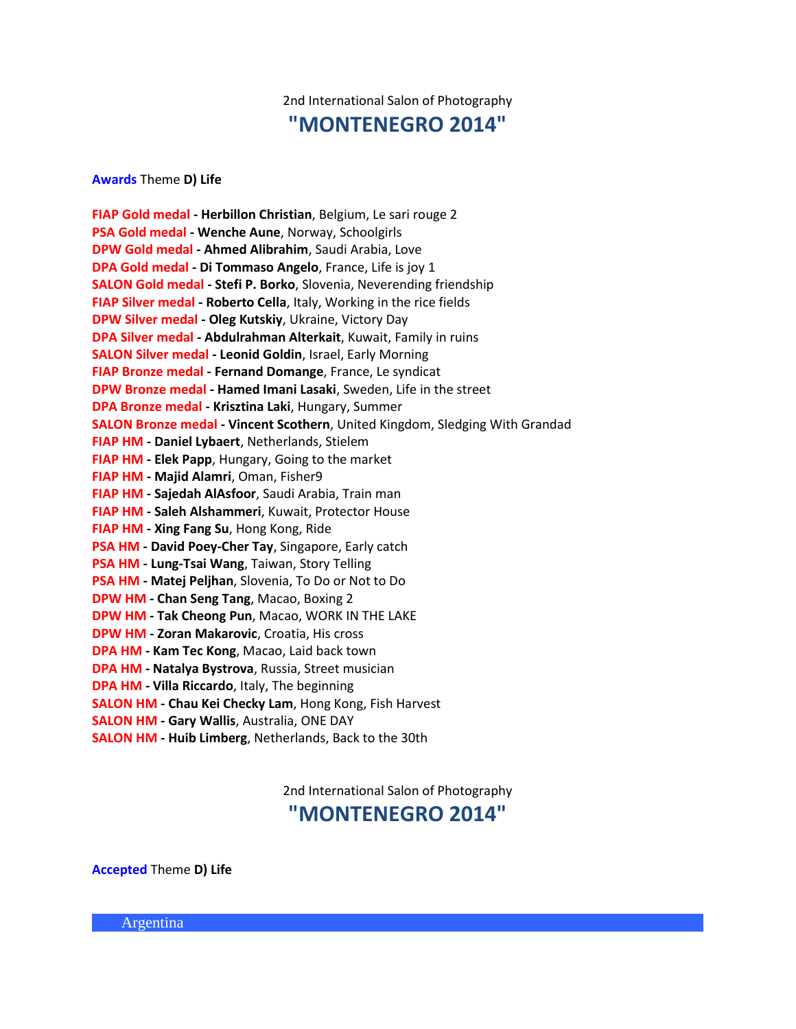# 2nd International Salon of Photography **"MONTENEGRO 2014"**

**Awards** Theme **D) Life**

**FIAP Gold medal - Herbillon Christian**, Belgium, Le sari rouge 2 **PSA Gold medal - Wenche Aune**, Norway, Schoolgirls **DPW Gold medal - Ahmed Alibrahim**, Saudi Arabia, Love **DPA Gold medal - Di Tommaso Angelo**, France, Life is joy 1 **SALON Gold medal - Stefi P. Borko**, Slovenia, Neverending friendship **FIAP Silver medal - Roberto Cella**, Italy, Working in the rice fields **DPW Silver medal - Oleg Kutskiy**, Ukraine, Victory Day **DPA Silver medal - Abdulrahman Alterkait**, Kuwait, Family in ruins **SALON Silver medal - Leonid Goldin**, Israel, Early Morning **FIAP Bronze medal - Fernand Domange**, France, Le syndicat **DPW Bronze medal - Hamed Imani Lasaki**, Sweden, Life in the street **DPA Bronze medal - Krisztina Laki**, Hungary, Summer **SALON Bronze medal - Vincent Scothern**, United Kingdom, Sledging With Grandad **FIAP HM - Daniel Lybaert**, Netherlands, Stielem **FIAP HM - Elek Papp**, Hungary, Going to the market **FIAP HM - Majid Alamri**, Oman, Fisher9 **FIAP HM - Sajedah AlAsfoor**, Saudi Arabia, Train man **FIAP HM - Saleh Alshammeri**, Kuwait, Protector House **FIAP HM - Xing Fang Su**, Hong Kong, Ride **PSA HM - David Poey-Cher Tay**, Singapore, Early catch **PSA HM - Lung-Tsai Wang**, Taiwan, Story Telling **PSA HM - Matej Peljhan**, Slovenia, To Do or Not to Do **DPW HM - Chan Seng Tang**, Macao, Boxing 2 **DPW HM - Tak Cheong Pun**, Macao, WORK IN THE LAKE **DPW HM - Zoran Makarovic**, Croatia, His cross **DPA HM - Kam Tec Kong**, Macao, Laid back town **DPA HM - Natalya Bystrova**, Russia, Street musician **DPA HM - Villa Riccardo**, Italy, The beginning **SALON HM - Chau Kei Checky Lam**, Hong Kong, Fish Harvest **SALON HM - Gary Wallis**, Australia, ONE DAY **SALON HM - Huib Limberg**, Netherlands, Back to the 30th

2nd International Salon of Photography

# **"MONTENEGRO 2014"**

**Accepted** Theme **D) Life**

Argentina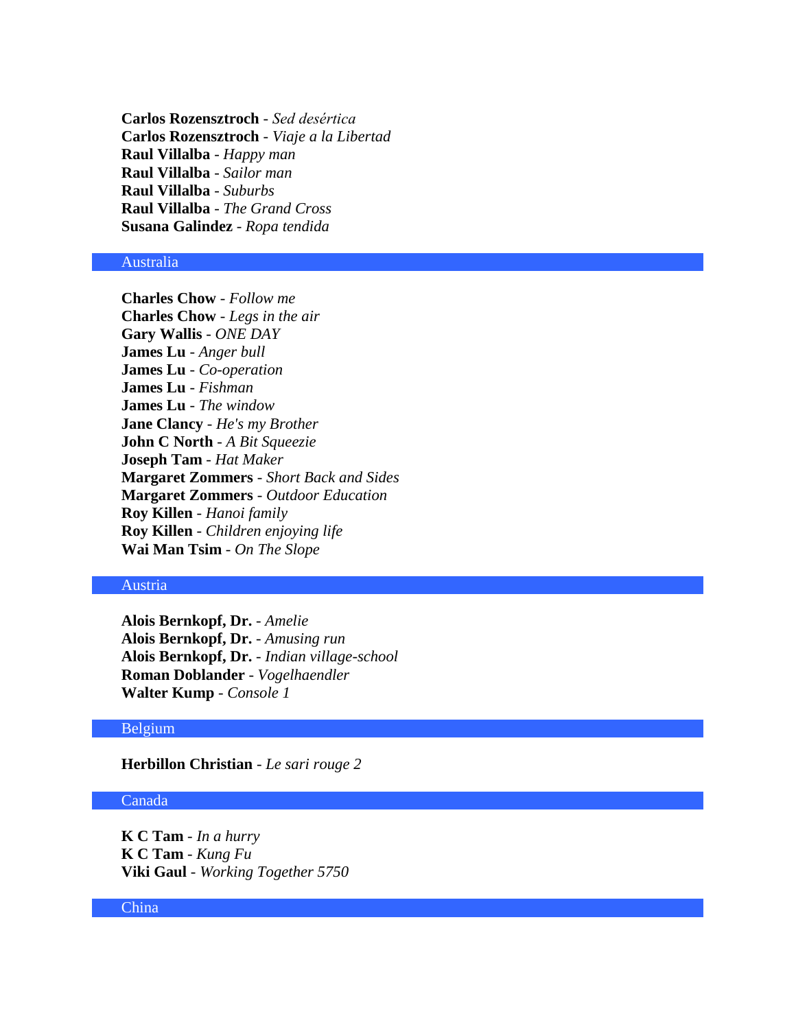**Carlos Rozensztroch** - *Sed desértica* **Carlos Rozensztroch** - *Viaje a la Libertad* **Raul Villalba** - *Happy man* **Raul Villalba** - *Sailor man* **Raul Villalba** - *Suburbs* **Raul Villalba** - *The Grand Cross* **Susana Galindez** - *Ropa tendida*

# Australia

**Charles Chow** - *Follow me* **Charles Chow** - *Legs in the air* **Gary Wallis** - *ONE DAY* **James Lu** - *Anger bull* **James Lu** - *Co-operation* **James Lu** - *Fishman* **James Lu** - *The window* **Jane Clancy** - *He's my Brother* **John C North** - *A Bit Squeezie* **Joseph Tam** - *Hat Maker* **Margaret Zommers** - *Short Back and Sides* **Margaret Zommers** - *Outdoor Education* **Roy Killen** - *Hanoi family* **Roy Killen** - *Children enjoying life* **Wai Man Tsim** - *On The Slope*

### Austria

**Alois Bernkopf, Dr.** - *Amelie* **Alois Bernkopf, Dr.** - *Amusing run* **Alois Bernkopf, Dr.** - *Indian village-school* **Roman Doblander** - *Vogelhaendler* **Walter Kump** - *Console 1*

#### Belgium

**Herbillon Christian** - *Le sari rouge 2*

### Canada

**K C Tam** - *In a hurry* **K C Tam** - *Kung Fu* **Viki Gaul** - *Working Together 5750*

#### China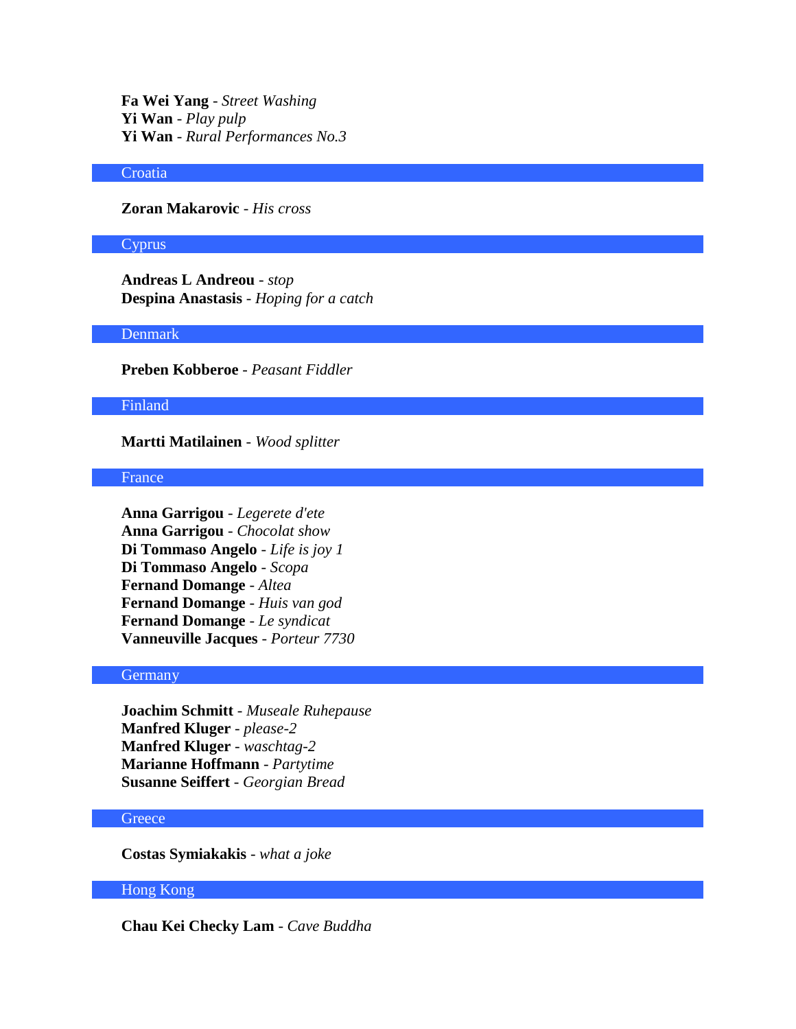**Fa Wei Yang** - *Street Washing* **Yi Wan** - *Play pulp* **Yi Wan** - *Rural Performances No.3*

# **Croatia**

**Zoran Makarovic** - *His cross*

#### Cyprus

**Andreas L Andreou** - *stop* **Despina Anastasis** - *Hoping for a catch*

### Denmark

**Preben Kobberoe** - *Peasant Fiddler*

#### Finland

**Martti Matilainen** - *Wood splitter*

# **France**

**Anna Garrigou** - *Legerete d'ete* **Anna Garrigou** - *Chocolat show* **Di Tommaso Angelo** - *Life is joy 1* **Di Tommaso Angelo** - *Scopa* **Fernand Domange** - *Altea* **Fernand Domange** - *Huis van god* **Fernand Domange** - *Le syndicat* **Vanneuville Jacques** - *Porteur 7730*

#### Germany

**Joachim Schmitt** - *Museale Ruhepause* **Manfred Kluger** - *please-2* **Manfred Kluger** - *waschtag-2* **Marianne Hoffmann** - *Partytime* **Susanne Seiffert** - *Georgian Bread*

#### **Greece**

**Costas Symiakakis** - *what a joke*

# Hong Kong

**Chau Kei Checky Lam** - *Cave Buddha*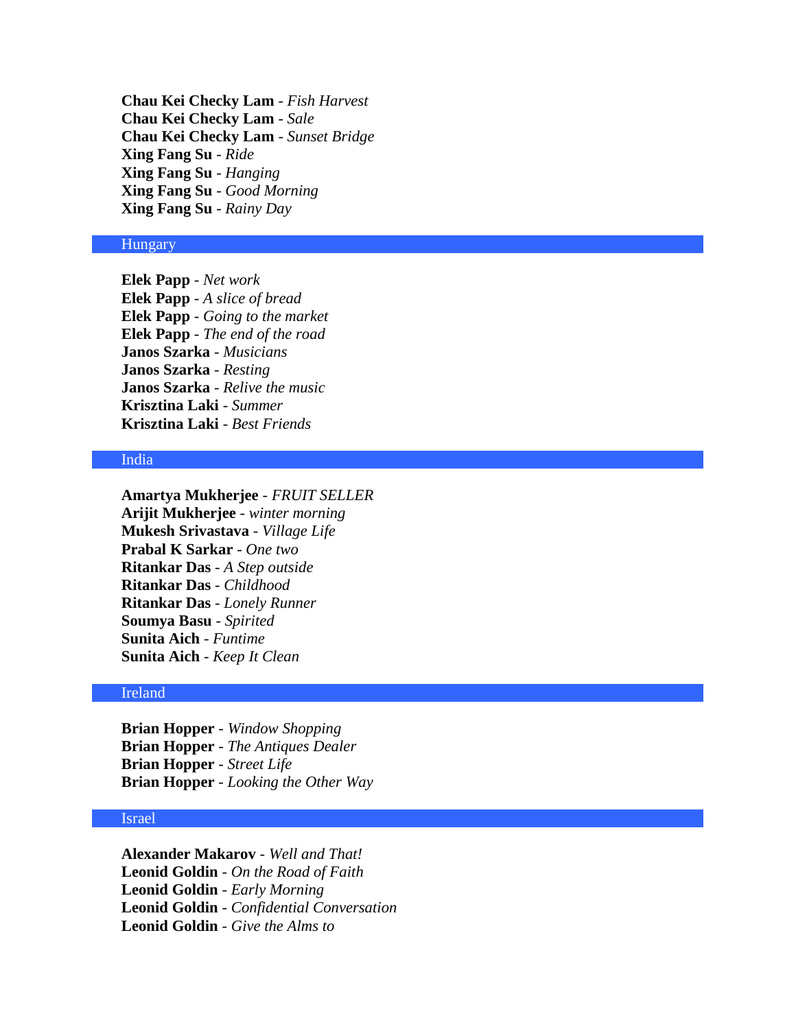**Chau Kei Checky Lam** - *Fish Harvest* **Chau Kei Checky Lam** - *Sale* **Chau Kei Checky Lam** - *Sunset Bridge* **Xing Fang Su** - *Ride* **Xing Fang Su** - *Hanging* **Xing Fang Su** - *Good Morning* **Xing Fang Su** - *Rainy Day*

# **Hungary**

**Elek Papp** - *Net work* **Elek Papp** - *A slice of bread* **Elek Papp** - *Going to the market* **Elek Papp** - *The end of the road* **Janos Szarka** - *Musicians* **Janos Szarka** - *Resting* **Janos Szarka** - *Relive the music* **Krisztina Laki** - *Summer* **Krisztina Laki** - *Best Friends*

# India

**Amartya Mukherjee** - *FRUIT SELLER* **Arijit Mukherjee** - *winter morning* **Mukesh Srivastava** - *Village Life* **Prabal K Sarkar** - *One two* **Ritankar Das** - *A Step outside* **Ritankar Das** - *Childhood* **Ritankar Das** - *Lonely Runner* **Soumya Basu** - *Spirited* **Sunita Aich** - *Funtime* **Sunita Aich** - *Keep It Clean*

### Ireland

**Brian Hopper** - *Window Shopping* **Brian Hopper** - *The Antiques Dealer* **Brian Hopper** - *Street Life* **Brian Hopper** - *Looking the Other Way*

# Israel

**Alexander Makarov** - *Well and That!* **Leonid Goldin** - *On the Road of Faith* **Leonid Goldin** - *Early Morning* **Leonid Goldin** - *Confidential Conversation* **Leonid Goldin** - *Give the Alms to*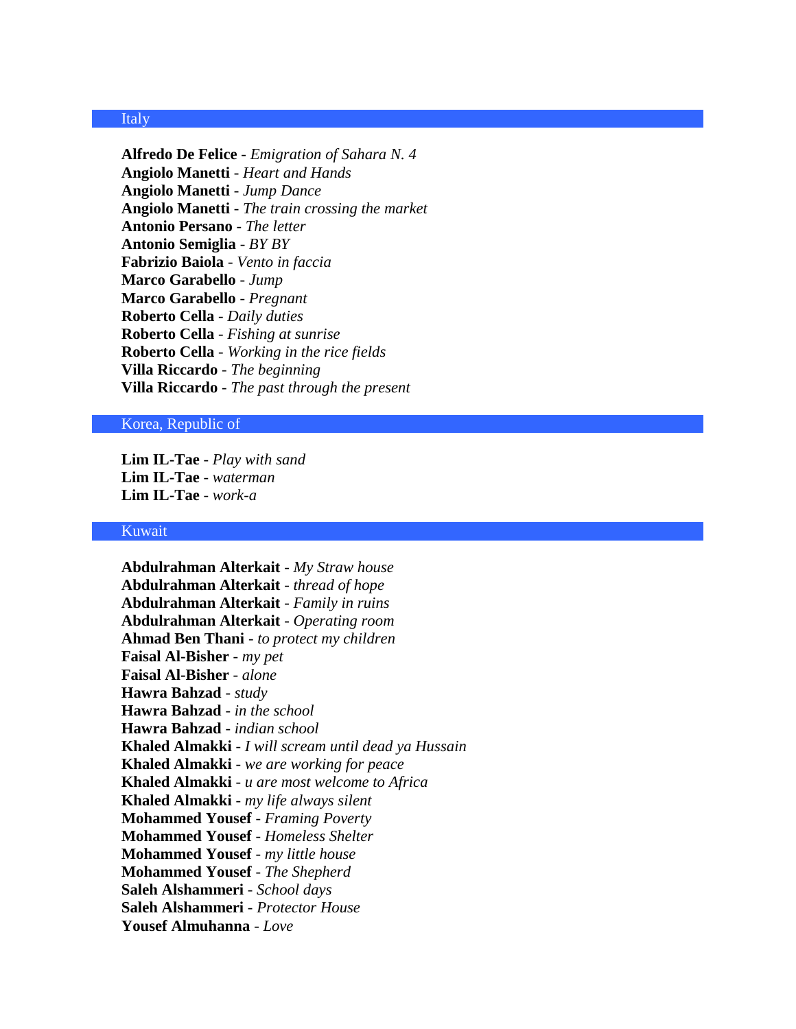### Italy

**Alfredo De Felice** - *Emigration of Sahara N. 4* **Angiolo Manetti** - *Heart and Hands* **Angiolo Manetti** - *Jump Dance* **Angiolo Manetti** - *The train crossing the market* **Antonio Persano** - *The letter* **Antonio Semiglia** - *BY BY* **Fabrizio Baiola** - *Vento in faccia* **Marco Garabello** - *Jump* **Marco Garabello** - *Pregnant* **Roberto Cella** - *Daily duties* **Roberto Cella** - *Fishing at sunrise* **Roberto Cella** - *Working in the rice fields* **Villa Riccardo** - *The beginning* **Villa Riccardo** - *The past through the present*

#### Korea, Republic of

**Lim IL-Tae** - *Play with sand* **Lim IL-Tae** - *waterman* **Lim IL-Tae** - *work-a*

#### Kuwait

**Abdulrahman Alterkait** - *My Straw house* **Abdulrahman Alterkait** - *thread of hope* **Abdulrahman Alterkait** - *Family in ruins* **Abdulrahman Alterkait** - *Operating room* **Ahmad Ben Thani** - *to protect my children* **Faisal Al-Bisher** - *my pet* **Faisal Al-Bisher** - *alone* **Hawra Bahzad** - *study* **Hawra Bahzad** - *in the school* **Hawra Bahzad** - *indian school* **Khaled Almakki** - *I will scream until dead ya Hussain* **Khaled Almakki** - *we are working for peace* **Khaled Almakki** - *u are most welcome to Africa* **Khaled Almakki** - *my life always silent* **Mohammed Yousef** - *Framing Poverty* **Mohammed Yousef** - *Homeless Shelter* **Mohammed Yousef** - *my little house* **Mohammed Yousef** - *The Shepherd* **Saleh Alshammeri** - *School days* **Saleh Alshammeri** - *Protector House* **Yousef Almuhanna** - *Love*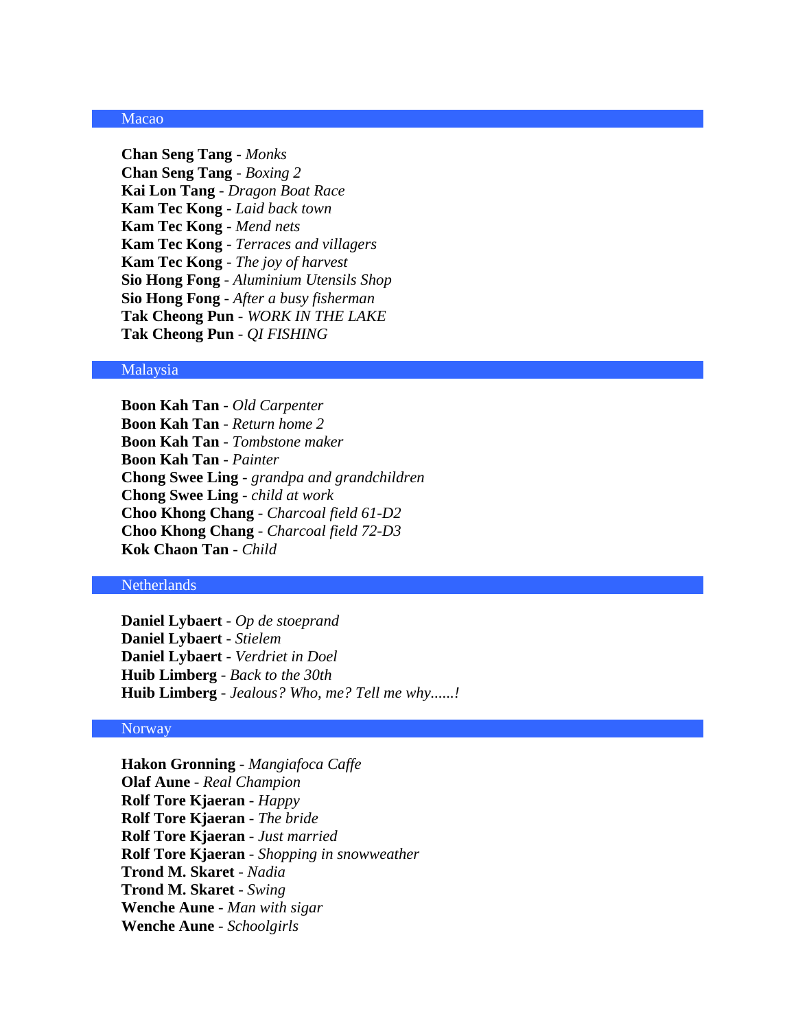### Macao

**Chan Seng Tang** - *Monks* **Chan Seng Tang** - *Boxing 2* **Kai Lon Tang** - *Dragon Boat Race* **Kam Tec Kong** - *Laid back town* **Kam Tec Kong** - *Mend nets* **Kam Tec Kong** - *Terraces and villagers* **Kam Tec Kong** - *The joy of harvest* **Sio Hong Fong** - *Aluminium Utensils Shop* **Sio Hong Fong** - *After a busy fisherman* **Tak Cheong Pun** - *WORK IN THE LAKE* **Tak Cheong Pun** - *QI FISHING*

#### Malaysia

**Boon Kah Tan** - *Old Carpenter* **Boon Kah Tan** - *Return home 2* **Boon Kah Tan** - *Tombstone maker* **Boon Kah Tan** - *Painter* **Chong Swee Ling** - *grandpa and grandchildren* **Chong Swee Ling** - *child at work* **Choo Khong Chang** - *Charcoal field 61-D2* **Choo Khong Chang** - *Charcoal field 72-D3* **Kok Chaon Tan** - *Child*

#### Netherlands

**Daniel Lybaert** - *Op de stoeprand* **Daniel Lybaert** - *Stielem* **Daniel Lybaert** - *Verdriet in Doel* **Huib Limberg** - *Back to the 30th* **Huib Limberg** - *Jealous? Who, me? Tell me why......!*

# **Norway**

**Hakon Gronning** - *Mangiafoca Caffe* **Olaf Aune** - *Real Champion* **Rolf Tore Kjaeran** - *Happy* **Rolf Tore Kjaeran** - *The bride* **Rolf Tore Kjaeran** - *Just married* **Rolf Tore Kjaeran** - *Shopping in snowweather* **Trond M. Skaret** - *Nadia* **Trond M. Skaret** - *Swing* **Wenche Aune** - *Man with sigar* **Wenche Aune** - *Schoolgirls*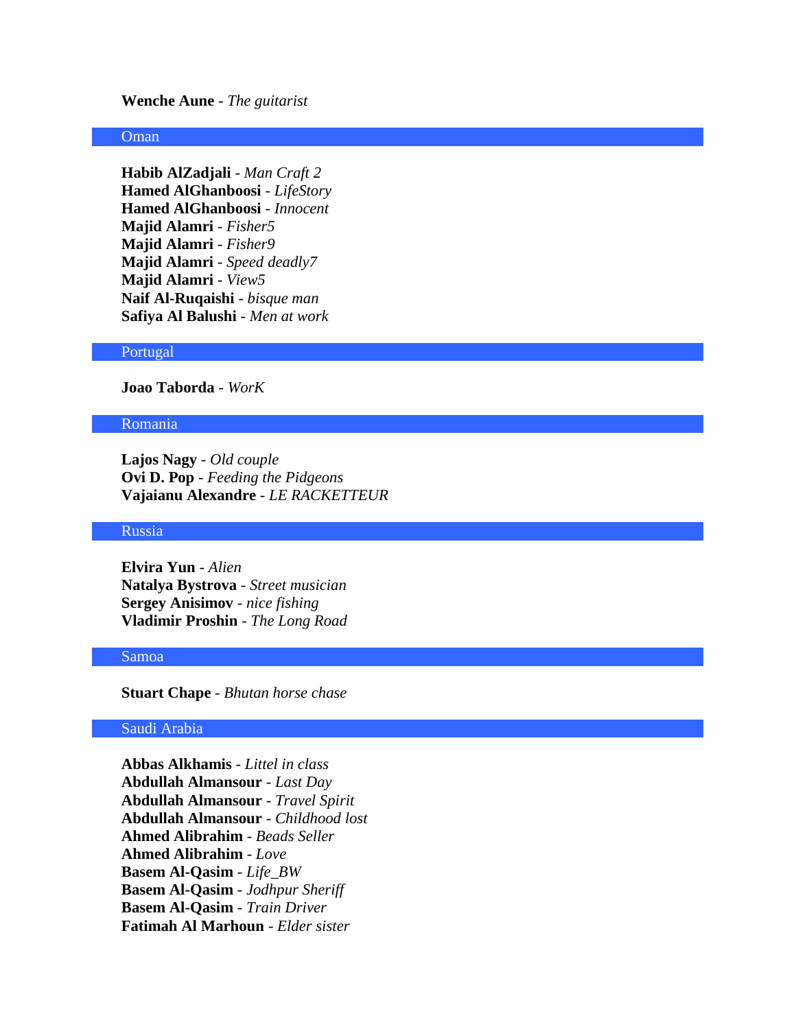**Wenche Aune** - *The guitarist*

# **Oman**

**Habib AlZadjali** - *Man Craft 2* **Hamed AlGhanboosi** - *LifeStory* **Hamed AlGhanboosi** - *Innocent* **Majid Alamri** - *Fisher5* **Majid Alamri** - *Fisher9* **Majid Alamri** - *Speed deadly7* **Majid Alamri** - *View5* **Naif Al-Ruqaishi** - *bisque man* **Safiya Al Balushi** - *Men at work*

#### Portugal

**Joao Taborda** - *WorK*

#### Romania

**Lajos Nagy** - *Old couple* **Ovi D. Pop** - *Feeding the Pidgeons* **Vajaianu Alexandre** - *LE RACKETTEUR*

#### Russia

**Elvira Yun** - *Alien* **Natalya Bystrova** - *Street musician* **Sergey Anisimov** - *nice fishing* **Vladimir Proshin** - *The Long Road*

# Samoa

**Stuart Chape** - *Bhutan horse chase*

# Saudi Arabia

**Abbas Alkhamis** - *Littel in class* **Abdullah Almansour** - *Last Day* **Abdullah Almansour** - *Travel Spirit* **Abdullah Almansour** - *Childhood lost* **Ahmed Alibrahim** - *Beads Seller* **Ahmed Alibrahim** - *Love* **Basem Al-Qasim** - *Life\_BW* **Basem Al-Qasim** - *Jodhpur Sheriff* **Basem Al-Qasim** - *Train Driver* **Fatimah Al Marhoun** - *Elder sister*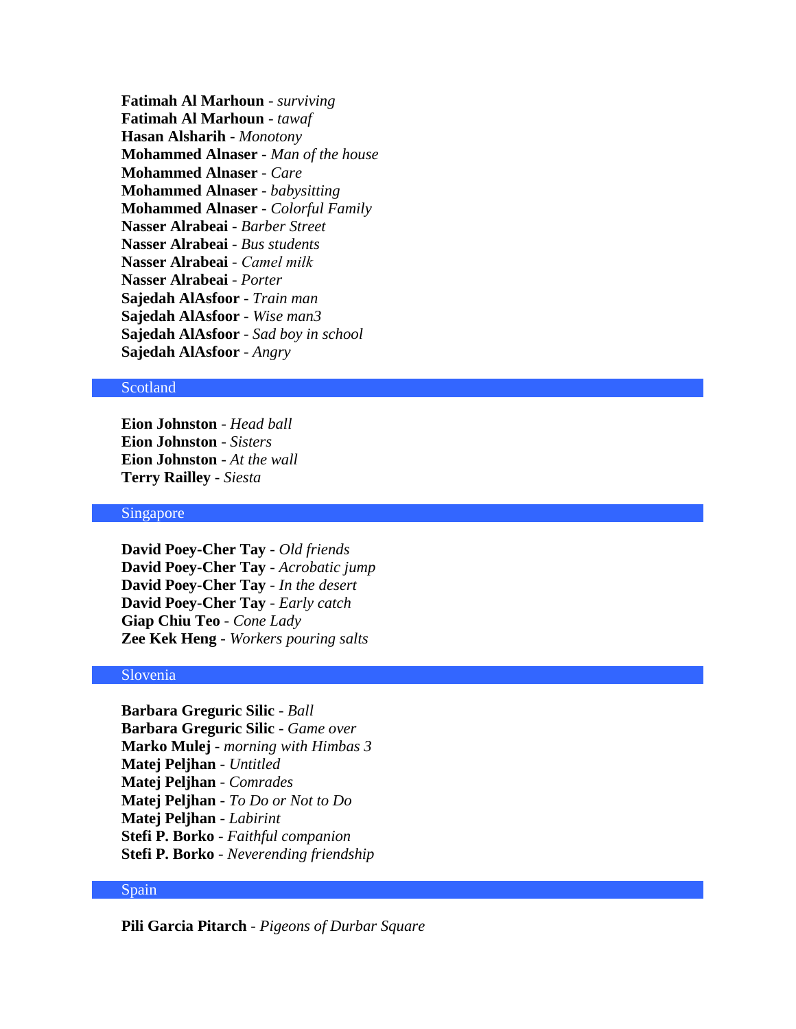**Fatimah Al Marhoun** - *surviving* **Fatimah Al Marhoun** - *tawaf* **Hasan Alsharih** - *Monotony* **Mohammed Alnaser** - *Man of the house* **Mohammed Alnaser** - *Care* **Mohammed Alnaser** - *babysitting* **Mohammed Alnaser** - *Colorful Family* **Nasser Alrabeai** - *Barber Street* **Nasser Alrabeai** - *Bus students* **Nasser Alrabeai** - *Camel milk* **Nasser Alrabeai** - *Porter* **Sajedah AlAsfoor** - *Train man* **Sajedah AlAsfoor** - *Wise man3* **Sajedah AlAsfoor** - *Sad boy in school* **Sajedah AlAsfoor** - *Angry*

### Scotland

**Eion Johnston** - *Head ball* **Eion Johnston** - *Sisters* **Eion Johnston** - *At the wall* **Terry Railley** - *Siesta*

#### Singapore

**David Poey-Cher Tay** - *Old friends* **David Poey-Cher Tay** - *Acrobatic jump* **David Poey-Cher Tay** - *In the desert* **David Poey-Cher Tay** - *Early catch* **Giap Chiu Teo** - *Cone Lady* **Zee Kek Heng** - *Workers pouring salts*

### Slovenia

**Barbara Greguric Silic** - *Ball* **Barbara Greguric Silic** - *Game over* **Marko Mulej** - *morning with Himbas 3* **Matej Peljhan** - *Untitled* **Matej Peljhan** - *Comrades* **Matej Peljhan** - *To Do or Not to Do* **Matej Peljhan** - *Labirint* **Stefi P. Borko** - *Faithful companion* **Stefi P. Borko** - *Neverending friendship*

#### Spain

**Pili Garcia Pitarch** - *Pigeons of Durbar Square*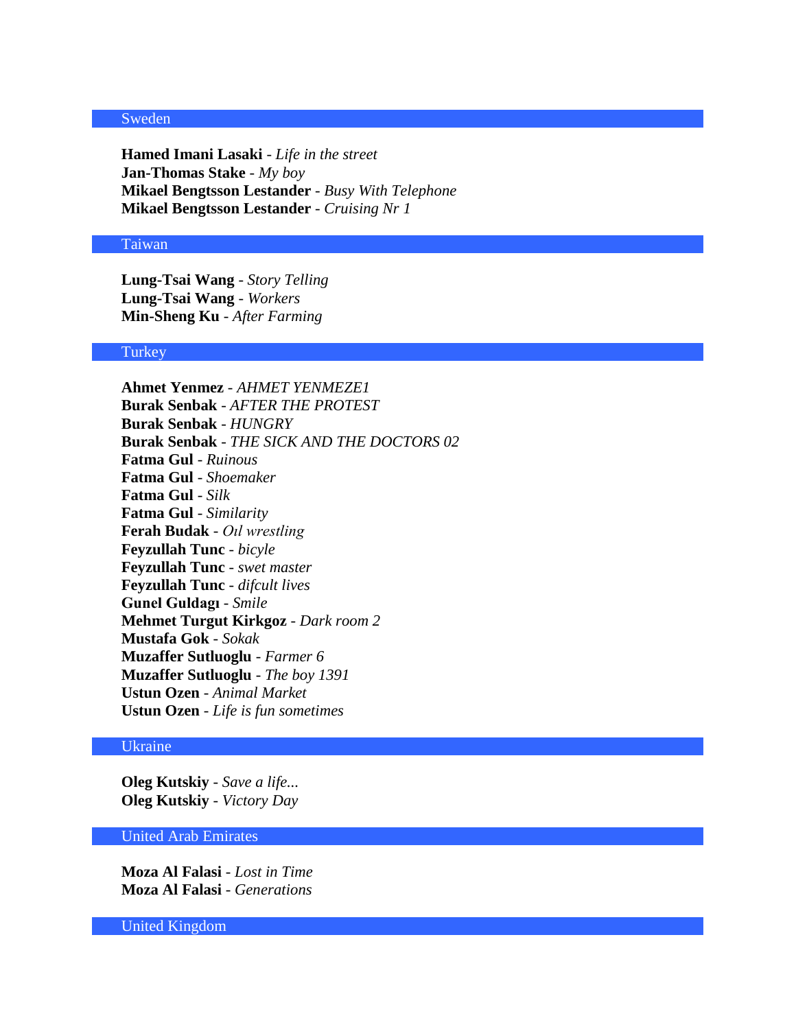### Sweden

**Hamed Imani Lasaki** - *Life in the street* **Jan-Thomas Stake** - *My boy* **Mikael Bengtsson Lestander** - *Busy With Telephone* **Mikael Bengtsson Lestander** - *Cruising Nr 1*

#### Taiwan

**Lung-Tsai Wang** - *Story Telling* **Lung-Tsai Wang** - *Workers* **Min-Sheng Ku** - *After Farming*

# **Turkey**

**Ahmet Yenmez** - *AHMET YENMEZE1* **Burak Senbak** - *AFTER THE PROTEST* **Burak Senbak** - *HUNGRY* **Burak Senbak** - *THE SICK AND THE DOCTORS 02* **Fatma Gul** - *Ruinous* **Fatma Gul** - *Shoemaker* **Fatma Gul** - *Silk* **Fatma Gul** - *Similarity* **Ferah Budak** - *Oıl wrestling* **Feyzullah Tunc** - *bicyle* **Feyzullah Tunc** - *swet master* **Feyzullah Tunc** - *difcult lives* **Gunel Guldagı** - *Smile* **Mehmet Turgut Kirkgoz** - *Dark room 2* **Mustafa Gok** - *Sokak* **Muzaffer Sutluoglu** - *Farmer 6* **Muzaffer Sutluoglu** - *The boy 1391* **Ustun Ozen** - *Animal Market* **Ustun Ozen** - *Life is fun sometimes*

# Ukraine

**Oleg Kutskiy** - *Save a life...* **Oleg Kutskiy** - *Victory Day*

# United Arab Emirates

**Moza Al Falasi** - *Lost in Time* **Moza Al Falasi** - *Generations*

United Kingdom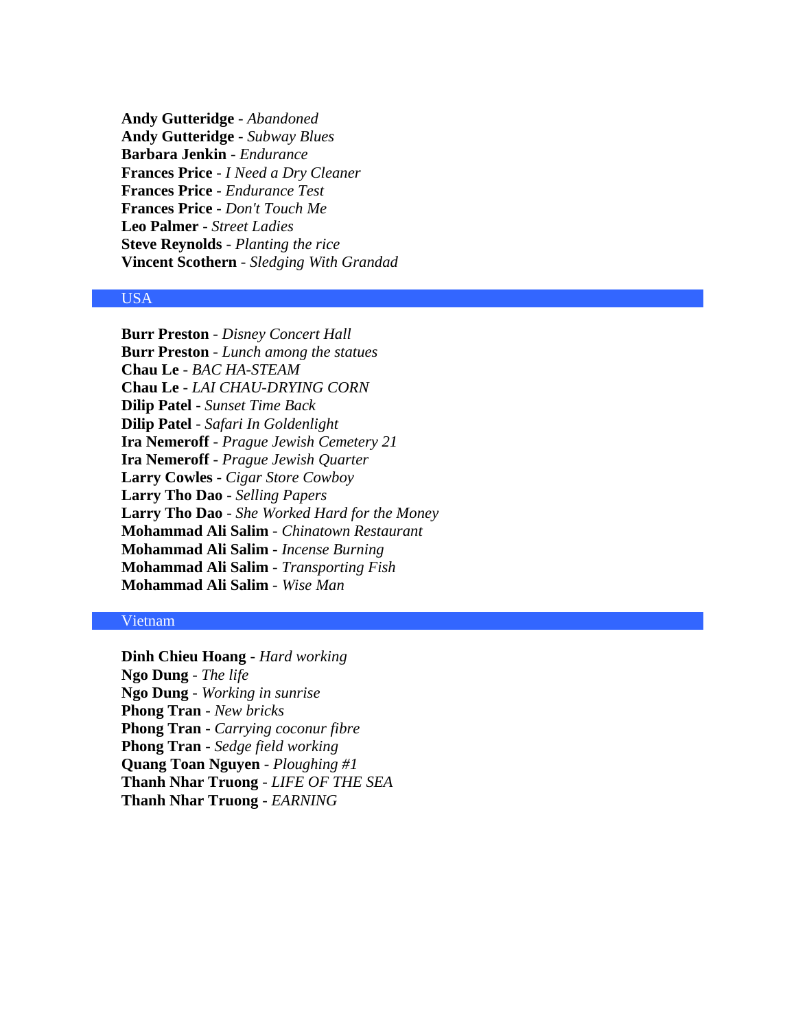**Andy Gutteridge** - *Abandoned* **Andy Gutteridge** - *Subway Blues* **Barbara Jenkin** - *Endurance* **Frances Price** - *I Need a Dry Cleaner* **Frances Price** - *Endurance Test* **Frances Price** - *Don't Touch Me* **Leo Palmer** - *Street Ladies* **Steve Reynolds** - *Planting the rice* **Vincent Scothern** - *Sledging With Grandad*

### USA

**Burr Preston** - *Disney Concert Hall* **Burr Preston** - *Lunch among the statues* **Chau Le** - *BAC HA-STEAM* **Chau Le** - *LAI CHAU-DRYING CORN* **Dilip Patel** - *Sunset Time Back* **Dilip Patel** - *Safari In Goldenlight* **Ira Nemeroff** - *Prague Jewish Cemetery 21* **Ira Nemeroff** - *Prague Jewish Quarter* **Larry Cowles** - *Cigar Store Cowboy* **Larry Tho Dao** - *Selling Papers* **Larry Tho Dao** - *She Worked Hard for the Money* **Mohammad Ali Salim** - *Chinatown Restaurant* **Mohammad Ali Salim** - *Incense Burning* **Mohammad Ali Salim** - *Transporting Fish* **Mohammad Ali Salim** - *Wise Man*

# Vietnam

**Dinh Chieu Hoang** - *Hard working* **Ngo Dung** - *The life* **Ngo Dung** - *Working in sunrise* **Phong Tran** - *New bricks* **Phong Tran** - *Carrying coconur fibre* **Phong Tran** - *Sedge field working* **Quang Toan Nguyen** - *Ploughing #1* **Thanh Nhar Truong** - *LIFE OF THE SEA* **Thanh Nhar Truong** - *EARNING*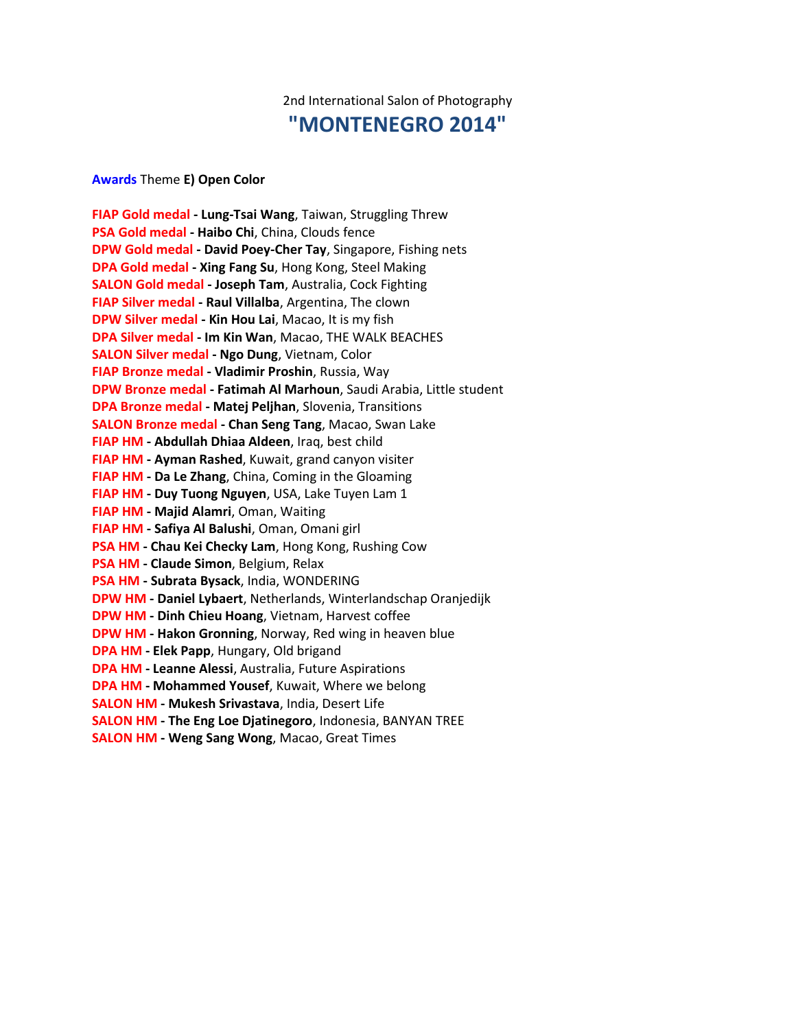# 2nd International Salon of Photography **"MONTENEGRO 2014"**

**Awards** Theme **E) Open Color**

**FIAP Gold medal - Lung-Tsai Wang**, Taiwan, Struggling Threw **PSA Gold medal - Haibo Chi**, China, Clouds fence **DPW Gold medal - David Poey-Cher Tay**, Singapore, Fishing nets **DPA Gold medal - Xing Fang Su**, Hong Kong, Steel Making **SALON Gold medal - Joseph Tam**, Australia, Cock Fighting **FIAP Silver medal - Raul Villalba**, Argentina, The clown **DPW Silver medal - Kin Hou Lai**, Macao, It is my fish **DPA Silver medal - Im Kin Wan**, Macao, THE WALK BEACHES **SALON Silver medal - Ngo Dung**, Vietnam, Color **FIAP Bronze medal - Vladimir Proshin**, Russia, Way **DPW Bronze medal - Fatimah Al Marhoun**, Saudi Arabia, Little student **DPA Bronze medal - Matej Peljhan**, Slovenia, Transitions **SALON Bronze medal - Chan Seng Tang**, Macao, Swan Lake **FIAP HM - Abdullah Dhiaa Aldeen**, Iraq, best child **FIAP HM - Ayman Rashed**, Kuwait, grand canyon visiter **FIAP HM - Da Le Zhang**, China, Coming in the Gloaming **FIAP HM - Duy Tuong Nguyen**, USA, Lake Tuyen Lam 1 **FIAP HM - Majid Alamri**, Oman, Waiting **FIAP HM - Safiya Al Balushi**, Oman, Omani girl **PSA HM - Chau Kei Checky Lam**, Hong Kong, Rushing Cow **PSA HM - Claude Simon**, Belgium, Relax **PSA HM - Subrata Bysack**, India, WONDERING **DPW HM - Daniel Lybaert**, Netherlands, Winterlandschap Oranjedijk **DPW HM - Dinh Chieu Hoang**, Vietnam, Harvest coffee **DPW HM - Hakon Gronning**, Norway, Red wing in heaven blue **DPA HM - Elek Papp**, Hungary, Old brigand **DPA HM - Leanne Alessi**, Australia, Future Aspirations **DPA HM - Mohammed Yousef**, Kuwait, Where we belong **SALON HM - Mukesh Srivastava**, India, Desert Life **SALON HM - The Eng Loe Djatinegoro**, Indonesia, BANYAN TREE **SALON HM - Weng Sang Wong**, Macao, Great Times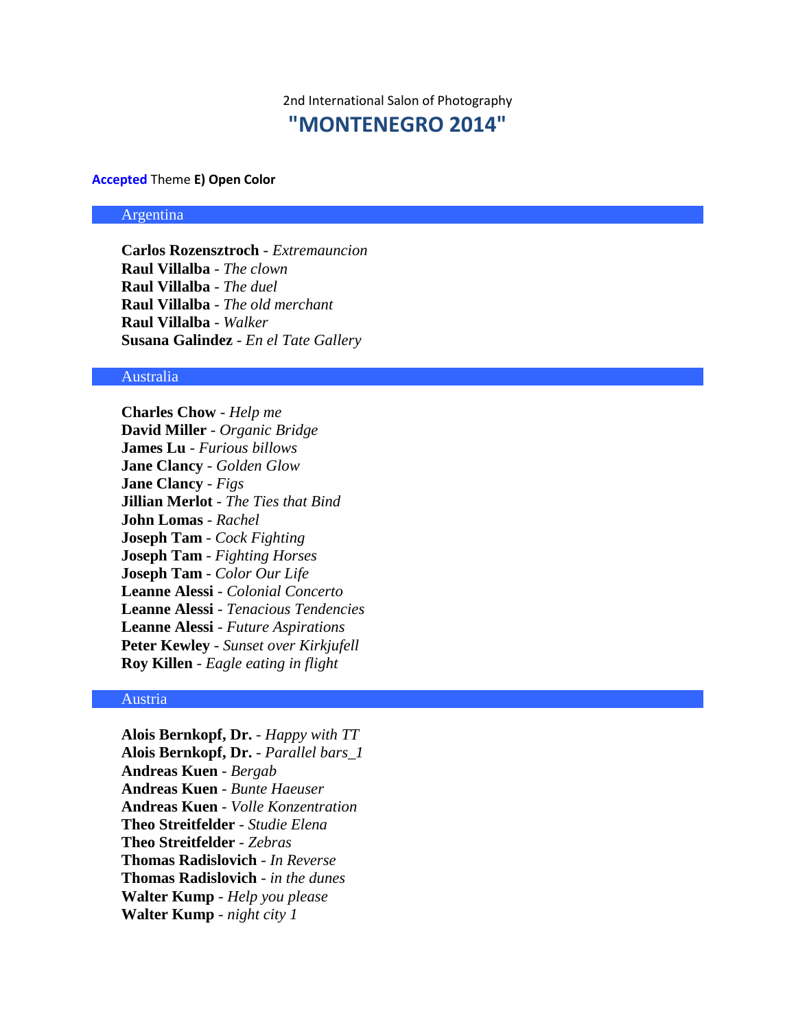2nd International Salon of Photography **"MONTENEGRO 2014"**

**Accepted** Theme **E) Open Color**

#### Argentina

**Carlos Rozensztroch** - *Extremauncion* **Raul Villalba** - *The clown* **Raul Villalba** - *The duel* **Raul Villalba** - *The old merchant* **Raul Villalba** - *Walker* **Susana Galindez** - *En el Tate Gallery*

#### Australia

**Charles Chow** - *Help me* **David Miller** - *Organic Bridge* **James Lu** - *Furious billows* **Jane Clancy** - *Golden Glow* **Jane Clancy** - *Figs* **Jillian Merlot** - *The Ties that Bind* **John Lomas** - *Rachel* **Joseph Tam** - *Cock Fighting* **Joseph Tam** - *Fighting Horses* **Joseph Tam** - *Color Our Life* **Leanne Alessi** - *Colonial Concerto* **Leanne Alessi** - *Tenacious Tendencies* **Leanne Alessi** - *Future Aspirations* **Peter Kewley** - *Sunset over Kirkjufell* **Roy Killen** - *Eagle eating in flight*

# Austria

**Alois Bernkopf, Dr.** - *Happy with TT* **Alois Bernkopf, Dr.** - *Parallel bars\_1* **Andreas Kuen** - *Bergab* **Andreas Kuen** - *Bunte Haeuser* **Andreas Kuen** - *Volle Konzentration* **Theo Streitfelder** - *Studie Elena* **Theo Streitfelder** - *Zebras* **Thomas Radislovich** - *In Reverse* **Thomas Radislovich** - *in the dunes* **Walter Kump** - *Help you please* **Walter Kump** - *night city 1*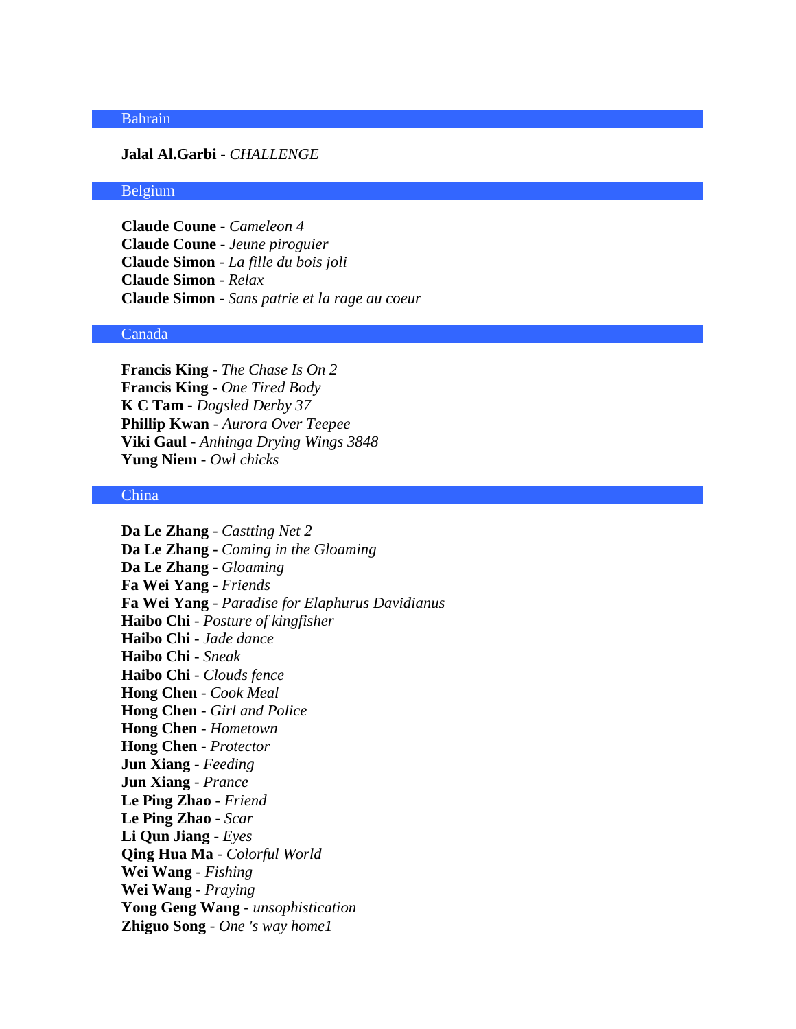### Bahrain

#### **Jalal Al.Garbi** - *CHALLENGE*

#### Belgium

**Claude Coune** - *Cameleon 4* **Claude Coune** - *Jeune piroguier* **Claude Simon** - *La fille du bois joli* **Claude Simon** - *Relax* **Claude Simon** - *Sans patrie et la rage au coeur*

### Canada

**Francis King** - *The Chase Is On 2* **Francis King** - *One Tired Body* **K C Tam** - *Dogsled Derby 37* **Phillip Kwan** - *Aurora Over Teepee* **Viki Gaul** - *Anhinga Drying Wings 3848* **Yung Niem** - *Owl chicks*

### China

**Da Le Zhang** - *Castting Net 2* **Da Le Zhang** - *Coming in the Gloaming* **Da Le Zhang** - *Gloaming* **Fa Wei Yang** - *Friends* **Fa Wei Yang** - *Paradise for Elaphurus Davidianus* **Haibo Chi** - *Posture of kingfisher* **Haibo Chi** - *Jade dance* **Haibo Chi** - *Sneak* **Haibo Chi** - *Clouds fence* **Hong Chen** - *Cook Meal* **Hong Chen** - *Girl and Police* **Hong Chen** - *Hometown* **Hong Chen** - *Protector* **Jun Xiang** - *Feeding* **Jun Xiang** - *Prance* **Le Ping Zhao** - *Friend* **Le Ping Zhao** - *Scar* **Li Qun Jiang** - *Eyes* **Qing Hua Ma** - *Colorful World* **Wei Wang** - *Fishing* **Wei Wang** - *Praying* **Yong Geng Wang** - *unsophistication* **Zhiguo Song** - *One 's way home1*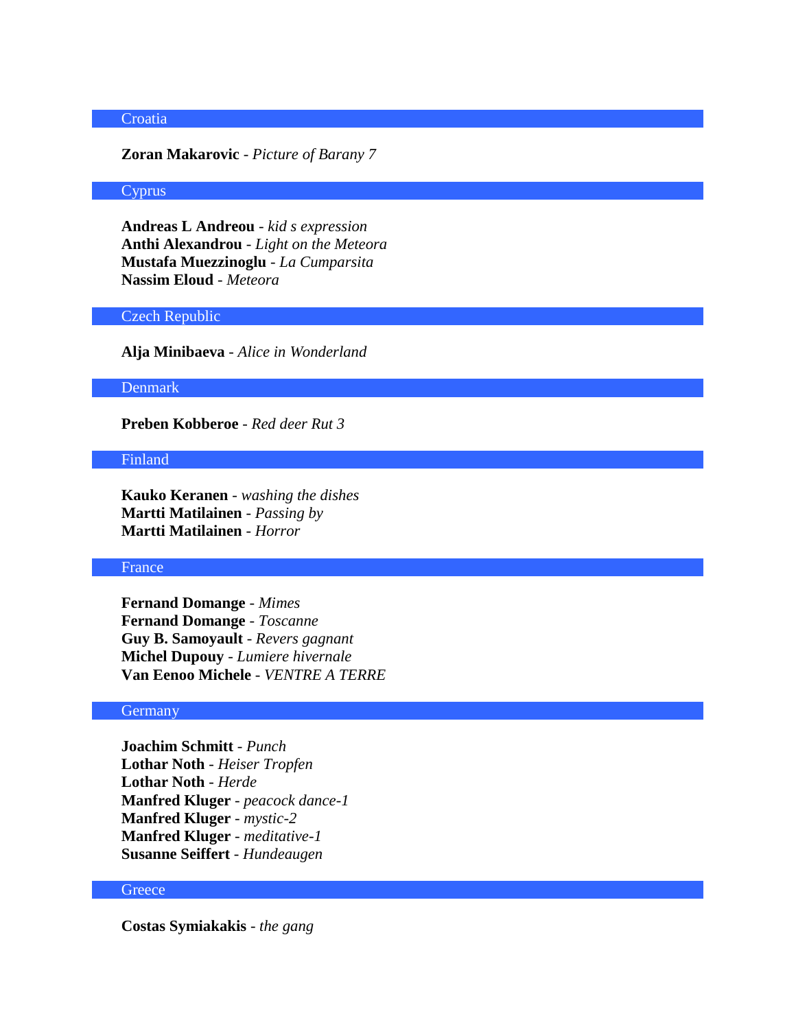# **Croatia**

#### **Zoran Makarovic** - *Picture of Barany 7*

#### Cyprus

**Andreas L Andreou** - *kid s expression* **Anthi Alexandrou** - *Light on the Meteora* **Mustafa Muezzinoglu** - *La Cumparsita* **Nassim Eloud** - *Meteora*

# Czech Republic

**Alja Minibaeva** - *Alice in Wonderland*

#### Denmark

**Preben Kobberoe** - *Red deer Rut 3*

### Finland

**Kauko Keranen** - *washing the dishes* **Martti Matilainen** - *Passing by* **Martti Matilainen** - *Horror*

## France

**Fernand Domange** - *Mimes* **Fernand Domange** - *Toscanne* **Guy B. Samoyault** - *Revers gagnant* **Michel Dupouy** - *Lumiere hivernale* **Van Eenoo Michele** - *VENTRE A TERRE*

### **Germany**

**Joachim Schmitt** - *Punch* **Lothar Noth** - *Heiser Tropfen* **Lothar Noth** - *Herde* **Manfred Kluger** - *peacock dance-1* **Manfred Kluger** - *mystic-2* **Manfred Kluger** - *meditative-1* **Susanne Seiffert** - *Hundeaugen*

#### **Greece**

**Costas Symiakakis** - *the gang*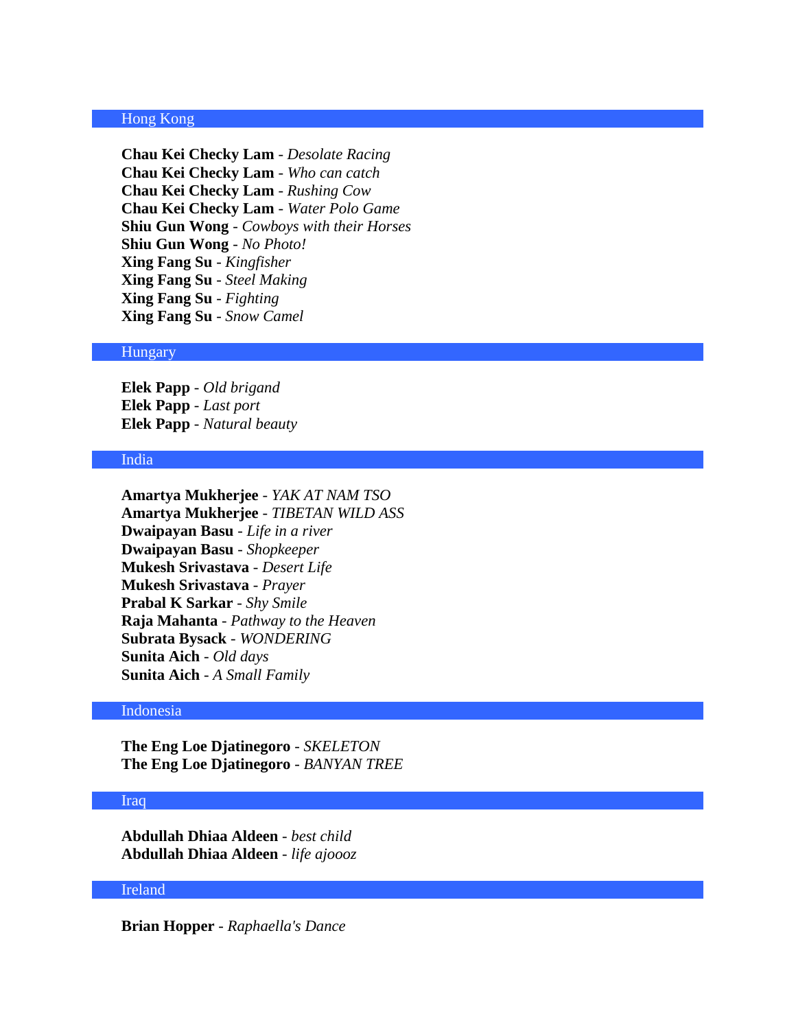### Hong Kong

**Chau Kei Checky Lam** - *Desolate Racing* **Chau Kei Checky Lam** - *Who can catch* **Chau Kei Checky Lam** - *Rushing Cow* **Chau Kei Checky Lam** - *Water Polo Game* **Shiu Gun Wong** - *Cowboys with their Horses* **Shiu Gun Wong** - *No Photo!* **Xing Fang Su** - *Kingfisher* **Xing Fang Su** - *Steel Making* **Xing Fang Su** - *Fighting* **Xing Fang Su** - *Snow Camel*

# Hungary

**Elek Papp** - *Old brigand* **Elek Papp** - *Last port* **Elek Papp** - *Natural beauty*

### India

**Amartya Mukherjee** - *YAK AT NAM TSO* **Amartya Mukherjee** - *TIBETAN WILD ASS* **Dwaipayan Basu** - *Life in a river* **Dwaipayan Basu** - *Shopkeeper* **Mukesh Srivastava** - *Desert Life* **Mukesh Srivastava** - *Prayer* **Prabal K Sarkar** - *Shy Smile* **Raja Mahanta** - *Pathway to the Heaven* **Subrata Bysack** - *WONDERING* **Sunita Aich** - *Old days* **Sunita Aich** - *A Small Family*

### Indonesia

**The Eng Loe Djatinegoro** - *SKELETON* **The Eng Loe Djatinegoro** - *BANYAN TREE*

#### Iraq

**Abdullah Dhiaa Aldeen** - *best child* **Abdullah Dhiaa Aldeen** - *life ajoooz*

# Ireland

**Brian Hopper** - *Raphaella's Dance*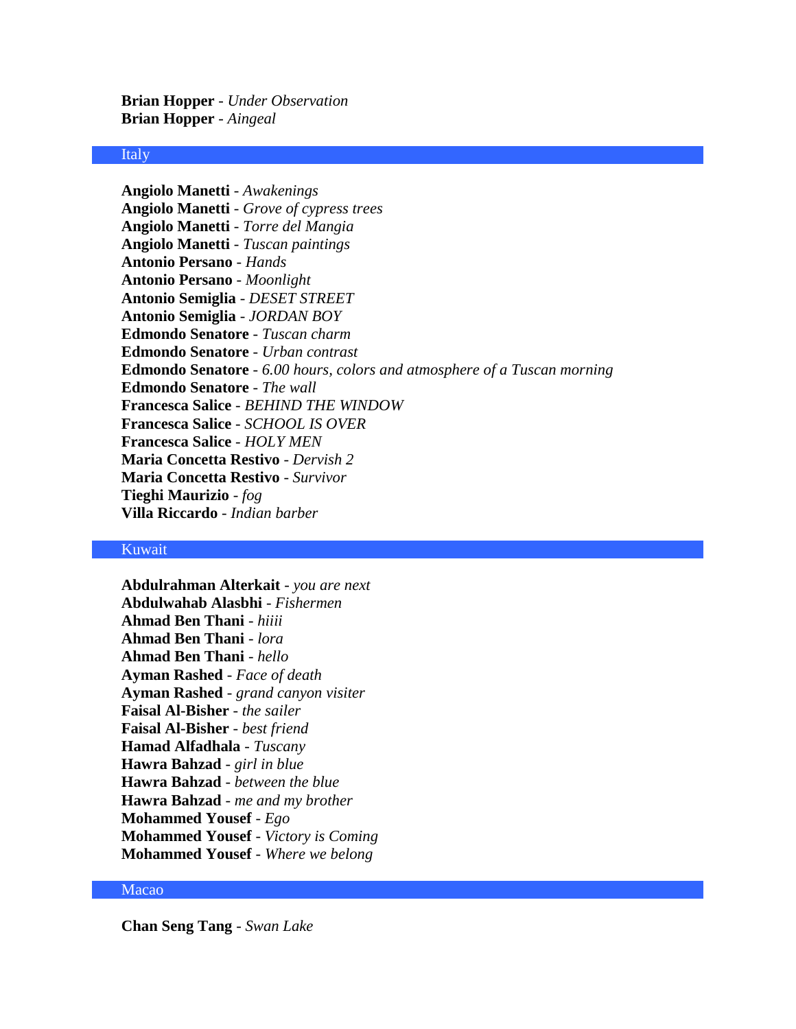**Brian Hopper** - *Under Observation* **Brian Hopper** - *Aingeal*

#### Italy

**Angiolo Manetti** - *Awakenings* **Angiolo Manetti** - *Grove of cypress trees* **Angiolo Manetti** - *Torre del Mangia* **Angiolo Manetti** - *Tuscan paintings* **Antonio Persano** - *Hands* **Antonio Persano** - *Moonlight* **Antonio Semiglia** - *DESET STREET* **Antonio Semiglia** - *JORDAN BOY* **Edmondo Senatore** - *Tuscan charm* **Edmondo Senatore** - *Urban contrast* **Edmondo Senatore** - *6.00 hours, colors and atmosphere of a Tuscan morning* **Edmondo Senatore** - *The wall* **Francesca Salice** - *BEHIND THE WINDOW* **Francesca Salice** - *SCHOOL IS OVER* **Francesca Salice** - *HOLY MEN* **Maria Concetta Restivo** - *Dervish 2* **Maria Concetta Restivo** - *Survivor* **Tieghi Maurizio** - *fog* **Villa Riccardo** - *Indian barber*

### Kuwait

**Abdulrahman Alterkait** - *you are next* **Abdulwahab Alasbhi** - *Fishermen* **Ahmad Ben Thani** - *hiiii* **Ahmad Ben Thani** - *lora* **Ahmad Ben Thani** - *hello* **Ayman Rashed** - *Face of death* **Ayman Rashed** - *grand canyon visiter* **Faisal Al-Bisher** - *the sailer* **Faisal Al-Bisher** - *best friend* **Hamad Alfadhala** - *Tuscany* **Hawra Bahzad** - *girl in blue* **Hawra Bahzad** - *between the blue* **Hawra Bahzad** - *me and my brother* **Mohammed Yousef** - *Ego* **Mohammed Yousef** - *Victory is Coming* **Mohammed Yousef** - *Where we belong*

# Macao

**Chan Seng Tang** - *Swan Lake*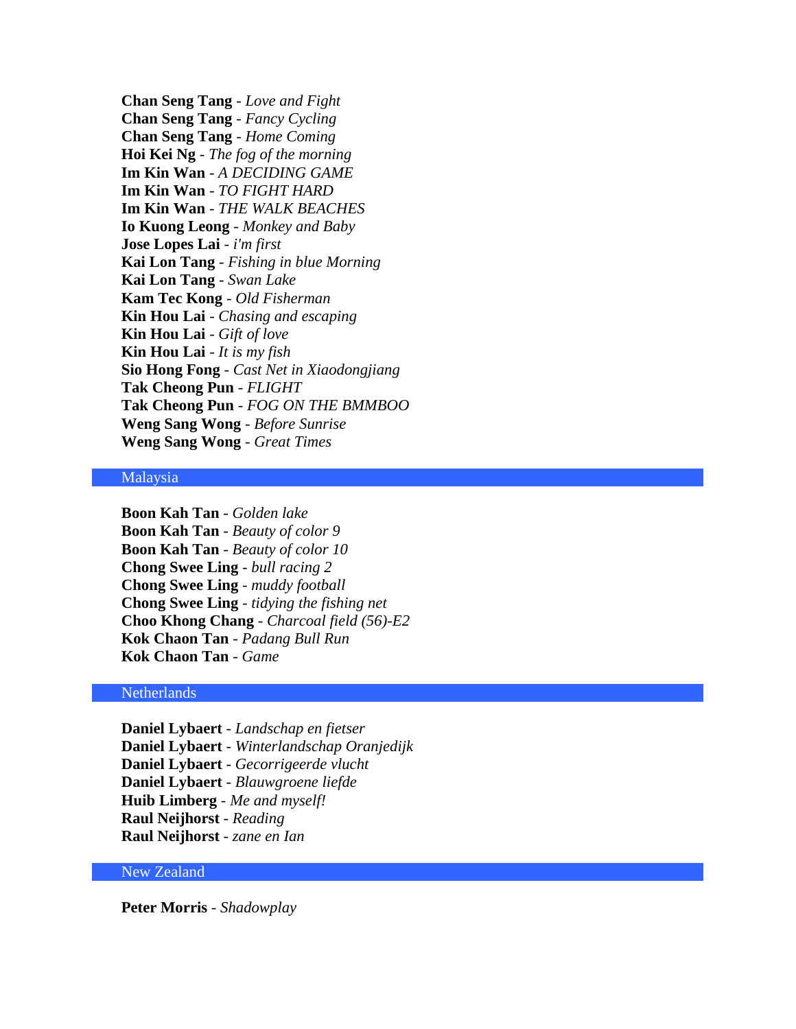**Chan Seng Tang** - *Love and Fight* **Chan Seng Tang** - *Fancy Cycling* **Chan Seng Tang** - *Home Coming* **Hoi Kei Ng** - *The fog of the morning* **Im Kin Wan** - *A DECIDING GAME* **Im Kin Wan** - *TO FIGHT HARD* **Im Kin Wan** - *THE WALK BEACHES* **Io Kuong Leong** - *Monkey and Baby* **Jose Lopes Lai** - *i'm first* **Kai Lon Tang** - *Fishing in blue Morning* **Kai Lon Tang** - *Swan Lake* **Kam Tec Kong** - *Old Fisherman* **Kin Hou Lai** - *Chasing and escaping* **Kin Hou Lai** - *Gift of love* **Kin Hou Lai** - *It is my fish* **Sio Hong Fong** - *Cast Net in Xiaodongjiang* **Tak Cheong Pun** - *FLIGHT* **Tak Cheong Pun** - *FOG ON THE BMMBOO* **Weng Sang Wong** - *Before Sunrise* **Weng Sang Wong** - *Great Times*

### Malaysia

**Boon Kah Tan** - *Golden lake* **Boon Kah Tan** - *Beauty of color 9* **Boon Kah Tan** - *Beauty of color 10* **Chong Swee Ling** - *bull racing 2* **Chong Swee Ling** - *muddy football* **Chong Swee Ling** - *tidying the fishing net* **Choo Khong Chang** - *Charcoal field (56)-E2* **Kok Chaon Tan** - *Padang Bull Run* **Kok Chaon Tan** - *Game*

### Netherlands

**Daniel Lybaert** - *Landschap en fietser* **Daniel Lybaert** - *Winterlandschap Oranjedijk* **Daniel Lybaert** - *Gecorrigeerde vlucht* **Daniel Lybaert** - *Blauwgroene liefde* **Huib Limberg** - *Me and myself!* **Raul Neijhorst** - *Reading* **Raul Neijhorst** - *zane en Ian*

### New Zealand

**Peter Morris** - *Shadowplay*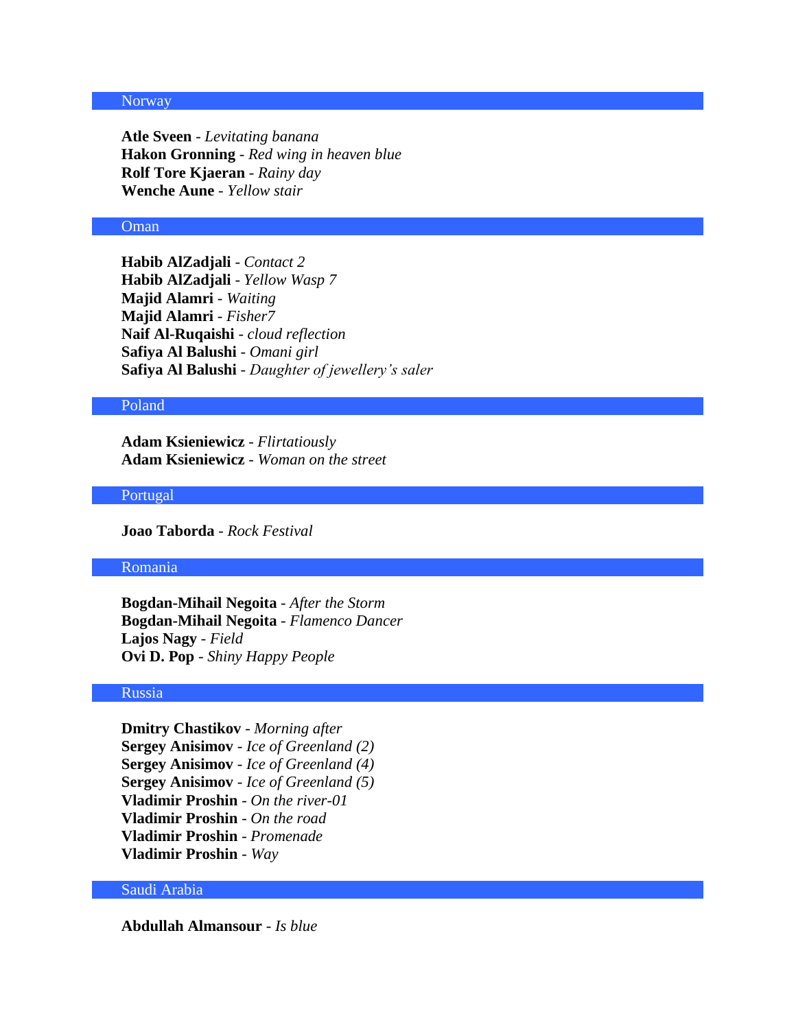#### **Norway**

**Atle Sveen** - *Levitating banana* **Hakon Gronning** - *Red wing in heaven blue* **Rolf Tore Kjaeran** - *Rainy day* **Wenche Aune** - *Yellow stair*

# Oman

**Habib AlZadjali** - *Contact 2* **Habib AlZadjali** - *Yellow Wasp 7* **Majid Alamri** - *Waiting* **Majid Alamri** - *Fisher7* **Naif Al-Ruqaishi** - *cloud reflection* **Safiya Al Balushi** - *Omani girl* **Safiya Al Balushi** - *Daughter of jewellery's saler*

#### Poland

**Adam Ksieniewicz** - *Flirtatiously* **Adam Ksieniewicz** - *Woman on the street*

### Portugal

**Joao Taborda** - *Rock Festival*

## Romania

**Bogdan-Mihail Negoita** - *After the Storm* **Bogdan-Mihail Negoita** - *Flamenco Dancer* **Lajos Nagy** - *Field* **Ovi D. Pop** - *Shiny Happy People*

### Russia

**Dmitry Chastikov** - *Morning after* **Sergey Anisimov** - *Ice of Greenland (2)* **Sergey Anisimov** - *Ice of Greenland (4)* **Sergey Anisimov** - *Ice of Greenland (5)* **Vladimir Proshin** - *On the river-01* **Vladimir Proshin** - *On the road* **Vladimir Proshin** - *Promenade* **Vladimir Proshin** - *Way*

### Saudi Arabia

**Abdullah Almansour** - *Is blue*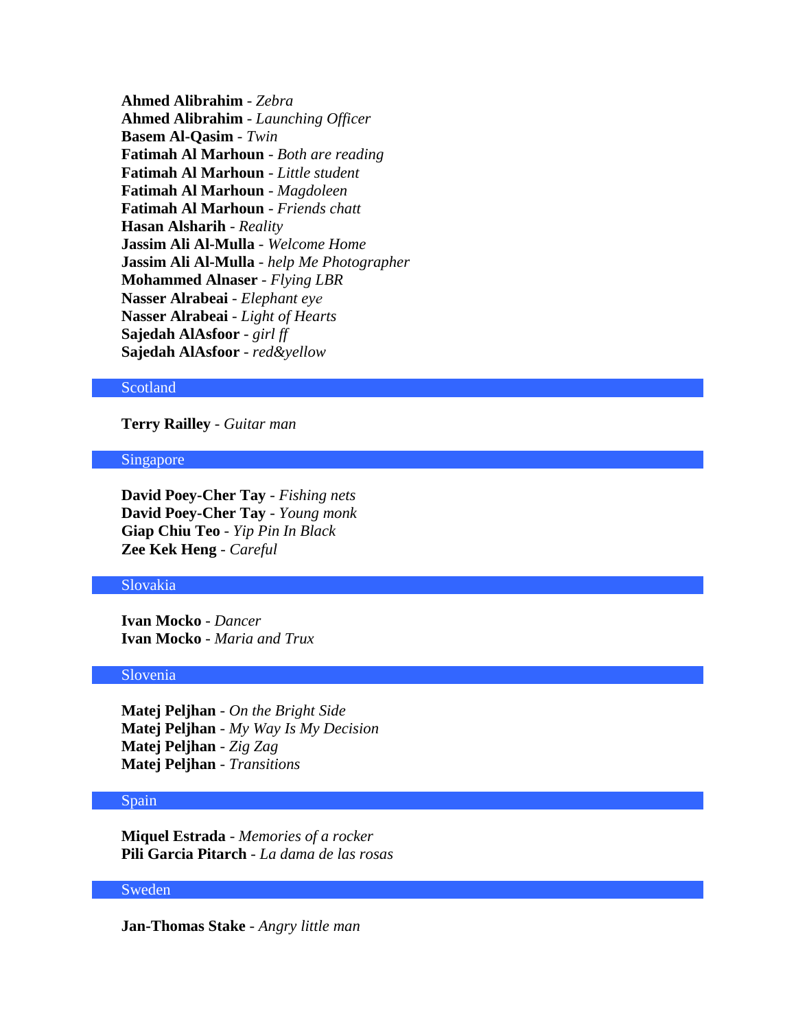**Ahmed Alibrahim** - *Zebra* **Ahmed Alibrahim** - *Launching Officer* **Basem Al-Qasim** - *Twin* **Fatimah Al Marhoun** - *Both are reading* **Fatimah Al Marhoun** - *Little student* **Fatimah Al Marhoun** - *Magdoleen* **Fatimah Al Marhoun** - *Friends chatt* **Hasan Alsharih** - *Reality* **Jassim Ali Al-Mulla** - *Welcome Home* **Jassim Ali Al-Mulla** - *help Me Photographer* **Mohammed Alnaser** - *Flying LBR* **Nasser Alrabeai** - *Elephant eye*  **Nasser Alrabeai** - *Light of Hearts* **Sajedah AlAsfoor** - *girl ff* **Sajedah AlAsfoor** - *red&yellow*

#### **Scotland**

### **Terry Railley** - *Guitar man*

#### Singapore

**David Poey-Cher Tay** - *Fishing nets* **David Poey-Cher Tay** - *Young monk* **Giap Chiu Teo** - *Yip Pin In Black* **Zee Kek Heng** - *Careful*

#### Slovakia

**Ivan Mocko** - *Dancer* **Ivan Mocko** - *Maria and Trux*

#### Slovenia

**Matej Peljhan** - *On the Bright Side* **Matej Peljhan** - *My Way Is My Decision* **Matej Peljhan** - *Zig Zag* **Matej Peljhan** - *Transitions*

#### Spain

**Miquel Estrada** - *Memories of a rocker* **Pili Garcia Pitarch** - *La dama de las rosas*

# **Sweden**

**Jan-Thomas Stake** - *Angry little man*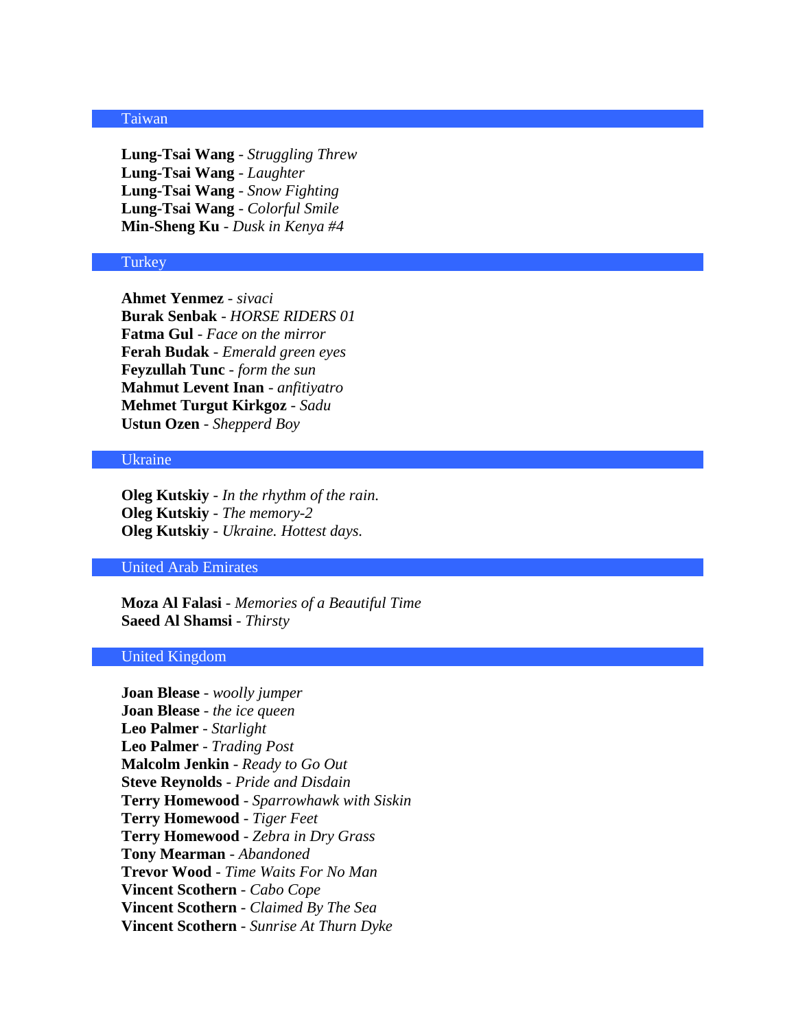#### Taiwan

**Lung-Tsai Wang** - *Struggling Threw* **Lung-Tsai Wang** - *Laughter* **Lung-Tsai Wang** - *Snow Fighting* **Lung-Tsai Wang** - *Colorful Smile* **Min-Sheng Ku** - *Dusk in Kenya #4*

### **Turkey**

**Ahmet Yenmez** - *sivaci* **Burak Senbak** - *HORSE RIDERS 01* **Fatma Gul** - *Face on the mirror* **Ferah Budak** - *Emerald green eyes* **Feyzullah Tunc** - *form the sun* **Mahmut Levent Inan** - *anfitiyatro* **Mehmet Turgut Kirkgoz** - *Sadu* **Ustun Ozen** - *Shepperd Boy*

### Ukraine

**Oleg Kutskiy** - *In the rhythm of the rain.* **Oleg Kutskiy** - *The memory-2* **Oleg Kutskiy** - *Ukraine. Hottest days.*

#### United Arab Emirates

**Moza Al Falasi** - *Memories of a Beautiful Time* **Saeed Al Shamsi** - *Thirsty*

# United Kingdom

**Joan Blease** - *woolly jumper* **Joan Blease** - *the ice queen* **Leo Palmer** - *Starlight* **Leo Palmer** - *Trading Post* **Malcolm Jenkin** - *Ready to Go Out* **Steve Reynolds** - *Pride and Disdain* **Terry Homewood** - *Sparrowhawk with Siskin* **Terry Homewood** - *Tiger Feet* **Terry Homewood** - *Zebra in Dry Grass* **Tony Mearman** - *Abandoned* **Trevor Wood** - *Time Waits For No Man* **Vincent Scothern** - *Cabo Cope* **Vincent Scothern** - *Claimed By The Sea* **Vincent Scothern** - *Sunrise At Thurn Dyke*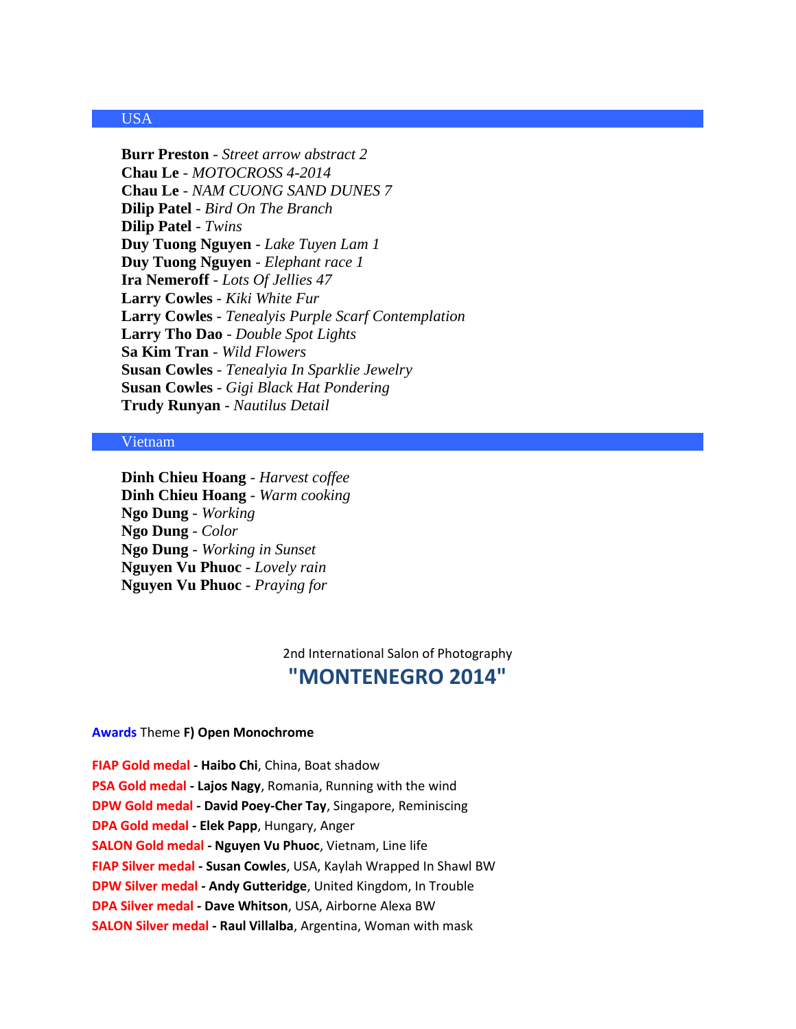# USA

**Burr Preston** - *Street arrow abstract 2* **Chau Le** - *MOTOCROSS 4-2014* **Chau Le** - *NAM CUONG SAND DUNES 7* **Dilip Patel** - *Bird On The Branch* **Dilip Patel** - *Twins* **Duy Tuong Nguyen** - *Lake Tuyen Lam 1* **Duy Tuong Nguyen** - *Elephant race 1* **Ira Nemeroff** - *Lots Of Jellies 47* **Larry Cowles** - *Kiki White Fur* **Larry Cowles** - *Tenealyis Purple Scarf Contemplation* **Larry Tho Dao** - *Double Spot Lights* **Sa Kim Tran** - *Wild Flowers* **Susan Cowles** - *Tenealyia In Sparklie Jewelry* **Susan Cowles** - *Gigi Black Hat Pondering* **Trudy Runyan** - *Nautilus Detail*

### Vietnam

**Dinh Chieu Hoang** - *Harvest coffee* **Dinh Chieu Hoang** - *Warm cooking* **Ngo Dung** - *Working* **Ngo Dung** - *Color* **Ngo Dung** - *Working in Sunset* **Nguyen Vu Phuoc** - *Lovely rain* **Nguyen Vu Phuoc** - *Praying for*

2nd International Salon of Photography

# **"MONTENEGRO 2014"**

#### **Awards** Theme **F) Open Monochrome**

**FIAP Gold medal - Haibo Chi**, China, Boat shadow **PSA Gold medal - Lajos Nagy**, Romania, Running with the wind **DPW Gold medal - David Poey-Cher Tay**, Singapore, Reminiscing **DPA Gold medal - Elek Papp**, Hungary, Anger **SALON Gold medal - Nguyen Vu Phuoc**, Vietnam, Line life **FIAP Silver medal - Susan Cowles**, USA, Kaylah Wrapped In Shawl BW **DPW Silver medal - Andy Gutteridge**, United Kingdom, In Trouble **DPA Silver medal - Dave Whitson**, USA, Airborne Alexa BW **SALON Silver medal - Raul Villalba**, Argentina, Woman with mask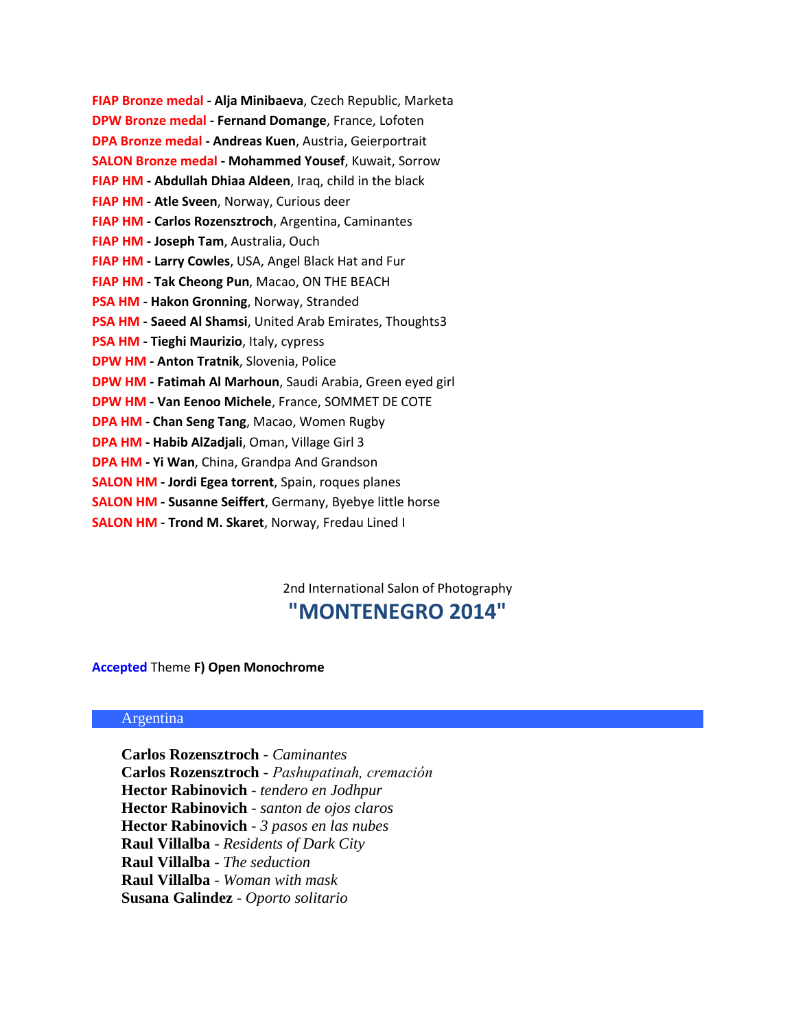| FIAP Bronze medal - Alja Minibaeva, Czech Republic, Marketa       |
|-------------------------------------------------------------------|
| <b>DPW Bronze medal - Fernand Domange, France, Lofoten</b>        |
| DPA Bronze medal - Andreas Kuen, Austria, Geierportrait           |
| <b>SALON Bronze medal - Mohammed Yousef, Kuwait, Sorrow</b>       |
| FIAP HM - Abdullah Dhiaa Aldeen, Iraq, child in the black         |
| FIAP HM - Atle Sveen, Norway, Curious deer                        |
| FIAP HM - Carlos Rozensztroch, Argentina, Caminantes              |
| FIAP HM - Joseph Tam, Australia, Ouch                             |
| FIAP HM - Larry Cowles, USA, Angel Black Hat and Fur              |
| FIAP HM - Tak Cheong Pun, Macao, ON THE BEACH                     |
| PSA HM - Hakon Gronning, Norway, Stranded                         |
| PSA HM - Saeed Al Shamsi, United Arab Emirates, Thoughts3         |
| PSA HM - Tieghi Maurizio, Italy, cypress                          |
| <b>DPW HM - Anton Tratnik, Slovenia, Police</b>                   |
| DPW HM - Fatimah Al Marhoun, Saudi Arabia, Green eyed girl        |
| <b>DPW HM - Van Eenoo Michele, France, SOMMET DE COTE</b>         |
| DPA HM - Chan Seng Tang, Macao, Women Rugby                       |
| DPA HM - Habib AlZadjali, Oman, Village Girl 3                    |
| DPA HM - Yi Wan, China, Grandpa And Grandson                      |
| <b>SALON HM - Jordi Egea torrent</b> , Spain, roques planes       |
| <b>SALON HM - Susanne Seiffert</b> , Germany, Byebye little horse |
| <b>SALON HM - Trond M. Skaret, Norway, Fredau Lined I</b>         |

2nd International Salon of Photography **"MONTENEGRO 2014"**

# **Accepted** Theme **F) Open Monochrome**

# Argentina

**Carlos Rozensztroch** - *Caminantes* **Carlos Rozensztroch** - *Pashupatinah, cremación* **Hector Rabinovich** - *tendero en Jodhpur* **Hector Rabinovich** - *santon de ojos claros* **Hector Rabinovich** - *3 pasos en las nubes* **Raul Villalba** - *Residents of Dark City* **Raul Villalba** - *The seduction* **Raul Villalba** - *Woman with mask* **Susana Galindez** - *Oporto solitario*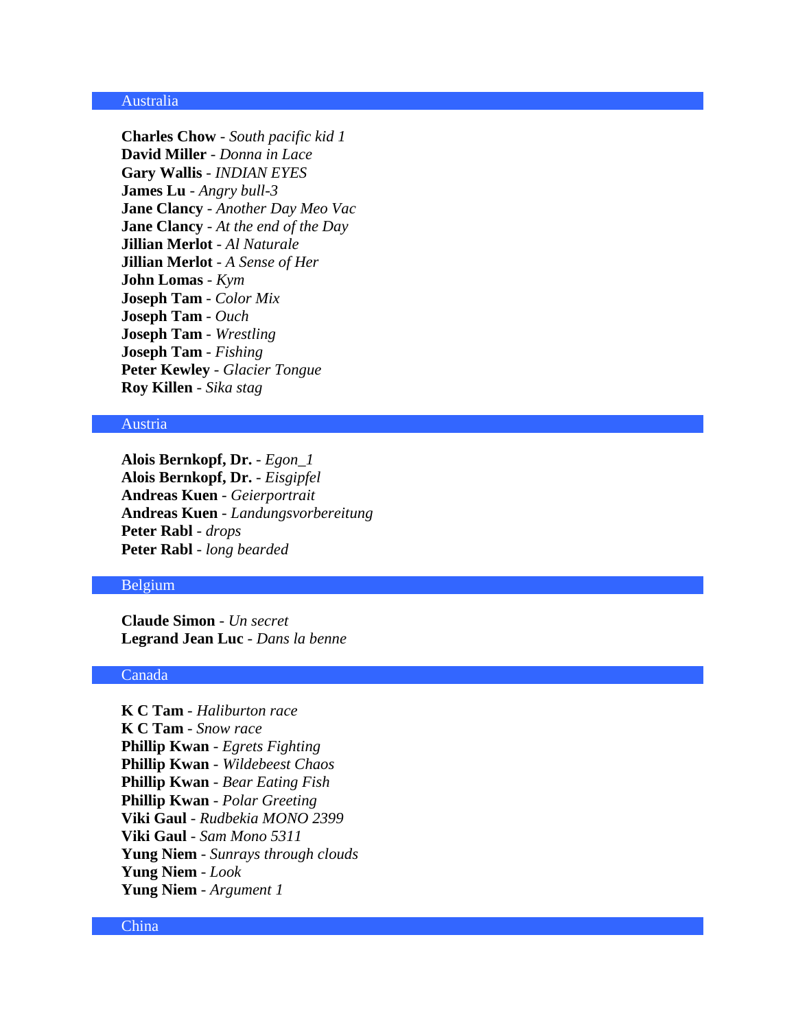#### Australia

**Charles Chow** - *South pacific kid 1* **David Miller** - *Donna in Lace* **Gary Wallis** - *INDIAN EYES* **James Lu** - *Angry bull-3* **Jane Clancy** - *Another Day Meo Vac* **Jane Clancy** - *At the end of the Day* **Jillian Merlot** - *Al Naturale* **Jillian Merlot** - *A Sense of Her* **John Lomas** - *Kym* **Joseph Tam** - *Color Mix* **Joseph Tam** - *Ouch* **Joseph Tam** - *Wrestling* **Joseph Tam** - *Fishing* **Peter Kewley** - *Glacier Tongue* **Roy Killen** - *Sika stag*

# Austria

**Alois Bernkopf, Dr.** - *Egon\_1* **Alois Bernkopf, Dr.** - *Eisgipfel* **Andreas Kuen** - *Geierportrait* **Andreas Kuen** - *Landungsvorbereitung* **Peter Rabl** - *drops* **Peter Rabl** - *long bearded*

### Belgium

**Claude Simon** - *Un secret* **Legrand Jean Luc** - *Dans la benne*

#### Canada

**K C Tam** - *Haliburton race* **K C Tam** - *Snow race* **Phillip Kwan** - *Egrets Fighting* **Phillip Kwan** - *Wildebeest Chaos* **Phillip Kwan** - *Bear Eating Fish* **Phillip Kwan** - *Polar Greeting* **Viki Gaul** - *Rudbekia MONO 2399* **Viki Gaul** - *Sam Mono 5311* **Yung Niem** - *Sunrays through clouds* **Yung Niem** - *Look* **Yung Niem** - *Argument 1*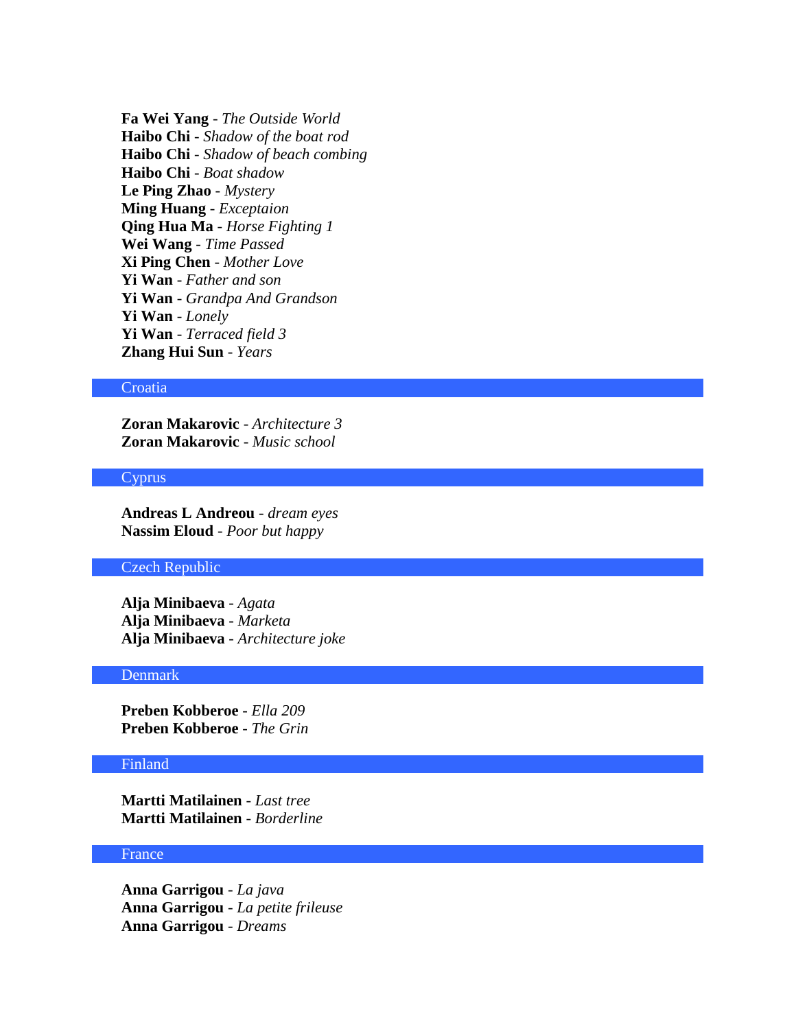**Fa Wei Yang** - *The Outside World* **Haibo Chi** - *Shadow of the boat rod* **Haibo Chi** - *Shadow of beach combing* **Haibo Chi** - *Boat shadow* **Le Ping Zhao** - *Mystery* **Ming Huang** - *Exceptaion* **Qing Hua Ma** - *Horse Fighting 1* **Wei Wang** - *Time Passed* **Xi Ping Chen** - *Mother Love* **Yi Wan** - *Father and son* **Yi Wan** - *Grandpa And Grandson* **Yi Wan** - *Lonely* **Yi Wan** - *Terraced field 3* **Zhang Hui Sun** - *Years*

### **Croatia**

**Zoran Makarovic** - *Architecture 3* **Zoran Makarovic** - *Music school*

#### Cyprus

**Andreas L Andreou** - *dream eyes* **Nassim Eloud** - *Poor but happy*

#### Czech Republic

**Alja Minibaeva** - *Agata* **Alja Minibaeva** - *Marketa* **Alja Minibaeva** - *Architecture joke*

#### Denmark

**Preben Kobberoe** - *Ella 209* **Preben Kobberoe** - *The Grin*

### Finland

**Martti Matilainen** - *Last tree* **Martti Matilainen** - *Borderline*

#### France

**Anna Garrigou** - *La java* **Anna Garrigou** - *La petite frileuse* **Anna Garrigou** - *Dreams*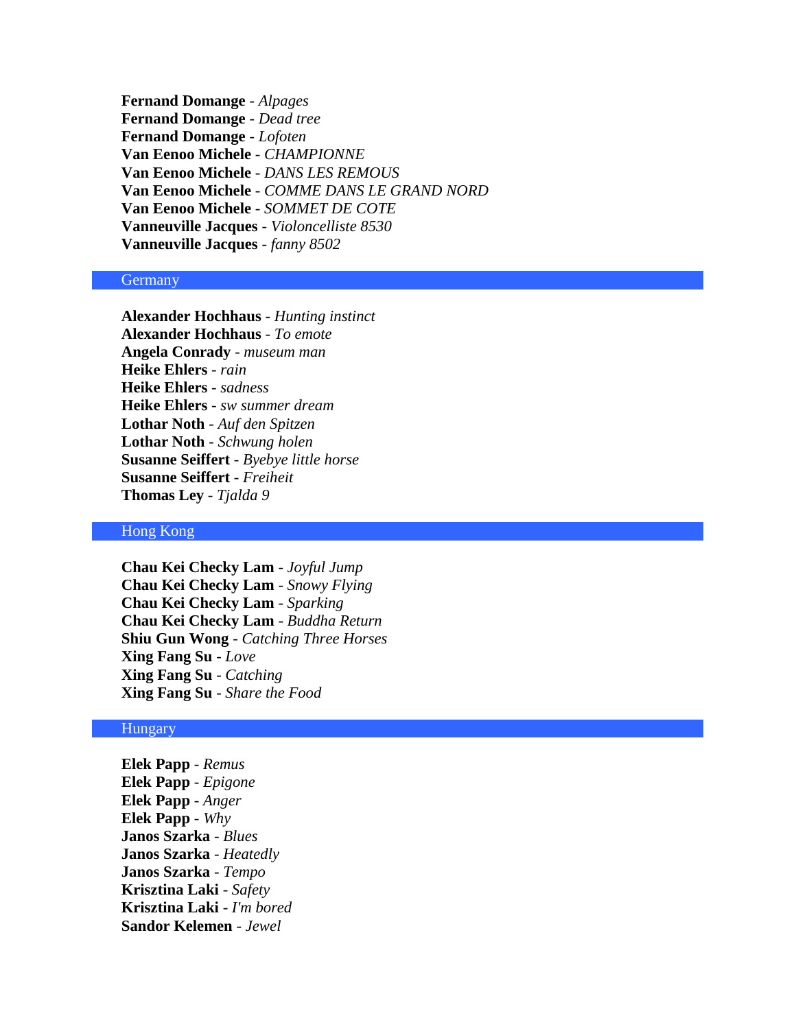**Fernand Domange** - *Alpages* **Fernand Domange** - *Dead tree* **Fernand Domange** - *Lofoten* **Van Eenoo Michele** - *CHAMPIONNE* **Van Eenoo Michele** - *DANS LES REMOUS* **Van Eenoo Michele** - *COMME DANS LE GRAND NORD* **Van Eenoo Michele** - *SOMMET DE COTE* **Vanneuville Jacques** - *Violoncelliste 8530* **Vanneuville Jacques** - *fanny 8502*

### **Germany**

**Alexander Hochhaus** - *Hunting instinct* **Alexander Hochhaus** - *To emote* **Angela Conrady** - *museum man* **Heike Ehlers** - *rain* **Heike Ehlers** - *sadness* **Heike Ehlers** - *sw summer dream* **Lothar Noth** - *Auf den Spitzen* **Lothar Noth** - *Schwung holen* **Susanne Seiffert** - *Byebye little horse* **Susanne Seiffert** - *Freiheit* **Thomas Ley** - *Tjalda 9*

#### Hong Kong

**Chau Kei Checky Lam** - *Joyful Jump* **Chau Kei Checky Lam** - *Snowy Flying* **Chau Kei Checky Lam** - *Sparking* **Chau Kei Checky Lam** - *Buddha Return* **Shiu Gun Wong** - *Catching Three Horses* **Xing Fang Su** - *Love* **Xing Fang Su** - *Catching* **Xing Fang Su** - *Share the Food*

### Hungary

**Elek Papp** - *Remus* **Elek Papp** - *Epigone* **Elek Papp** - *Anger* **Elek Papp** - *Why* **Janos Szarka** - *Blues* **Janos Szarka** - *Heatedly* **Janos Szarka** - *Tempo* **Krisztina Laki** - *Safety* **Krisztina Laki** - *I'm bored* **Sandor Kelemen** - *Jewel*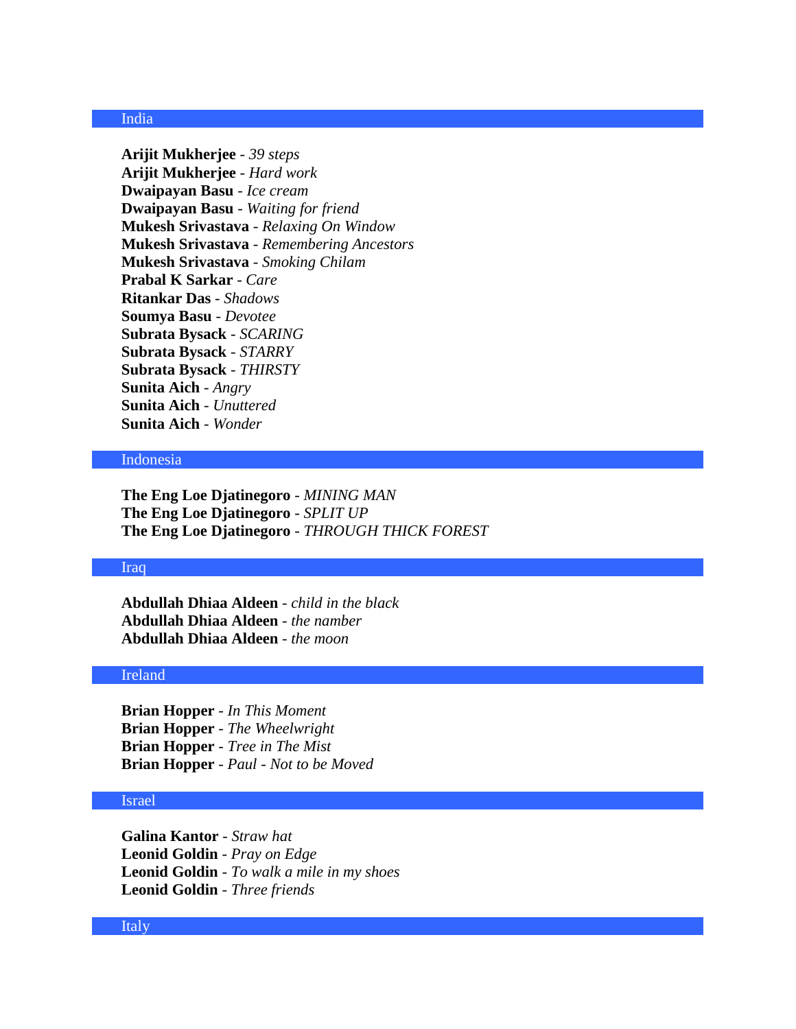## India

**Arijit Mukherjee** - *39 steps* **Arijit Mukherjee** - *Hard work* **Dwaipayan Basu** - *Ice cream* **Dwaipayan Basu** - *Waiting for friend* **Mukesh Srivastava** - *Relaxing On Window* **Mukesh Srivastava** - *Remembering Ancestors* **Mukesh Srivastava** - *Smoking Chilam* **Prabal K Sarkar** - *Care* **Ritankar Das** - *Shadows* **Soumya Basu** - *Devotee* **Subrata Bysack** - *SCARING* **Subrata Bysack** - *STARRY* **Subrata Bysack** - *THIRSTY* **Sunita Aich** - *Angry* **Sunita Aich** - *Unuttered* **Sunita Aich** - *Wonder*

# Indonesia

**The Eng Loe Djatinegoro** - *MINING MAN* **The Eng Loe Djatinegoro** - *SPLIT UP* **The Eng Loe Djatinegoro** - *THROUGH THICK FOREST*

### Iraq

**Abdullah Dhiaa Aldeen** - *child in the black* **Abdullah Dhiaa Aldeen** - *the namber* **Abdullah Dhiaa Aldeen** - *the moon*

#### Ireland

**Brian Hopper** - *In This Moment* **Brian Hopper** - *The Wheelwright* **Brian Hopper** - *Tree in The Mist* **Brian Hopper** - *Paul - Not to be Moved*

### Israel

**Galina Kantor** - *Straw hat* **Leonid Goldin** - *Pray on Edge* **Leonid Goldin** - *To walk a mile in my shoes* **Leonid Goldin** - *Three friends*

#### Italy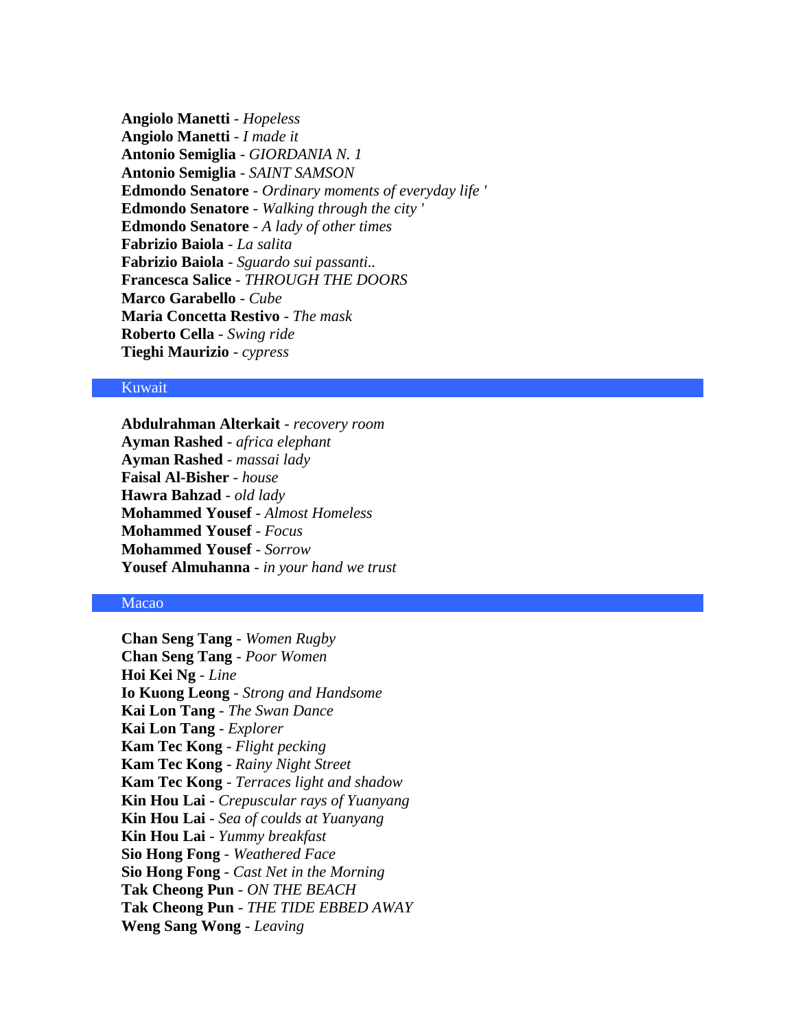**Angiolo Manetti** - *Hopeless* **Angiolo Manetti** - *I made it* **Antonio Semiglia** - *GIORDANIA N. 1* **Antonio Semiglia** - *SAINT SAMSON* **Edmondo Senatore** - *Ordinary moments of everyday life '* **Edmondo Senatore** - *Walking through the city '* **Edmondo Senatore** - *A lady of other times* **Fabrizio Baiola** - *La salita* **Fabrizio Baiola** - *Sguardo sui passanti..* **Francesca Salice** - *THROUGH THE DOORS* **Marco Garabello** - *Cube* **Maria Concetta Restivo** - *The mask* **Roberto Cella** - *Swing ride* **Tieghi Maurizio** - *cypress*

### Kuwait

**Abdulrahman Alterkait** - *recovery room* **Ayman Rashed** - *africa elephant* **Ayman Rashed** - *massai lady* **Faisal Al-Bisher** - *house* **Hawra Bahzad** - *old lady* **Mohammed Yousef** - *Almost Homeless* **Mohammed Yousef** - *Focus* **Mohammed Yousef** - *Sorrow* **Yousef Almuhanna** - *in your hand we trust*

# Macao

**Chan Seng Tang** - *Women Rugby* **Chan Seng Tang** - *Poor Women* **Hoi Kei Ng** - *Line* **Io Kuong Leong** - *Strong and Handsome* **Kai Lon Tang** - *The Swan Dance* **Kai Lon Tang** - *Explorer* **Kam Tec Kong** - *Flight pecking* **Kam Tec Kong** - *Rainy Night Street* **Kam Tec Kong** - *Terraces light and shadow* **Kin Hou Lai** - *Crepuscular rays of Yuanyang* **Kin Hou Lai** - *Sea of coulds at Yuanyang* **Kin Hou Lai** - *Yummy breakfast* **Sio Hong Fong** - *Weathered Face* **Sio Hong Fong** - *Cast Net in the Morning* **Tak Cheong Pun** - *ON THE BEACH* **Tak Cheong Pun** - *THE TIDE EBBED AWAY* **Weng Sang Wong** - *Leaving*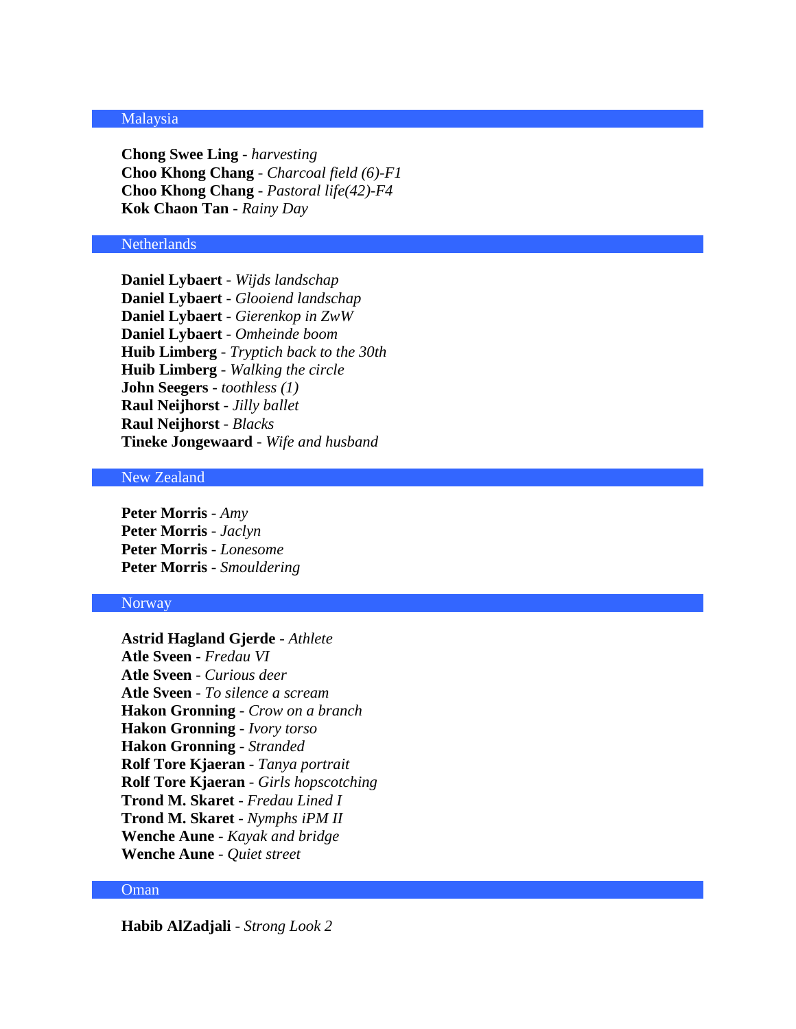### Malaysia

**Chong Swee Ling** - *harvesting* **Choo Khong Chang** - *Charcoal field (6)-F1* **Choo Khong Chang** - *Pastoral life(42)-F4* **Kok Chaon Tan** - *Rainy Day*

#### **Netherlands**

**Daniel Lybaert** - *Wijds landschap* **Daniel Lybaert** - *Glooiend landschap* **Daniel Lybaert** - *Gierenkop in ZwW* **Daniel Lybaert** - *Omheinde boom* **Huib Limberg** - *Tryptich back to the 30th* **Huib Limberg** - *Walking the circle* **John Seegers** - *toothless (1)* **Raul Neijhorst** - *Jilly ballet* **Raul Neijhorst** - *Blacks* **Tineke Jongewaard** - *Wife and husband*

### New Zealand

**Peter Morris** - *Amy* **Peter Morris** - *Jaclyn* **Peter Morris** - *Lonesome* **Peter Morris** - *Smouldering*

#### Norway

**Astrid Hagland Gjerde** - *Athlete* **Atle Sveen** - *Fredau VI* **Atle Sveen** - *Curious deer* **Atle Sveen** - *To silence a scream* **Hakon Gronning** - *Crow on a branch* **Hakon Gronning** - *Ivory torso* **Hakon Gronning** - *Stranded* **Rolf Tore Kjaeran** - *Tanya portrait* **Rolf Tore Kjaeran** - *Girls hopscotching* **Trond M. Skaret** - *Fredau Lined I* **Trond M. Skaret** - *Nymphs iPM II* **Wenche Aune** - *Kayak and bridge* **Wenche Aune** - *Quiet street*

### Oman

**Habib AlZadjali** - *Strong Look 2*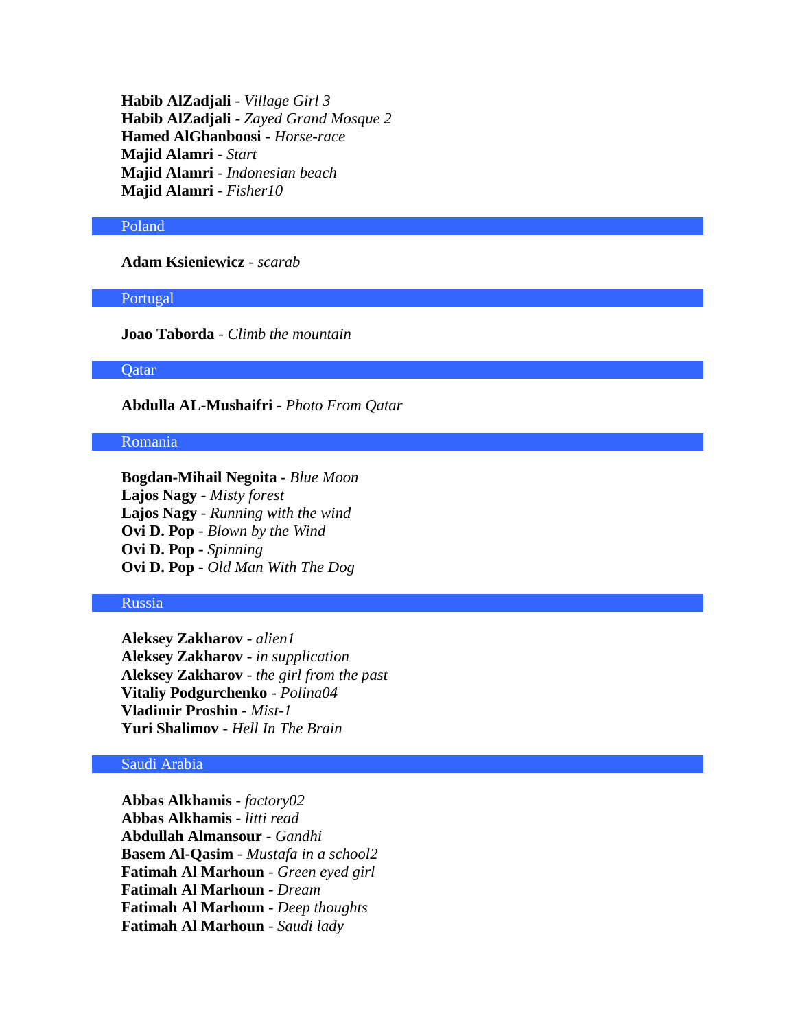**Habib AlZadjali** - *Village Girl 3* **Habib AlZadjali** - *Zayed Grand Mosque 2* **Hamed AlGhanboosi** - *Horse-race* **Majid Alamri** - *Start* **Majid Alamri** - *Indonesian beach* **Majid Alamri** - *Fisher10*

#### Poland

**Adam Ksieniewicz** - *scarab*

Portugal

**Joao Taborda** - *Climb the mountain*

**Qatar** 

**Abdulla AL-Mushaifri** - *Photo From Qatar*

#### Romania

**Bogdan-Mihail Negoita** - *Blue Moon* **Lajos Nagy** - *Misty forest* **Lajos Nagy** - *Running with the wind* **Ovi D. Pop** - *Blown by the Wind* **Ovi D. Pop** - *Spinning* **Ovi D. Pop** - *Old Man With The Dog*

#### Russia

**Aleksey Zakharov** - *alien1* **Aleksey Zakharov** - *in supplication* **Aleksey Zakharov** - *the girl from the past* **Vitaliy Podgurchenko** - *Polina04* **Vladimir Proshin** - *Mist-1* **Yuri Shalimov** - *Hell In The Brain*

# Saudi Arabia

**Abbas Alkhamis** - *factory02* **Abbas Alkhamis** - *litti read* **Abdullah Almansour** - *Gandhi* **Basem Al-Qasim** - *Mustafa in a school2* **Fatimah Al Marhoun** - *Green eyed girl* **Fatimah Al Marhoun** - *Dream* **Fatimah Al Marhoun** - *Deep thoughts* **Fatimah Al Marhoun** - *Saudi lady*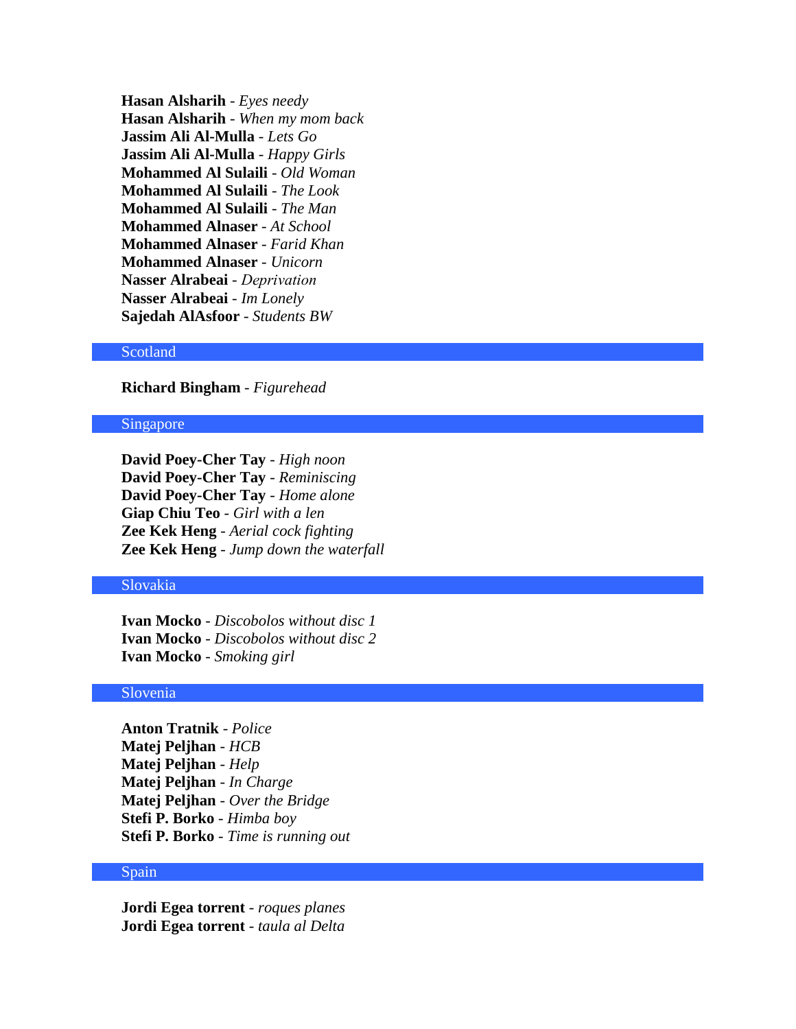**Hasan Alsharih** - *Eyes needy* **Hasan Alsharih** - *When my mom back* **Jassim Ali Al-Mulla** - *Lets Go* **Jassim Ali Al-Mulla** - *Happy Girls* **Mohammed Al Sulaili** - *Old Woman* **Mohammed Al Sulaili** - *The Look* **Mohammed Al Sulaili** - *The Man* **Mohammed Alnaser** - *At School* **Mohammed Alnaser** - *Farid Khan* **Mohammed Alnaser** - *Unicorn* **Nasser Alrabeai** - *Deprivation* **Nasser Alrabeai** - *Im Lonely* **Sajedah AlAsfoor** - *Students BW*

### Scotland

**Richard Bingham** - *Figurehead*

#### Singapore

**David Poey-Cher Tay** - *High noon* **David Poey-Cher Tay** - *Reminiscing* **David Poey-Cher Tay** - *Home alone* **Giap Chiu Teo** - *Girl with a len* **Zee Kek Heng** - *Aerial cock fighting* **Zee Kek Heng** - *Jump down the waterfall*

# Slovakia

**Ivan Mocko** - *Discobolos without disc 1* **Ivan Mocko** - *Discobolos without disc 2* **Ivan Mocko** - *Smoking girl*

### Slovenia

**Anton Tratnik** - *Police* **Matej Peljhan** - *HCB* **Matej Peljhan** - *Help* **Matej Peljhan** - *In Charge* **Matej Peljhan** - *Over the Bridge* **Stefi P. Borko** - *Himba boy* **Stefi P. Borko** - *Time is running out*

### Spain

**Jordi Egea torrent** - *roques planes* **Jordi Egea torrent** - *taula al Delta*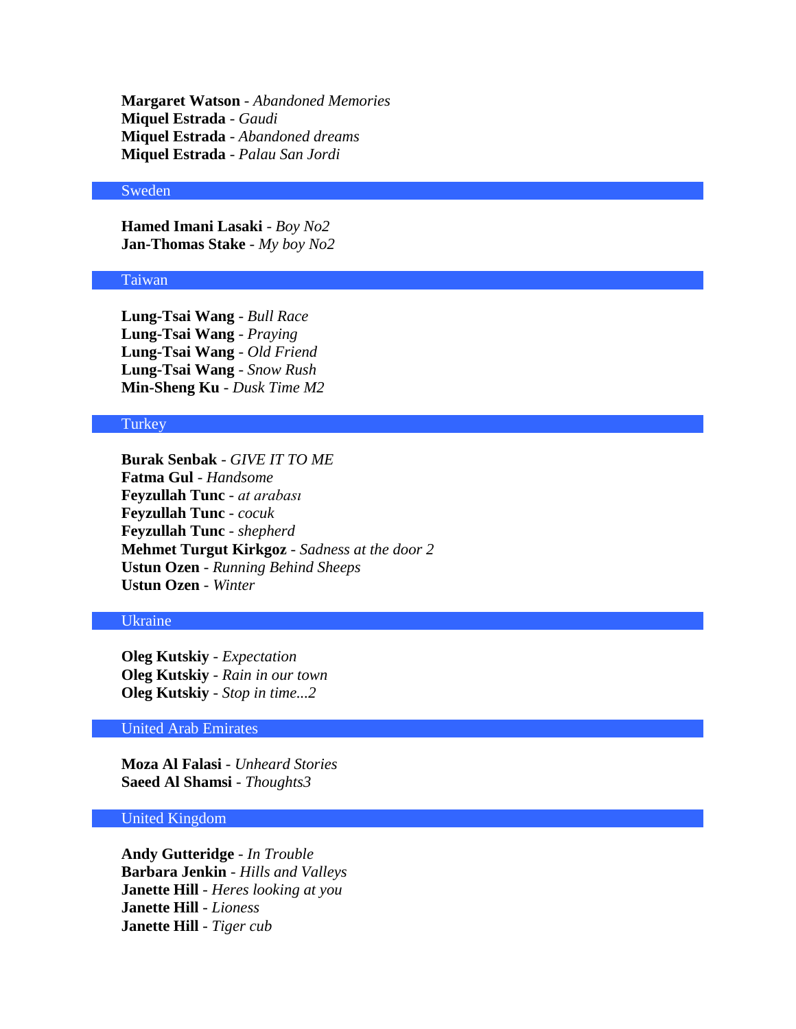**Margaret Watson** - *Abandoned Memories* **Miquel Estrada** - *Gaudi* **Miquel Estrada** - *Abandoned dreams* **Miquel Estrada** - *Palau San Jordi*

### Sweden

**Hamed Imani Lasaki** - *Boy No2* **Jan-Thomas Stake** - *My boy No2*

### Taiwan

**Lung-Tsai Wang** - *Bull Race* **Lung-Tsai Wang** - *Praying* **Lung-Tsai Wang** - *Old Friend* **Lung-Tsai Wang** - *Snow Rush* **Min-Sheng Ku** - *Dusk Time M2*

# **Turkey**

**Burak Senbak** - *GIVE IT TO ME* **Fatma Gul** - *Handsome* **Feyzullah Tunc** - *at arabası* **Feyzullah Tunc** - *cocuk* **Feyzullah Tunc** - *shepherd* **Mehmet Turgut Kirkgoz** - *Sadness at the door 2* **Ustun Ozen** - *Running Behind Sheeps* **Ustun Ozen** - *Winter*

# Ukraine

**Oleg Kutskiy** - *Expectation* **Oleg Kutskiy** - *Rain in our town* **Oleg Kutskiy** - *Stop in time...2*

# United Arab Emirates

**Moza Al Falasi** - *Unheard Stories* **Saeed Al Shamsi** - *Thoughts3*

# United Kingdom

**Andy Gutteridge** - *In Trouble* **Barbara Jenkin** - *Hills and Valleys* **Janette Hill** - *Heres looking at you* **Janette Hill** - *Lioness* **Janette Hill** - *Tiger cub*